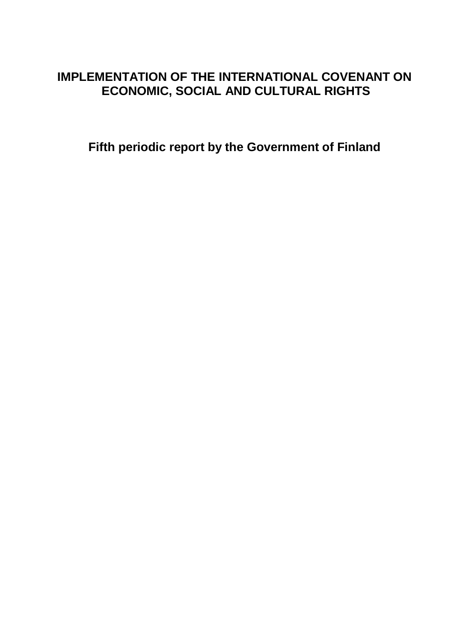# **IMPLEMENTATION OF THE INTERNATIONAL COVENANT ON ECONOMIC, SOCIAL AND CULTURAL RIGHTS**

**Fifth periodic report by the Government of Finland**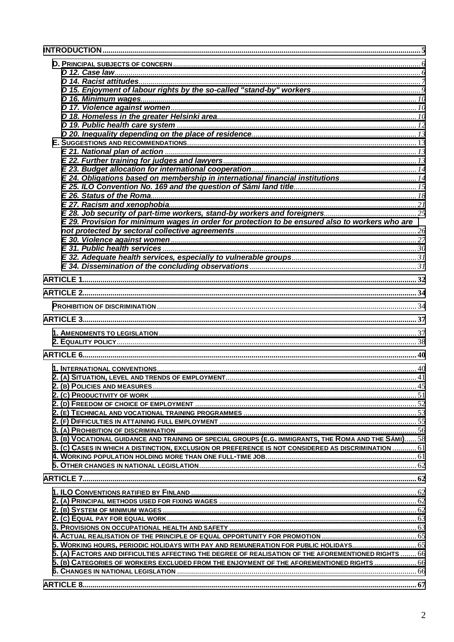| E 24. Obligations based on membership in international financial institutions14                       |  |
|-------------------------------------------------------------------------------------------------------|--|
|                                                                                                       |  |
|                                                                                                       |  |
|                                                                                                       |  |
|                                                                                                       |  |
| E 29. Provision for minimum wages in order for protection to be ensured also to workers who are       |  |
|                                                                                                       |  |
|                                                                                                       |  |
|                                                                                                       |  |
|                                                                                                       |  |
|                                                                                                       |  |
|                                                                                                       |  |
|                                                                                                       |  |
|                                                                                                       |  |
|                                                                                                       |  |
|                                                                                                       |  |
|                                                                                                       |  |
|                                                                                                       |  |
|                                                                                                       |  |
|                                                                                                       |  |
|                                                                                                       |  |
|                                                                                                       |  |
|                                                                                                       |  |
|                                                                                                       |  |
|                                                                                                       |  |
|                                                                                                       |  |
|                                                                                                       |  |
|                                                                                                       |  |
| 3. (B) VOCATIONAL GUIDANCE AND TRAINING OF SPECIAL GROUPS (E.G. IMMIGRANTS, THE ROMA AND THE SÁMI) 58 |  |
| 3. (c) CASES IN WHICH A DISTINCTION, EXCLUSION OR PREFERENCE IS NOT CONSIDERED AS DISCRIMINATION  61  |  |
|                                                                                                       |  |
|                                                                                                       |  |
|                                                                                                       |  |
|                                                                                                       |  |
|                                                                                                       |  |
|                                                                                                       |  |
|                                                                                                       |  |
|                                                                                                       |  |
|                                                                                                       |  |
| 5. WORKING HOURS, PERIODIC HOLIDAYS WITH PAY AND REMUNERATION FOR PUBLIC HOLIDAYS 65                  |  |
| 5. (A) FACTORS AND DIFFICULTIES AFFECTING THE DEGREE OF REALISATION OF THE AFOREMENTIONED RIGHTS  66  |  |
| 5. (B) CATEGORIES OF WORKERS EXCLUDED FROM THE ENJOYMENT OF THE AFOREMENTIONED RIGHTS  66             |  |
|                                                                                                       |  |
|                                                                                                       |  |
|                                                                                                       |  |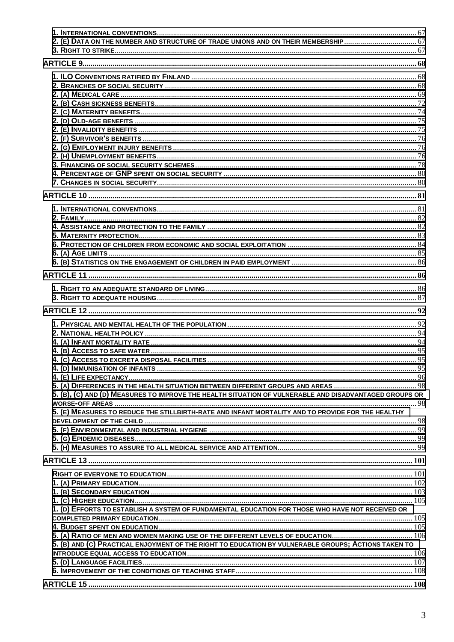| 5. (B), (C) AND (D) MEASURES TO IMPROVE THE HEALTH SITUATION OF VULNERABLE AND DISADVANTAGED GROUPS OR |  |
|--------------------------------------------------------------------------------------------------------|--|
|                                                                                                        |  |
| 5. (E) MEASURES TO REDUCE THE STILLBIRTH-RATE AND INFANT MORTALITY AND TO PROVIDE FOR THE HEALTHY      |  |
|                                                                                                        |  |
|                                                                                                        |  |
|                                                                                                        |  |
|                                                                                                        |  |
|                                                                                                        |  |
|                                                                                                        |  |
|                                                                                                        |  |
|                                                                                                        |  |
|                                                                                                        |  |
|                                                                                                        |  |
| 1. (D) EFFORTS TO ESTABLISH A SYSTEM OF FUNDAMENTAL EDUCATION FOR THOSE WHO HAVE NOT RECEIVED OR       |  |
|                                                                                                        |  |
|                                                                                                        |  |
|                                                                                                        |  |
| 5. (B) AND (C) PRACTICAL ENJOYMENT OF THE RIGHT TO EDUCATION BY VULNERABLE GROUPS; ACTIONS TAKEN TO    |  |
|                                                                                                        |  |
|                                                                                                        |  |
|                                                                                                        |  |
|                                                                                                        |  |
|                                                                                                        |  |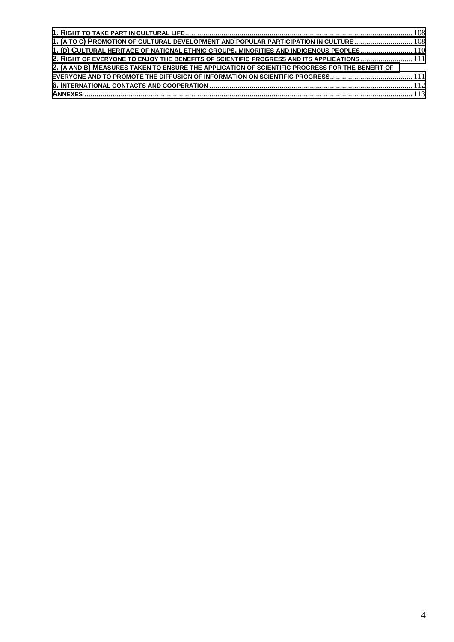| 1. (A TO C) PROMOTION OF CULTURAL DEVELOPMENT AND POPULAR PARTICIPATION IN CULTURE 108          |  |
|-------------------------------------------------------------------------------------------------|--|
| 1. (D) CULTURAL HERITAGE OF NATIONAL ETHNIC GROUPS, MINORITIES AND INDIGENOUS PEOPLES 110       |  |
| 2. RIGHT OF EVERYONE TO ENJOY THE BENEFITS OF SCIENTIFIC PROGRESS AND ITS APPLICATIONS 111      |  |
| 2. (A AND B) MEASURES TAKEN TO ENSURE THE APPLICATION OF SCIENTIFIC PROGRESS FOR THE BENEFIT OF |  |
|                                                                                                 |  |
|                                                                                                 |  |
|                                                                                                 |  |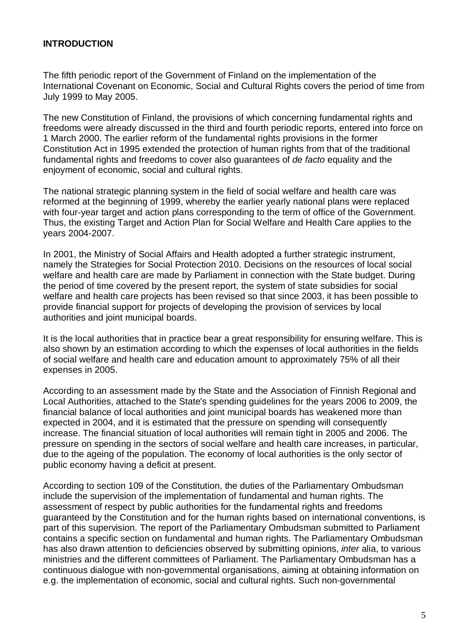#### <span id="page-4-0"></span>**INTRODUCTION**

The fifth periodic report of the Government of Finland on the implementation of the International Covenant on Economic, Social and Cultural Rights covers the period of time from July 1999 to May 2005.

The new Constitution of Finland, the provisions of which concerning fundamental rights and freedoms were already discussed in the third and fourth periodic reports, entered into force on 1 March 2000. The earlier reform of the fundamental rights provisions in the former Constitution Act in 1995 extended the protection of human rights from that of the traditional fundamental rights and freedoms to cover also guarantees of *de facto* equality and the enjoyment of economic, social and cultural rights.

The national strategic planning system in the field of social welfare and health care was reformed at the beginning of 1999, whereby the earlier yearly national plans were replaced with four-year target and action plans corresponding to the term of office of the Government. Thus, the existing Target and Action Plan for Social Welfare and Health Care applies to the years 2004-2007.

In 2001, the Ministry of Social Affairs and Health adopted a further strategic instrument, namely the Strategies for Social Protection 2010. Decisions on the resources of local social welfare and health care are made by Parliament in connection with the State budget. During the period of time covered by the present report, the system of state subsidies for social welfare and health care projects has been revised so that since 2003, it has been possible to provide financial support for projects of developing the provision of services by local authorities and joint municipal boards.

It is the local authorities that in practice bear a great responsibility for ensuring welfare. This is also shown by an estimation according to which the expenses of local authorities in the fields of social welfare and health care and education amount to approximately 75% of all their expenses in 2005.

According to an assessment made by the State and the Association of Finnish Regional and Local Authorities, attached to the State's spending guidelines for the years 2006 to 2009, the financial balance of local authorities and joint municipal boards has weakened more than expected in 2004, and it is estimated that the pressure on spending will consequently increase. The financial situation of local authorities will remain tight in 2005 and 2006. The pressure on spending in the sectors of social welfare and health care increases, in particular, due to the ageing of the population. The economy of local authorities is the only sector of public economy having a deficit at present.

According to section 109 of the Constitution, the duties of the Parliamentary Ombudsman include the supervision of the implementation of fundamental and human rights. The assessment of respect by public authorities for the fundamental rights and freedoms guaranteed by the Constitution and for the human rights based on international conventions, is part of this supervision. The report of the Parliamentary Ombudsman submitted to Parliament contains a specific section on fundamental and human rights. The Parliamentary Ombudsman has also drawn attention to deficiencies observed by submitting opinions, *inter* alia, to various ministries and the different committees of Parliament. The Parliamentary Ombudsman has a continuous dialogue with non-governmental organisations, aiming at obtaining information on e.g. the implementation of economic, social and cultural rights. Such non-governmental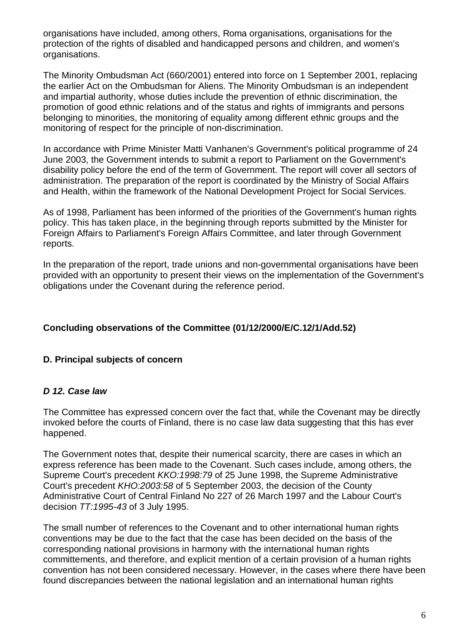organisations have included, among others, Roma organisations, organisations for the protection of the rights of disabled and handicapped persons and children, and women's organisations.

The Minority Ombudsman Act (660/2001) entered into force on 1 September 2001, replacing the earlier Act on the Ombudsman for Aliens. The Minority Ombudsman is an independent and impartial authority, whose duties include the prevention of ethnic discrimination, the promotion of good ethnic relations and of the status and rights of immigrants and persons belonging to minorities, the monitoring of equality among different ethnic groups and the monitoring of respect for the principle of non-discrimination.

In accordance with Prime Minister Matti Vanhanen's Government's political programme of 24 June 2003, the Government intends to submit a report to Parliament on the Government's disability policy before the end of the term of Government. The report will cover all sectors of administration. The preparation of the report is coordinated by the Ministry of Social Affairs and Health, within the framework of the National Development Project for Social Services.

As of 1998, Parliament has been informed of the priorities of the Government's human rights policy. This has taken place, in the beginning through reports submitted by the Minister for Foreign Affairs to Parliament's Foreign Affairs Committee, and later through Government reports.

In the preparation of the report, trade unions and non-governmental organisations have been provided with an opportunity to present their views on the implementation of the Government's obligations under the Covenant during the reference period.

#### **Concluding observations of the Committee (01/12/2000/E/C.12/1/Add.52)**

#### <span id="page-5-0"></span>**D. Principal subjects of concern**

#### <span id="page-5-1"></span>*D 12. Case law*

The Committee has expressed concern over the fact that, while the Covenant may be directly invoked before the courts of Finland, there is no case law data suggesting that this has ever happened.

The Government notes that, despite their numerical scarcity, there are cases in which an express reference has been made to the Covenant. Such cases include, among others, the Supreme Court's precedent *KKO:1998:79* of 25 June 1998, the Supreme Administrative Court's precedent *KHO:2003:58* of 5 September 2003, the decision of the County Administrative Court of Central Finland No 227 of 26 March 1997 and the Labour Court's decision *TT:1995-43* of 3 July 1995.

The small number of references to the Covenant and to other international human rights conventions may be due to the fact that the case has been decided on the basis of the corresponding national provisions in harmony with the international human rights committements, and therefore, and explicit mention of a certain provision of a human rights convention has not been considered necessary. However, in the cases where there have been found discrepancies between the national legislation and an international human rights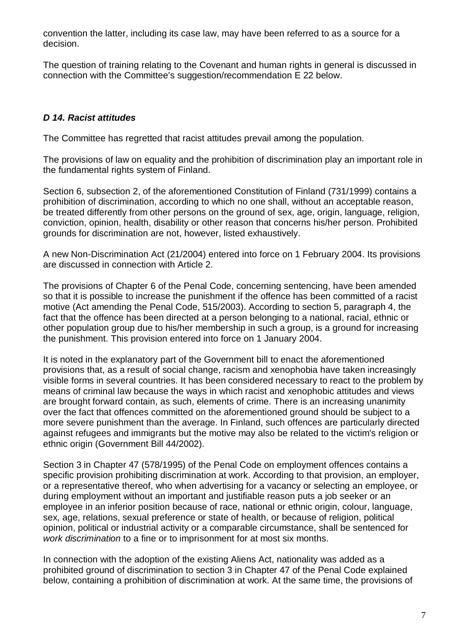convention the latter, including its case law, may have been referred to as a source for a decision.

The question of training relating to the Covenant and human rights in general is discussed in connection with the Committee's suggestion/recommendation E 22 below.

# <span id="page-6-0"></span>*D 14. Racist attitudes*

The Committee has regretted that racist attitudes prevail among the population.

The provisions of law on equality and the prohibition of discrimination play an important role in the fundamental rights system of Finland.

Section 6, subsection 2, of the aforementioned Constitution of Finland (731/1999) contains a prohibition of discrimination, according to which no one shall, without an acceptable reason, be treated differently from other persons on the ground of sex, age, origin, language, religion, conviction, opinion, health, disability or other reason that concerns his/her person. Prohibited grounds for discrimination are not, however, listed exhaustively.

A new Non-Discrimination Act (21/2004) entered into force on 1 February 2004. Its provisions are discussed in connection with Article 2.

The provisions of Chapter 6 of the Penal Code, concerning sentencing, have been amended so that it is possible to increase the punishment if the offence has been committed of a racist motive (Act amending the Penal Code, 515/2003). According to section 5, paragraph 4, the fact that the offence has been directed at a person belonging to a national, racial, ethnic or other population group due to his/her membership in such a group, is a ground for increasing the punishment. This provision entered into force on 1 January 2004.

It is noted in the explanatory part of the Government bill to enact the aforementioned provisions that, as a result of social change, racism and xenophobia have taken increasingly visible forms in several countries. It has been considered necessary to react to the problem by means of criminal law because the ways in which racist and xenophobic attitudes and views are brought forward contain, as such, elements of crime. There is an increasing unanimity over the fact that offences committed on the aforementioned ground should be subject to a more severe punishment than the average. In Finland, such offences are particularly directed against refugees and immigrants but the motive may also be related to the victim's religion or ethnic origin (Government Bill 44/2002).

Section 3 in Chapter 47 (578/1995) of the Penal Code on employment offences contains a specific provision prohibiting discrimination at work. According to that provision, an employer, or a representative thereof, who when advertising for a vacancy or selecting an employee, or during employment without an important and justifiable reason puts a job seeker or an employee in an inferior position because of race, national or ethnic origin, colour, language, sex, age, relations, sexual preference or state of health, or because of religion, political opinion, political or industrial activity or a comparable circumstance, shall be sentenced for *work discrimination* to a fine or to imprisonment for at most six months.

In connection with the adoption of the existing Aliens Act, nationality was added as a prohibited ground of discrimination to section 3 in Chapter 47 of the Penal Code explained below, containing a prohibition of discrimination at work. At the same time, the provisions of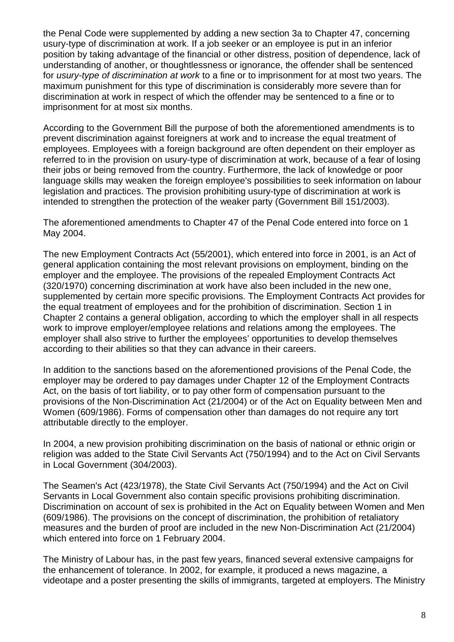the Penal Code were supplemented by adding a new section 3a to Chapter 47, concerning usury-type of discrimination at work. If a job seeker or an employee is put in an inferior position by taking advantage of the financial or other distress, position of dependence, lack of understanding of another, or thoughtlessness or ignorance, the offender shall be sentenced for *usury-type of discrimination at work* to a fine or to imprisonment for at most two years. The maximum punishment for this type of discrimination is considerably more severe than for discrimination at work in respect of which the offender may be sentenced to a fine or to imprisonment for at most six months.

According to the Government Bill the purpose of both the aforementioned amendments is to prevent discrimination against foreigners at work and to increase the equal treatment of employees. Employees with a foreign background are often dependent on their employer as referred to in the provision on usury-type of discrimination at work, because of a fear of losing their jobs or being removed from the country. Furthermore, the lack of knowledge or poor language skills may weaken the foreign employee's possibilities to seek information on labour legislation and practices. The provision prohibiting usury-type of discrimination at work is intended to strengthen the protection of the weaker party (Government Bill 151/2003).

The aforementioned amendments to Chapter 47 of the Penal Code entered into force on 1 May 2004.

The new Employment Contracts Act (55/2001), which entered into force in 2001, is an Act of general application containing the most relevant provisions on employment, binding on the employer and the employee. The provisions of the repealed Employment Contracts Act (320/1970) concerning discrimination at work have also been included in the new one, supplemented by certain more specific provisions. The Employment Contracts Act provides for the equal treatment of employees and for the prohibition of discrimination. Section 1 in Chapter 2 contains a general obligation, according to which the employer shall in all respects work to improve employer/employee relations and relations among the employees. The employer shall also strive to further the employees' opportunities to develop themselves according to their abilities so that they can advance in their careers.

In addition to the sanctions based on the aforementioned provisions of the Penal Code, the employer may be ordered to pay damages under Chapter 12 of the Employment Contracts Act, on the basis of tort liability, or to pay other form of compensation pursuant to the provisions of the Non-Discrimination Act (21/2004) or of the Act on Equality between Men and Women (609/1986). Forms of compensation other than damages do not require any tort attributable directly to the employer.

In 2004, a new provision prohibiting discrimination on the basis of national or ethnic origin or religion was added to the State Civil Servants Act (750/1994) and to the Act on Civil Servants in Local Government (304/2003).

The Seamen's Act (423/1978), the State Civil Servants Act (750/1994) and the Act on Civil Servants in Local Government also contain specific provisions prohibiting discrimination. Discrimination on account of sex is prohibited in the Act on Equality between Women and Men (609/1986). The provisions on the concept of discrimination, the prohibition of retaliatory measures and the burden of proof are included in the new Non-Discrimination Act (21/2004) which entered into force on 1 February 2004.

The Ministry of Labour has, in the past few years, financed several extensive campaigns for the enhancement of tolerance. In 2002, for example, it produced a news magazine, a videotape and a poster presenting the skills of immigrants, targeted at employers. The Ministry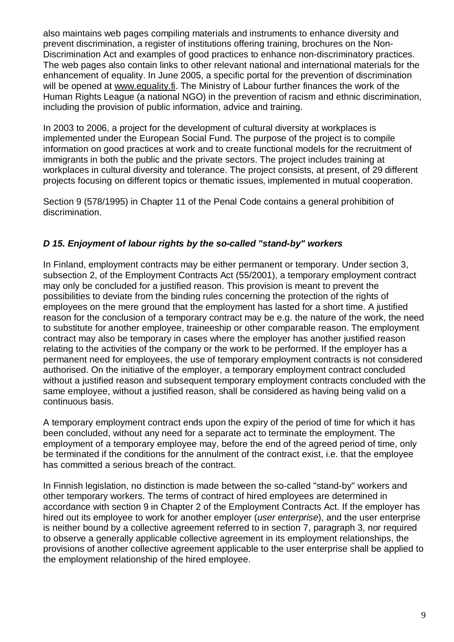also maintains web pages compiling materials and instruments to enhance diversity and prevent discrimination, a register of institutions offering training, brochures on the Non-Discrimination Act and examples of good practices to enhance non-discriminatory practices. The web pages also contain links to other relevant national and international materials for the enhancement of equality. In June 2005, a specific portal for the prevention of discrimination will be opened at www.equality.fi. The Ministry of Labour further finances the work of the Human Rights League (a national NGO) in the prevention of racism and ethnic discrimination, including the provision of public information, advice and training.

In 2003 to 2006, a project for the development of cultural diversity at workplaces is implemented under the European Social Fund. The purpose of the project is to compile information on good practices at work and to create functional models for the recruitment of immigrants in both the public and the private sectors. The project includes training at workplaces in cultural diversity and tolerance. The project consists, at present, of 29 different projects focusing on different topics or thematic issues, implemented in mutual cooperation.

Section 9 (578/1995) in Chapter 11 of the Penal Code contains a general prohibition of discrimination.

#### <span id="page-8-0"></span>*D 15. Enjoyment of labour rights by the so-called "stand-by" workers*

In Finland, employment contracts may be either permanent or temporary. Under section 3, subsection 2, of the Employment Contracts Act (55/2001), a temporary employment contract may only be concluded for a justified reason. This provision is meant to prevent the possibilities to deviate from the binding rules concerning the protection of the rights of employees on the mere ground that the employment has lasted for a short time. A justified reason for the conclusion of a temporary contract may be e.g. the nature of the work, the need to substitute for another employee, traineeship or other comparable reason. The employment contract may also be temporary in cases where the employer has another justified reason relating to the activities of the company or the work to be performed. If the employer has a permanent need for employees, the use of temporary employment contracts is not considered authorised. On the initiative of the employer, a temporary employment contract concluded without a justified reason and subsequent temporary employment contracts concluded with the same employee, without a justified reason, shall be considered as having being valid on a continuous basis.

A temporary employment contract ends upon the expiry of the period of time for which it has been concluded, without any need for a separate act to terminate the employment. The employment of a temporary employee may, before the end of the agreed period of time, only be terminated if the conditions for the annulment of the contract exist, i.e. that the employee has committed a serious breach of the contract.

In Finnish legislation, no distinction is made between the so-called "stand-by" workers and other temporary workers. The terms of contract of hired employees are determined in accordance with section 9 in Chapter 2 of the Employment Contracts Act. If the employer has hired out its employee to work for another employer (*user enterprise*), and the user enterprise is neither bound by a collective agreement referred to in section 7, paragraph 3, nor required to observe a generally applicable collective agreement in its employment relationships, the provisions of another collective agreement applicable to the user enterprise shall be applied to the employment relationship of the hired employee.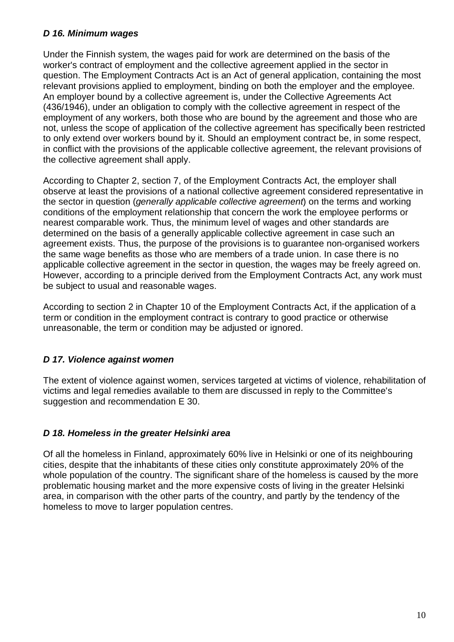### <span id="page-9-0"></span>*D 16. Minimum wages*

Under the Finnish system, the wages paid for work are determined on the basis of the worker's contract of employment and the collective agreement applied in the sector in question. The Employment Contracts Act is an Act of general application, containing the most relevant provisions applied to employment, binding on both the employer and the employee. An employer bound by a collective agreement is, under the Collective Agreements Act (436/1946), under an obligation to comply with the collective agreement in respect of the employment of any workers, both those who are bound by the agreement and those who are not, unless the scope of application of the collective agreement has specifically been restricted to only extend over workers bound by it. Should an employment contract be, in some respect, in conflict with the provisions of the applicable collective agreement, the relevant provisions of the collective agreement shall apply.

According to Chapter 2, section 7, of the Employment Contracts Act, the employer shall observe at least the provisions of a national collective agreement considered representative in the sector in question (*generally applicable collective agreement*) on the terms and working conditions of the employment relationship that concern the work the employee performs or nearest comparable work. Thus, the minimum level of wages and other standards are determined on the basis of a generally applicable collective agreement in case such an agreement exists. Thus, the purpose of the provisions is to guarantee non-organised workers the same wage benefits as those who are members of a trade union. In case there is no applicable collective agreement in the sector in question, the wages may be freely agreed on. However, according to a principle derived from the Employment Contracts Act, any work must be subject to usual and reasonable wages.

According to section 2 in Chapter 10 of the Employment Contracts Act, if the application of a term or condition in the employment contract is contrary to good practice or otherwise unreasonable, the term or condition may be adjusted or ignored.

# <span id="page-9-1"></span>*D 17. Violence against women*

The extent of violence against women, services targeted at victims of violence, rehabilitation of victims and legal remedies available to them are discussed in reply to the Committee's suggestion and recommendation E 30.

# <span id="page-9-2"></span>*D 18. Homeless in the greater Helsinki area*

Of all the homeless in Finland, approximately 60% live in Helsinki or one of its neighbouring cities, despite that the inhabitants of these cities only constitute approximately 20% of the whole population of the country. The significant share of the homeless is caused by the more problematic housing market and the more expensive costs of living in the greater Helsinki area, in comparison with the other parts of the country, and partly by the tendency of the homeless to move to larger population centres.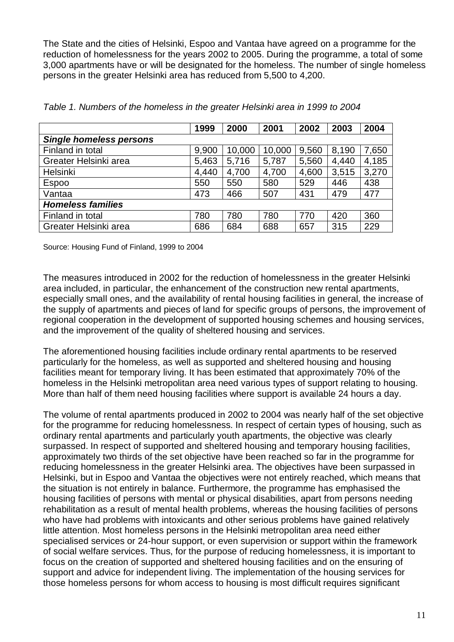The State and the cities of Helsinki, Espoo and Vantaa have agreed on a programme for the reduction of homelessness for the years 2002 to 2005. During the programme, a total of some 3,000 apartments have or will be designated for the homeless. The number of single homeless persons in the greater Helsinki area has reduced from 5,500 to 4,200.

|                                | 1999  | 2000   | 2001   | 2002  | 2003  | 2004  |
|--------------------------------|-------|--------|--------|-------|-------|-------|
| <b>Single homeless persons</b> |       |        |        |       |       |       |
| Finland in total               | 9,900 | 10,000 | 10,000 | 9,560 | 8,190 | 7,650 |
| Greater Helsinki area          | 5,463 | 5,716  | 5,787  | 5,560 | 4,440 | 4,185 |
| Helsinki                       | 4,440 | 4,700  | 4,700  | 4,600 | 3,515 | 3,270 |
| <b>Espoo</b>                   | 550   | 550    | 580    | 529   | 446   | 438   |
| Vantaa                         | 473   | 466    | 507    | 431   | 479   | 477   |
| <b>Homeless families</b>       |       |        |        |       |       |       |
| Finland in total               | 780   | 780    | 780    | 770   | 420   | 360   |
| Greater Helsinki area          | 686   | 684    | 688    | 657   | 315   | 229   |

*Table 1. Numbers of the homeless in the greater Helsinki area in 1999 to 2004*

Source: Housing Fund of Finland, 1999 to 2004

The measures introduced in 2002 for the reduction of homelessness in the greater Helsinki area included, in particular, the enhancement of the construction new rental apartments, especially small ones, and the availability of rental housing facilities in general, the increase of the supply of apartments and pieces of land for specific groups of persons, the improvement of regional cooperation in the development of supported housing schemes and housing services, and the improvement of the quality of sheltered housing and services.

The aforementioned housing facilities include ordinary rental apartments to be reserved particularly for the homeless, as well as supported and sheltered housing and housing facilities meant for temporary living. It has been estimated that approximately 70% of the homeless in the Helsinki metropolitan area need various types of support relating to housing. More than half of them need housing facilities where support is available 24 hours a day.

The volume of rental apartments produced in 2002 to 2004 was nearly half of the set objective for the programme for reducing homelessness. In respect of certain types of housing, such as ordinary rental apartments and particularly youth apartments, the objective was clearly surpassed. In respect of supported and sheltered housing and temporary housing facilities, approximately two thirds of the set objective have been reached so far in the programme for reducing homelessness in the greater Helsinki area. The objectives have been surpassed in Helsinki, but in Espoo and Vantaa the objectives were not entirely reached, which means that the situation is not entirely in balance. Furthermore, the programme has emphasised the housing facilities of persons with mental or physical disabilities, apart from persons needing rehabilitation as a result of mental health problems, whereas the housing facilities of persons who have had problems with intoxicants and other serious problems have gained relatively little attention. Most homeless persons in the Helsinki metropolitan area need either specialised services or 24-hour support, or even supervision or support within the framework of social welfare services. Thus, for the purpose of reducing homelessness, it is important to focus on the creation of supported and sheltered housing facilities and on the ensuring of support and advice for independent living. The implementation of the housing services for those homeless persons for whom access to housing is most difficult requires significant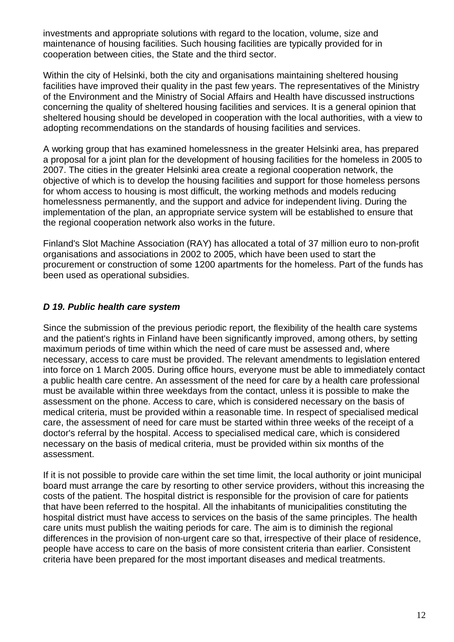investments and appropriate solutions with regard to the location, volume, size and maintenance of housing facilities. Such housing facilities are typically provided for in cooperation between cities, the State and the third sector.

Within the city of Helsinki, both the city and organisations maintaining sheltered housing facilities have improved their quality in the past few years. The representatives of the Ministry of the Environment and the Ministry of Social Affairs and Health have discussed instructions concerning the quality of sheltered housing facilities and services. It is a general opinion that sheltered housing should be developed in cooperation with the local authorities, with a view to adopting recommendations on the standards of housing facilities and services.

A working group that has examined homelessness in the greater Helsinki area, has prepared a proposal for a joint plan for the development of housing facilities for the homeless in 2005 to 2007. The cities in the greater Helsinki area create a regional cooperation network, the objective of which is to develop the housing facilities and support for those homeless persons for whom access to housing is most difficult, the working methods and models reducing homelessness permanently, and the support and advice for independent living. During the implementation of the plan, an appropriate service system will be established to ensure that the regional cooperation network also works in the future.

Finland's Slot Machine Association (RAY) has allocated a total of 37 million euro to non-profit organisations and associations in 2002 to 2005, which have been used to start the procurement or construction of some 1200 apartments for the homeless. Part of the funds has been used as operational subsidies.

# <span id="page-11-0"></span>*D 19. Public health care system*

Since the submission of the previous periodic report, the flexibility of the health care systems and the patient's rights in Finland have been significantly improved, among others, by setting maximum periods of time within which the need of care must be assessed and, where necessary, access to care must be provided. The relevant amendments to legislation entered into force on 1 March 2005. During office hours, everyone must be able to immediately contact a public health care centre. An assessment of the need for care by a health care professional must be available within three weekdays from the contact, unless it is possible to make the assessment on the phone. Access to care, which is considered necessary on the basis of medical criteria, must be provided within a reasonable time. In respect of specialised medical care, the assessment of need for care must be started within three weeks of the receipt of a doctor's referral by the hospital. Access to specialised medical care, which is considered necessary on the basis of medical criteria, must be provided within six months of the assessment.

If it is not possible to provide care within the set time limit, the local authority or joint municipal board must arrange the care by resorting to other service providers, without this increasing the costs of the patient. The hospital district is responsible for the provision of care for patients that have been referred to the hospital. All the inhabitants of municipalities constituting the hospital district must have access to services on the basis of the same principles. The health care units must publish the waiting periods for care. The aim is to diminish the regional differences in the provision of non-urgent care so that, irrespective of their place of residence, people have access to care on the basis of more consistent criteria than earlier. Consistent criteria have been prepared for the most important diseases and medical treatments.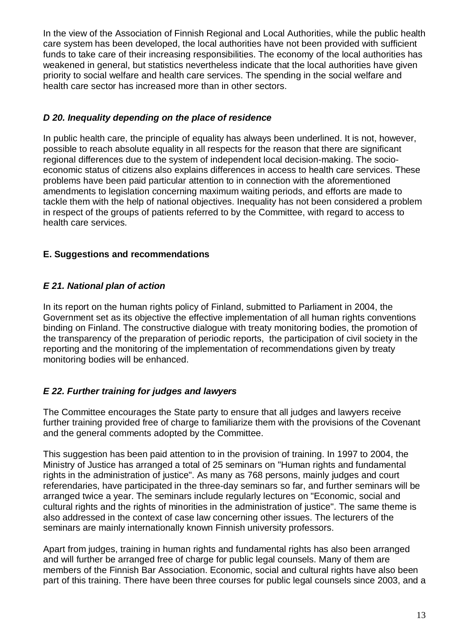In the view of the Association of Finnish Regional and Local Authorities, while the public health care system has been developed, the local authorities have not been provided with sufficient funds to take care of their increasing responsibilities. The economy of the local authorities has weakened in general, but statistics nevertheless indicate that the local authorities have given priority to social welfare and health care services. The spending in the social welfare and health care sector has increased more than in other sectors.

# <span id="page-12-0"></span>*D 20. Inequality depending on the place of residence*

In public health care, the principle of equality has always been underlined. It is not, however, possible to reach absolute equality in all respects for the reason that there are significant regional differences due to the system of independent local decision-making. The socioeconomic status of citizens also explains differences in access to health care services. These problems have been paid particular attention to in connection with the aforementioned amendments to legislation concerning maximum waiting periods, and efforts are made to tackle them with the help of national objectives. Inequality has not been considered a problem in respect of the groups of patients referred to by the Committee, with regard to access to health care services.

# <span id="page-12-1"></span>**E. Suggestions and recommendations**

# <span id="page-12-2"></span>*E 21. National plan of action*

In its report on the human rights policy of Finland, submitted to Parliament in 2004, the Government set as its objective the effective implementation of all human rights conventions binding on Finland. The constructive dialogue with treaty monitoring bodies, the promotion of the transparency of the preparation of periodic reports, the participation of civil society in the reporting and the monitoring of the implementation of recommendations given by treaty monitoring bodies will be enhanced.

# <span id="page-12-3"></span>*E 22. Further training for judges and lawyers*

The Committee encourages the State party to ensure that all judges and lawyers receive further training provided free of charge to familiarize them with the provisions of the Covenant and the general comments adopted by the Committee.

This suggestion has been paid attention to in the provision of training. In 1997 to 2004, the Ministry of Justice has arranged a total of 25 seminars on "Human rights and fundamental rights in the administration of justice". As many as 768 persons, mainly judges and court referendaries, have participated in the three-day seminars so far, and further seminars will be arranged twice a year. The seminars include regularly lectures on "Economic, social and cultural rights and the rights of minorities in the administration of justice". The same theme is also addressed in the context of case law concerning other issues. The lecturers of the seminars are mainly internationally known Finnish university professors.

Apart from judges, training in human rights and fundamental rights has also been arranged and will further be arranged free of charge for public legal counsels. Many of them are members of the Finnish Bar Association. Economic, social and cultural rights have also been part of this training. There have been three courses for public legal counsels since 2003, and a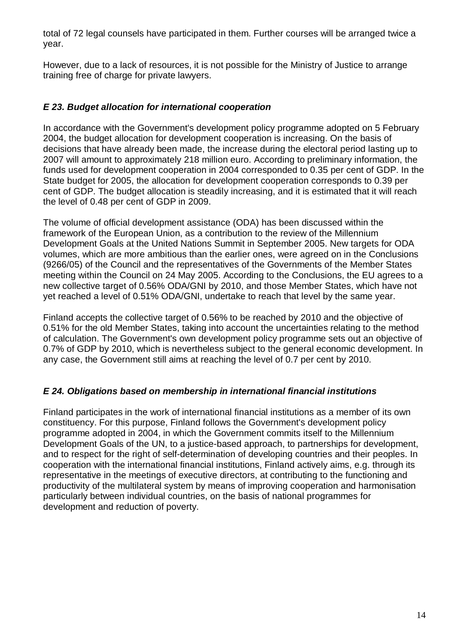total of 72 legal counsels have participated in them. Further courses will be arranged twice a year.

However, due to a lack of resources, it is not possible for the Ministry of Justice to arrange training free of charge for private lawyers.

# <span id="page-13-0"></span>*E 23. Budget allocation for international cooperation*

In accordance with the Government's development policy programme adopted on 5 February 2004, the budget allocation for development cooperation is increasing. On the basis of decisions that have already been made, the increase during the electoral period lasting up to 2007 will amount to approximately 218 million euro. According to preliminary information, the funds used for development cooperation in 2004 corresponded to 0.35 per cent of GDP. In the State budget for 2005, the allocation for development cooperation corresponds to 0.39 per cent of GDP. The budget allocation is steadily increasing, and it is estimated that it will reach the level of 0.48 per cent of GDP in 2009.

The volume of official development assistance (ODA) has been discussed within the framework of the European Union, as a contribution to the review of the Millennium Development Goals at the United Nations Summit in September 2005. New targets for ODA volumes, which are more ambitious than the earlier ones, were agreed on in the Conclusions (9266/05) of the Council and the representatives of the Governments of the Member States meeting within the Council on 24 May 2005. According to the Conclusions, the EU agrees to a new collective target of 0.56% ODA/GNI by 2010, and those Member States, which have not yet reached a level of 0.51% ODA/GNI, undertake to reach that level by the same year.

Finland accepts the collective target of 0.56% to be reached by 2010 and the objective of 0.51% for the old Member States, taking into account the uncertainties relating to the method of calculation. The Government's own development policy programme sets out an objective of 0.7% of GDP by 2010, which is nevertheless subject to the general economic development. In any case, the Government still aims at reaching the level of 0.7 per cent by 2010.

#### <span id="page-13-1"></span>*E 24. Obligations based on membership in international financial institutions*

Finland participates in the work of international financial institutions as a member of its own constituency. For this purpose, Finland follows the Government's development policy programme adopted in 2004, in which the Government commits itself to the Millennium Development Goals of the UN, to a justice-based approach, to partnerships for development, and to respect for the right of self-determination of developing countries and their peoples. In cooperation with the international financial institutions, Finland actively aims, e.g. through its representative in the meetings of executive directors, at contributing to the functioning and productivity of the multilateral system by means of improving cooperation and harmonisation particularly between individual countries, on the basis of national programmes for development and reduction of poverty.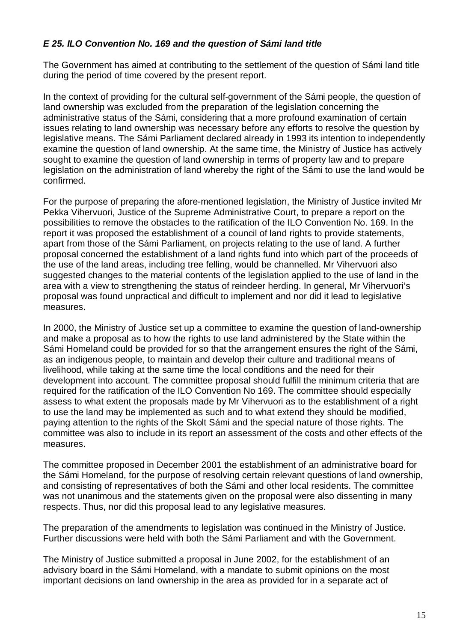#### <span id="page-14-0"></span>*E 25. ILO Convention No. 169 and the question of Sámi land title*

The Government has aimed at contributing to the settlement of the question of Sámi land title during the period of time covered by the present report.

In the context of providing for the cultural self-government of the Sámi people, the question of land ownership was excluded from the preparation of the legislation concerning the administrative status of the Sámi, considering that a more profound examination of certain issues relating to land ownership was necessary before any efforts to resolve the question by legislative means. The Sámi Parliament declared already in 1993 its intention to independently examine the question of land ownership. At the same time, the Ministry of Justice has actively sought to examine the question of land ownership in terms of property law and to prepare legislation on the administration of land whereby the right of the Sámi to use the land would be confirmed.

For the purpose of preparing the afore-mentioned legislation, the Ministry of Justice invited Mr Pekka Vihervuori, Justice of the Supreme Administrative Court, to prepare a report on the possibilities to remove the obstacles to the ratification of the ILO Convention No. 169. In the report it was proposed the establishment of a council of land rights to provide statements, apart from those of the Sámi Parliament, on projects relating to the use of land. A further proposal concerned the establishment of a land rights fund into which part of the proceeds of the use of the land areas, including tree felling, would be channelled. Mr Vihervuori also suggested changes to the material contents of the legislation applied to the use of land in the area with a view to strengthening the status of reindeer herding. In general, Mr Vihervuori's proposal was found unpractical and difficult to implement and nor did it lead to legislative measures.

In 2000, the Ministry of Justice set up a committee to examine the question of land-ownership and make a proposal as to how the rights to use land administered by the State within the Sámi Homeland could be provided for so that the arrangement ensures the right of the Sámi, as an indigenous people, to maintain and develop their culture and traditional means of livelihood, while taking at the same time the local conditions and the need for their development into account. The committee proposal should fulfill the minimum criteria that are required for the ratification of the ILO Convention No 169. The committee should especially assess to what extent the proposals made by Mr Vihervuori as to the establishment of a right to use the land may be implemented as such and to what extend they should be modified, paying attention to the rights of the Skolt Sámi and the special nature of those rights. The committee was also to include in its report an assessment of the costs and other effects of the measures.

The committee proposed in December 2001 the establishment of an administrative board for the Sámi Homeland, for the purpose of resolving certain relevant questions of land ownership, and consisting of representatives of both the Sámi and other local residents. The committee was not unanimous and the statements given on the proposal were also dissenting in many respects. Thus, nor did this proposal lead to any legislative measures.

The preparation of the amendments to legislation was continued in the Ministry of Justice. Further discussions were held with both the Sámi Parliament and with the Government.

The Ministry of Justice submitted a proposal in June 2002, for the establishment of an advisory board in the Sámi Homeland, with a mandate to submit opinions on the most important decisions on land ownership in the area as provided for in a separate act of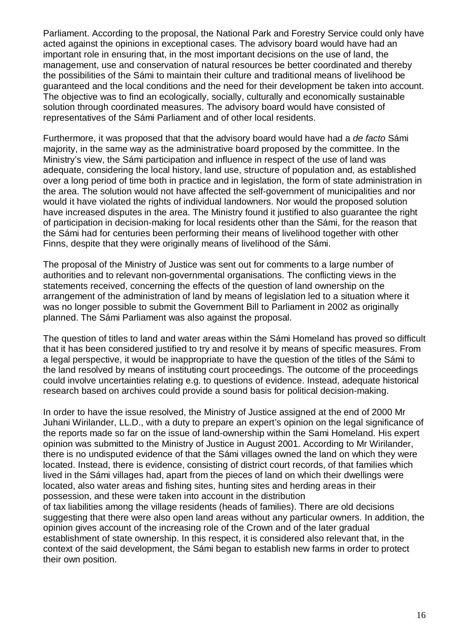Parliament. According to the proposal, the National Park and Forestry Service could only have acted against the opinions in exceptional cases. The advisory board would have had an important role in ensuring that, in the most important decisions on the use of land, the management, use and conservation of natural resources be better coordinated and thereby the possibilities of the Sámi to maintain their culture and traditional means of livelihood be guaranteed and the local conditions and the need for their development be taken into account. The objective was to find an ecologically, socially, culturally and economically sustainable solution through coordinated measures. The advisory board would have consisted of representatives of the Sámi Parliament and of other local residents.

Furthermore, it was proposed that that the advisory board would have had a *de facto* Sámi majority, in the same way as the administrative board proposed by the committee. In the Ministry's view, the Sámi participation and influence in respect of the use of land was adequate, considering the local history, land use, structure of population and, as established over a long period of time both in practice and in legislation, the form of state administration in the area. The solution would not have affected the self-government of municipalities and nor would it have violated the rights of individual landowners. Nor would the proposed solution have increased disputes in the area. The Ministry found it justified to also guarantee the right of participation in decision-making for local residents other than the Sámi, for the reason that the Sámi had for centuries been performing their means of livelihood together with other Finns, despite that they were originally means of livelihood of the Sámi.

The proposal of the Ministry of Justice was sent out for comments to a large number of authorities and to relevant non-governmental organisations. The conflicting views in the statements received, concerning the effects of the question of land ownership on the arrangement of the administration of land by means of legislation led to a situation where it was no longer possible to submit the Government Bill to Parliament in 2002 as originally planned. The Sámi Parliament was also against the proposal.

The question of titles to land and water areas within the Sámi Homeland has proved so difficult that it has been considered justified to try and resolve it by means of specific measures. From a legal perspective, it would be inappropriate to have the question of the titles of the Sámi to the land resolved by means of instituting court proceedings. The outcome of the proceedings could involve uncertainties relating e.g. to questions of evidence. Instead, adequate historical research based on archives could provide a sound basis for political decision-making.

In order to have the issue resolved, the Ministry of Justice assigned at the end of 2000 Mr Juhani Wirilander, LL.D., with a duty to prepare an expert's opinion on the legal significance of the reports made so far on the issue of land-ownership within the Sami Homeland. His expert opinion was submitted to the Ministry of Justice in August 2001. According to Mr Wirilander, there is no undisputed evidence of that the Sámi villages owned the land on which they were located. Instead, there is evidence, consisting of district court records, of that families which lived in the Sámi villages had, apart from the pieces of land on which their dwellings were located, also water areas and fishing sites, hunting sites and herding areas in their possession, and these were taken into account in the distribution of tax liabilities among the village residents (heads of families). There are old decisions suggesting that there were also open land areas without any particular owners. In addition, the opinion gives account of the increasing role of the Crown and of the later gradual establishment of state ownership. In this respect, it is considered also relevant that, in the context of the said development, the Sámi began to establish new farms in order to protect their own position.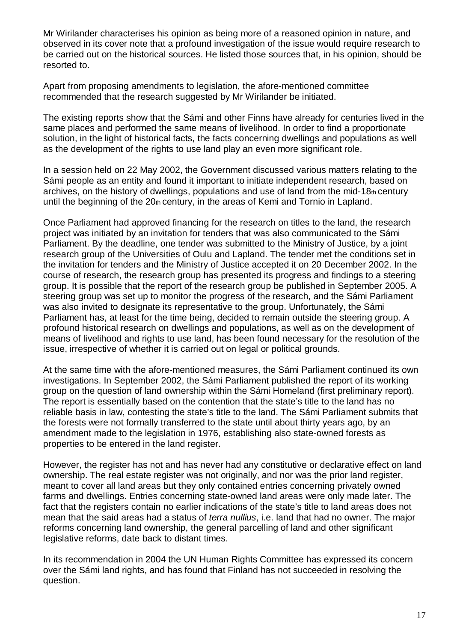Mr Wirilander characterises his opinion as being more of a reasoned opinion in nature, and observed in its cover note that a profound investigation of the issue would require research to be carried out on the historical sources. He listed those sources that, in his opinion, should be resorted to.

Apart from proposing amendments to legislation, the afore-mentioned committee recommended that the research suggested by Mr Wirilander be initiated.

The existing reports show that the Sámi and other Finns have already for centuries lived in the same places and performed the same means of livelihood. In order to find a proportionate solution, in the light of historical facts, the facts concerning dwellings and populations as well as the development of the rights to use land play an even more significant role.

In a session held on 22 May 2002, the Government discussed various matters relating to the Sámi people as an entity and found it important to initiate independent research, based on archives, on the history of dwellings, populations and use of land from the mid-18th century until the beginning of the 20th century, in the areas of Kemi and Tornio in Lapland.

Once Parliament had approved financing for the research on titles to the land, the research project was initiated by an invitation for tenders that was also communicated to the Sámi Parliament. By the deadline, one tender was submitted to the Ministry of Justice, by a joint research group of the Universities of Oulu and Lapland. The tender met the conditions set in the invitation for tenders and the Ministry of Justice accepted it on 20 December 2002. In the course of research, the research group has presented its progress and findings to a steering group. It is possible that the report of the research group be published in September 2005. A steering group was set up to monitor the progress of the research, and the Sámi Parliament was also invited to designate its representative to the group. Unfortunately, the Sámi Parliament has, at least for the time being, decided to remain outside the steering group. A profound historical research on dwellings and populations, as well as on the development of means of livelihood and rights to use land, has been found necessary for the resolution of the issue, irrespective of whether it is carried out on legal or political grounds.

At the same time with the afore-mentioned measures, the Sámi Parliament continued its own investigations. In September 2002, the Sámi Parliament published the report of its working group on the question of land ownership within the Sámi Homeland (first preliminary report). The report is essentially based on the contention that the state's title to the land has no reliable basis in law, contesting the state's title to the land. The Sámi Parliament submits that the forests were not formally transferred to the state until about thirty years ago, by an amendment made to the legislation in 1976, establishing also state-owned forests as properties to be entered in the land register.

However, the register has not and has never had any constitutive or declarative effect on land ownership. The real estate register was not originally, and nor was the prior land register, meant to cover all land areas but they only contained entries concerning privately owned farms and dwellings. Entries concerning state-owned land areas were only made later. The fact that the registers contain no earlier indications of the state's title to land areas does not mean that the said areas had a status of *terra nullius*, i.e. land that had no owner. The major reforms concerning land ownership, the general parcelling of land and other significant legislative reforms, date back to distant times.

In its recommendation in 2004 the UN Human Rights Committee has expressed its concern over the Sámi land rights, and has found that Finland has not succeeded in resolving the question.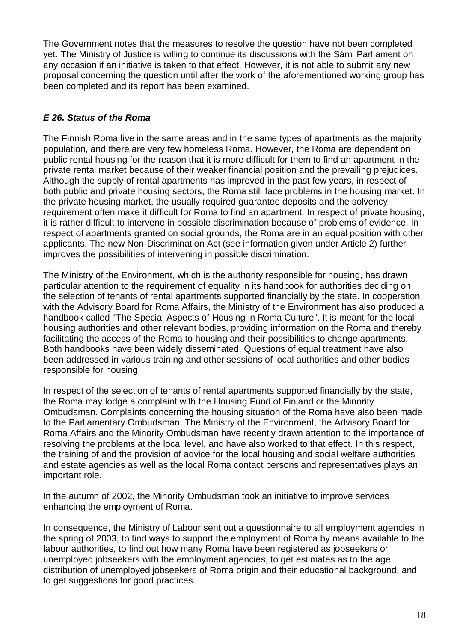The Government notes that the measures to resolve the question have not been completed yet. The Ministry of Justice is willing to continue its discussions with the Sámi Parliament on any occasion if an initiative is taken to that effect. However, it is not able to submit any new proposal concerning the question until after the work of the aforementioned working group has been completed and its report has been examined.

# <span id="page-17-0"></span>*E 26. Status of the Roma*

The Finnish Roma live in the same areas and in the same types of apartments as the majority population, and there are very few homeless Roma. However, the Roma are dependent on public rental housing for the reason that it is more difficult for them to find an apartment in the private rental market because of their weaker financial position and the prevailing prejudices. Although the supply of rental apartments has improved in the past few years, in respect of both public and private housing sectors, the Roma still face problems in the housing market. In the private housing market, the usually required guarantee deposits and the solvency requirement often make it difficult for Roma to find an apartment. In respect of private housing, it is rather difficult to intervene in possible discrimination because of problems of evidence. In respect of apartments granted on social grounds, the Roma are in an equal position with other applicants. The new Non-Discrimination Act (see information given under Article 2) further improves the possibilities of intervening in possible discrimination.

The Ministry of the Environment, which is the authority responsible for housing, has drawn particular attention to the requirement of equality in its handbook for authorities deciding on the selection of tenants of rental apartments supported financially by the state. In cooperation with the Advisory Board for Roma Affairs, the Ministry of the Environment has also produced a handbook called "The Special Aspects of Housing in Roma Culture". It is meant for the local housing authorities and other relevant bodies, providing information on the Roma and thereby facilitating the access of the Roma to housing and their possibilities to change apartments. Both handbooks have been widely disseminated. Questions of equal treatment have also been addressed in various training and other sessions of local authorities and other bodies responsible for housing.

In respect of the selection of tenants of rental apartments supported financially by the state, the Roma may lodge a complaint with the Housing Fund of Finland or the Minority Ombudsman. Complaints concerning the housing situation of the Roma have also been made to the Parliamentary Ombudsman. The Ministry of the Environment, the Advisory Board for Roma Affairs and the Minority Ombudsman have recently drawn attention to the importance of resolving the problems at the local level, and have also worked to that effect. In this respect, the training of and the provision of advice for the local housing and social welfare authorities and estate agencies as well as the local Roma contact persons and representatives plays an important role.

In the autumn of 2002, the Minority Ombudsman took an initiative to improve services enhancing the employment of Roma.

In consequence, the Ministry of Labour sent out a questionnaire to all employment agencies in the spring of 2003, to find ways to support the employment of Roma by means available to the labour authorities, to find out how many Roma have been registered as jobseekers or unemployed jobseekers with the employment agencies, to get estimates as to the age distribution of unemployed jobseekers of Roma origin and their educational background, and to get suggestions for good practices.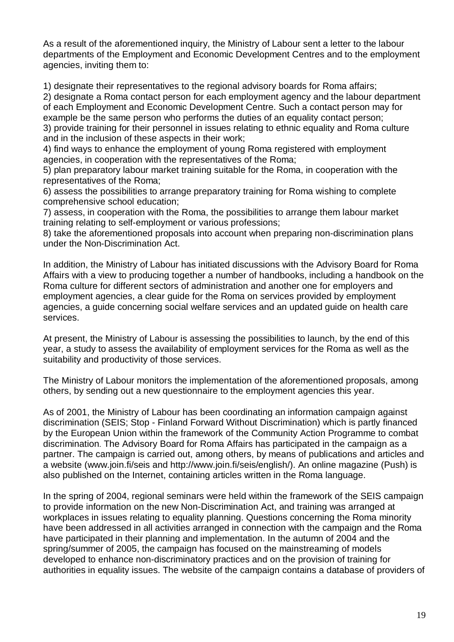As a result of the aforementioned inquiry, the Ministry of Labour sent a letter to the labour departments of the Employment and Economic Development Centres and to the employment agencies, inviting them to:

1) designate their representatives to the regional advisory boards for Roma affairs;

2) designate a Roma contact person for each employment agency and the labour department of each Employment and Economic Development Centre. Such a contact person may for example be the same person who performs the duties of an equality contact person; 3) provide training for their personnel in issues relating to ethnic equality and Roma culture and in the inclusion of these aspects in their work;

4) find ways to enhance the employment of young Roma registered with employment agencies, in cooperation with the representatives of the Roma;

5) plan preparatory labour market training suitable for the Roma, in cooperation with the representatives of the Roma;

6) assess the possibilities to arrange preparatory training for Roma wishing to complete comprehensive school education;

7) assess, in cooperation with the Roma, the possibilities to arrange them labour market training relating to self-employment or various professions;

8) take the aforementioned proposals into account when preparing non-discrimination plans under the Non-Discrimination Act.

In addition, the Ministry of Labour has initiated discussions with the Advisory Board for Roma Affairs with a view to producing together a number of handbooks, including a handbook on the Roma culture for different sectors of administration and another one for employers and employment agencies, a clear guide for the Roma on services provided by employment agencies, a guide concerning social welfare services and an updated guide on health care services.

At present, the Ministry of Labour is assessing the possibilities to launch, by the end of this year, a study to assess the availability of employment services for the Roma as well as the suitability and productivity of those services.

The Ministry of Labour monitors the implementation of the aforementioned proposals, among others, by sending out a new questionnaire to the employment agencies this year.

As of 2001, the Ministry of Labour has been coordinating an information campaign against discrimination (SEIS; Stop - Finland Forward Without Discrimination) which is partly financed by the European Union within the framework of the Community Action Programme to combat discrimination. The Advisory Board for Roma Affairs has participated in the campaign as a partner. The campaign is carried out, among others, by means of publications and articles and a website (www.join.fi/seis and http://www.join.fi/seis/english/). An online magazine (Push) is also published on the Internet, containing articles written in the Roma language.

In the spring of 2004, regional seminars were held within the framework of the SEIS campaign to provide information on the new Non-Discrimination Act, and training was arranged at workplaces in issues relating to equality planning. Questions concerning the Roma minority have been addressed in all activities arranged in connection with the campaign and the Roma have participated in their planning and implementation. In the autumn of 2004 and the spring/summer of 2005, the campaign has focused on the mainstreaming of models developed to enhance non-discriminatory practices and on the provision of training for authorities in equality issues. The website of the campaign contains a database of providers of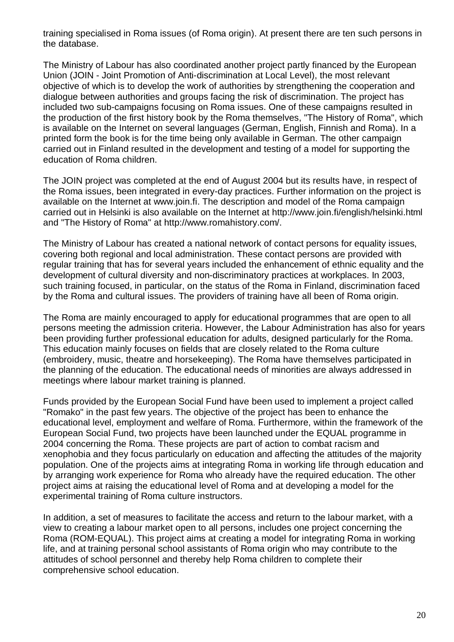training specialised in Roma issues (of Roma origin). At present there are ten such persons in the database.

The Ministry of Labour has also coordinated another project partly financed by the European Union (JOIN - Joint Promotion of Anti-discrimination at Local Level), the most relevant objective of which is to develop the work of authorities by strengthening the cooperation and dialogue between authorities and groups facing the risk of discrimination. The project has included two sub-campaigns focusing on Roma issues. One of these campaigns resulted in the production of the first history book by the Roma themselves, "The History of Roma", which is available on the Internet on several languages (German, English, Finnish and Roma). In a printed form the book is for the time being only available in German. The other campaign carried out in Finland resulted in the development and testing of a model for supporting the education of Roma children.

The JOIN project was completed at the end of August 2004 but its results have, in respect of the Roma issues, been integrated in every-day practices. Further information on the project is available on the Internet at www.join.fi. The description and model of the Roma campaign carried out in Helsinki is also available on the Internet at http://www.join.fi/english/helsinki.html and "The History of Roma" at http://www.romahistory.com/.

The Ministry of Labour has created a national network of contact persons for equality issues, covering both regional and local administration. These contact persons are provided with regular training that has for several years included the enhancement of ethnic equality and the development of cultural diversity and non-discriminatory practices at workplaces. In 2003, such training focused, in particular, on the status of the Roma in Finland, discrimination faced by the Roma and cultural issues. The providers of training have all been of Roma origin.

The Roma are mainly encouraged to apply for educational programmes that are open to all persons meeting the admission criteria. However, the Labour Administration has also for years been providing further professional education for adults, designed particularly for the Roma. This education mainly focuses on fields that are closely related to the Roma culture (embroidery, music, theatre and horsekeeping). The Roma have themselves participated in the planning of the education. The educational needs of minorities are always addressed in meetings where labour market training is planned.

Funds provided by the European Social Fund have been used to implement a project called "Romako" in the past few years. The objective of the project has been to enhance the educational level, employment and welfare of Roma. Furthermore, within the framework of the European Social Fund, two projects have been launched under the EQUAL programme in 2004 concerning the Roma. These projects are part of action to combat racism and xenophobia and they focus particularly on education and affecting the attitudes of the majority population. One of the projects aims at integrating Roma in working life through education and by arranging work experience for Roma who already have the required education. The other project aims at raising the educational level of Roma and at developing a model for the experimental training of Roma culture instructors.

In addition, a set of measures to facilitate the access and return to the labour market, with a view to creating a labour market open to all persons, includes one project concerning the Roma (ROM-EQUAL). This project aims at creating a model for integrating Roma in working life, and at training personal school assistants of Roma origin who may contribute to the attitudes of school personnel and thereby help Roma children to complete their comprehensive school education.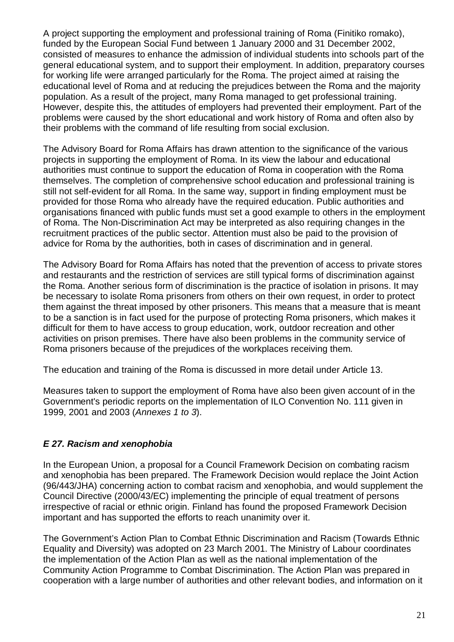A project supporting the employment and professional training of Roma (Finitiko romako), funded by the European Social Fund between 1 January 2000 and 31 December 2002, consisted of measures to enhance the admission of individual students into schools part of the general educational system, and to support their employment. In addition, preparatory courses for working life were arranged particularly for the Roma. The project aimed at raising the educational level of Roma and at reducing the prejudices between the Roma and the majority population. As a result of the project, many Roma managed to get professional training. However, despite this, the attitudes of employers had prevented their employment. Part of the problems were caused by the short educational and work history of Roma and often also by their problems with the command of life resulting from social exclusion.

The Advisory Board for Roma Affairs has drawn attention to the significance of the various projects in supporting the employment of Roma. In its view the labour and educational authorities must continue to support the education of Roma in cooperation with the Roma themselves. The completion of comprehensive school education and professional training is still not self-evident for all Roma. In the same way, support in finding employment must be provided for those Roma who already have the required education. Public authorities and organisations financed with public funds must set a good example to others in the employment of Roma. The Non-Discrimination Act may be interpreted as also requiring changes in the recruitment practices of the public sector. Attention must also be paid to the provision of advice for Roma by the authorities, both in cases of discrimination and in general.

The Advisory Board for Roma Affairs has noted that the prevention of access to private stores and restaurants and the restriction of services are still typical forms of discrimination against the Roma. Another serious form of discrimination is the practice of isolation in prisons. It may be necessary to isolate Roma prisoners from others on their own request, in order to protect them against the threat imposed by other prisoners. This means that a measure that is meant to be a sanction is in fact used for the purpose of protecting Roma prisoners, which makes it difficult for them to have access to group education, work, outdoor recreation and other activities on prison premises. There have also been problems in the community service of Roma prisoners because of the prejudices of the workplaces receiving them.

The education and training of the Roma is discussed in more detail under Article 13.

Measures taken to support the employment of Roma have also been given account of in the Government's periodic reports on the implementation of ILO Convention No. 111 given in 1999, 2001 and 2003 (*Annexes 1 to 3*).

# <span id="page-20-0"></span>*E 27. Racism and xenophobia*

In the European Union, a proposal for a Council Framework Decision on combating racism and xenophobia has been prepared. The Framework Decision would replace the Joint Action (96/443/JHA) concerning action to combat racism and xenophobia, and would supplement the Council Directive (2000/43/EC) implementing the principle of equal treatment of persons irrespective of racial or ethnic origin. Finland has found the proposed Framework Decision important and has supported the efforts to reach unanimity over it.

The Government's Action Plan to Combat Ethnic Discrimination and Racism (Towards Ethnic Equality and Diversity) was adopted on 23 March 2001. The Ministry of Labour coordinates the implementation of the Action Plan as well as the national implementation of the Community Action Programme to Combat Discrimination. The Action Plan was prepared in cooperation with a large number of authorities and other relevant bodies, and information on it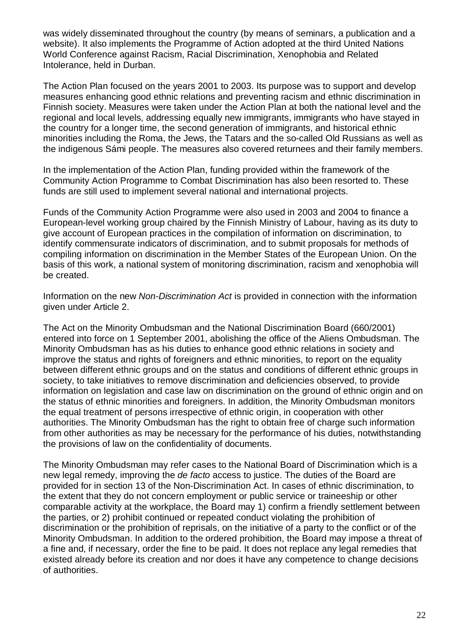was widely disseminated throughout the country (by means of seminars, a publication and a website). It also implements the Programme of Action adopted at the third United Nations World Conference against Racism, Racial Discrimination, Xenophobia and Related Intolerance, held in Durban.

The Action Plan focused on the years 2001 to 2003. Its purpose was to support and develop measures enhancing good ethnic relations and preventing racism and ethnic discrimination in Finnish society. Measures were taken under the Action Plan at both the national level and the regional and local levels, addressing equally new immigrants, immigrants who have stayed in the country for a longer time, the second generation of immigrants, and historical ethnic minorities including the Roma, the Jews, the Tatars and the so-called Old Russians as well as the indigenous Sámi people. The measures also covered returnees and their family members.

In the implementation of the Action Plan, funding provided within the framework of the Community Action Programme to Combat Discrimination has also been resorted to. These funds are still used to implement several national and international projects.

Funds of the Community Action Programme were also used in 2003 and 2004 to finance a European-level working group chaired by the Finnish Ministry of Labour, having as its duty to give account of European practices in the compilation of information on discrimination, to identify commensurate indicators of discrimination, and to submit proposals for methods of compiling information on discrimination in the Member States of the European Union. On the basis of this work, a national system of monitoring discrimination, racism and xenophobia will be created.

Information on the new *Non-Discrimination Act* is provided in connection with the information given under Article 2.

The Act on the Minority Ombudsman and the National Discrimination Board (660/2001) entered into force on 1 September 2001, abolishing the office of the Aliens Ombudsman. The Minority Ombudsman has as his duties to enhance good ethnic relations in society and improve the status and rights of foreigners and ethnic minorities, to report on the equality between different ethnic groups and on the status and conditions of different ethnic groups in society, to take initiatives to remove discrimination and deficiencies observed, to provide information on legislation and case law on discrimination on the ground of ethnic origin and on the status of ethnic minorities and foreigners. In addition, the Minority Ombudsman monitors the equal treatment of persons irrespective of ethnic origin, in cooperation with other authorities. The Minority Ombudsman has the right to obtain free of charge such information from other authorities as may be necessary for the performance of his duties, notwithstanding the provisions of law on the confidentiality of documents.

The Minority Ombudsman may refer cases to the National Board of Discrimination which is a new legal remedy, improving the *de facto* access to justice. The duties of the Board are provided for in section 13 of the Non-Discrimination Act. In cases of ethnic discrimination, to the extent that they do not concern employment or public service or traineeship or other comparable activity at the workplace, the Board may 1) confirm a friendly settlement between the parties, or 2) prohibit continued or repeated conduct violating the prohibition of discrimination or the prohibition of reprisals, on the initiative of a party to the conflict or of the Minority Ombudsman. In addition to the ordered prohibition, the Board may impose a threat of a fine and, if necessary, order the fine to be paid. It does not replace any legal remedies that existed already before its creation and nor does it have any competence to change decisions of authorities.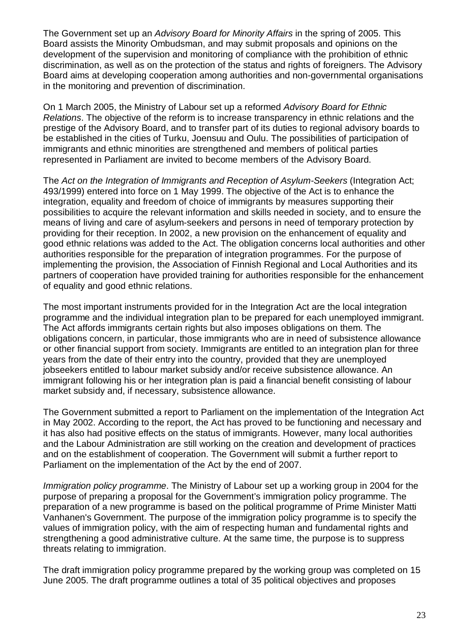The Government set up an *Advisory Board for Minority Affairs* in the spring of 2005. This Board assists the Minority Ombudsman, and may submit proposals and opinions on the development of the supervision and monitoring of compliance with the prohibition of ethnic discrimination, as well as on the protection of the status and rights of foreigners. The Advisory Board aims at developing cooperation among authorities and non-governmental organisations in the monitoring and prevention of discrimination.

On 1 March 2005, the Ministry of Labour set up a reformed *Advisory Board for Ethnic Relations*. The objective of the reform is to increase transparency in ethnic relations and the prestige of the Advisory Board, and to transfer part of its duties to regional advisory boards to be established in the cities of Turku, Joensuu and Oulu. The possibilities of participation of immigrants and ethnic minorities are strengthened and members of political parties represented in Parliament are invited to become members of the Advisory Board.

The *Act on the Integration of Immigrants and Reception of Asylum-Seekers* (Integration Act; 493/1999) entered into force on 1 May 1999. The objective of the Act is to enhance the integration, equality and freedom of choice of immigrants by measures supporting their possibilities to acquire the relevant information and skills needed in society, and to ensure the means of living and care of asylum-seekers and persons in need of temporary protection by providing for their reception. In 2002, a new provision on the enhancement of equality and good ethnic relations was added to the Act. The obligation concerns local authorities and other authorities responsible for the preparation of integration programmes. For the purpose of implementing the provision, the Association of Finnish Regional and Local Authorities and its partners of cooperation have provided training for authorities responsible for the enhancement of equality and good ethnic relations.

The most important instruments provided for in the Integration Act are the local integration programme and the individual integration plan to be prepared for each unemployed immigrant. The Act affords immigrants certain rights but also imposes obligations on them. The obligations concern, in particular, those immigrants who are in need of subsistence allowance or other financial support from society. Immigrants are entitled to an integration plan for three years from the date of their entry into the country, provided that they are unemployed jobseekers entitled to labour market subsidy and/or receive subsistence allowance. An immigrant following his or her integration plan is paid a financial benefit consisting of labour market subsidy and, if necessary, subsistence allowance.

The Government submitted a report to Parliament on the implementation of the Integration Act in May 2002. According to the report, the Act has proved to be functioning and necessary and it has also had positive effects on the status of immigrants. However, many local authorities and the Labour Administration are still working on the creation and development of practices and on the establishment of cooperation. The Government will submit a further report to Parliament on the implementation of the Act by the end of 2007.

*Immigration policy programme*. The Ministry of Labour set up a working group in 2004 for the purpose of preparing a proposal for the Government's immigration policy programme. The preparation of a new programme is based on the political programme of Prime Minister Matti Vanhanen's Government. The purpose of the immigration policy programme is to specify the values of immigration policy, with the aim of respecting human and fundamental rights and strengthening a good administrative culture. At the same time, the purpose is to suppress threats relating to immigration.

The draft immigration policy programme prepared by the working group was completed on 15 June 2005. The draft programme outlines a total of 35 political objectives and proposes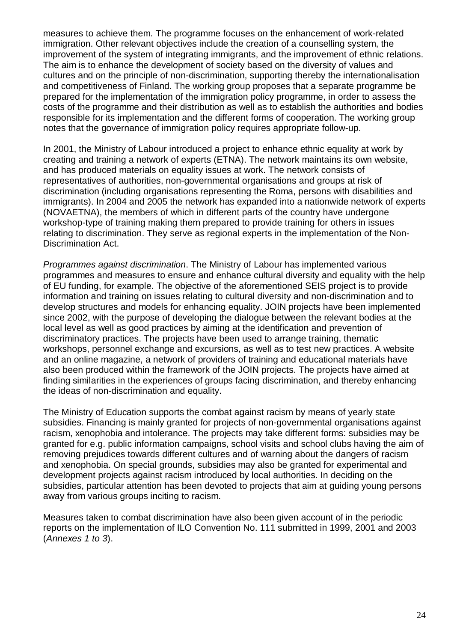measures to achieve them. The programme focuses on the enhancement of work-related immigration. Other relevant objectives include the creation of a counselling system, the improvement of the system of integrating immigrants, and the improvement of ethnic relations. The aim is to enhance the development of society based on the diversity of values and cultures and on the principle of non-discrimination, supporting thereby the internationalisation and competitiveness of Finland. The working group proposes that a separate programme be prepared for the implementation of the immigration policy programme, in order to assess the costs of the programme and their distribution as well as to establish the authorities and bodies responsible for its implementation and the different forms of cooperation. The working group notes that the governance of immigration policy requires appropriate follow-up.

In 2001, the Ministry of Labour introduced a project to enhance ethnic equality at work by creating and training a network of experts (ETNA). The network maintains its own website, and has produced materials on equality issues at work. The network consists of representatives of authorities, non-governmental organisations and groups at risk of discrimination (including organisations representing the Roma, persons with disabilities and immigrants). In 2004 and 2005 the network has expanded into a nationwide network of experts (NOVAETNA), the members of which in different parts of the country have undergone workshop-type of training making them prepared to provide training for others in issues relating to discrimination. They serve as regional experts in the implementation of the Non-Discrimination Act.

*Programmes against discrimination*. The Ministry of Labour has implemented various programmes and measures to ensure and enhance cultural diversity and equality with the help of EU funding, for example. The objective of the aforementioned SEIS project is to provide information and training on issues relating to cultural diversity and non-discrimination and to develop structures and models for enhancing equality. JOIN projects have been implemented since 2002, with the purpose of developing the dialogue between the relevant bodies at the local level as well as good practices by aiming at the identification and prevention of discriminatory practices. The projects have been used to arrange training, thematic workshops, personnel exchange and excursions, as well as to test new practices. A website and an online magazine, a network of providers of training and educational materials have also been produced within the framework of the JOIN projects. The projects have aimed at finding similarities in the experiences of groups facing discrimination, and thereby enhancing the ideas of non-discrimination and equality.

The Ministry of Education supports the combat against racism by means of yearly state subsidies. Financing is mainly granted for projects of non-governmental organisations against racism, xenophobia and intolerance. The projects may take different forms: subsidies may be granted for e.g. public information campaigns, school visits and school clubs having the aim of removing prejudices towards different cultures and of warning about the dangers of racism and xenophobia. On special grounds, subsidies may also be granted for experimental and development projects against racism introduced by local authorities. In deciding on the subsidies, particular attention has been devoted to projects that aim at guiding young persons away from various groups inciting to racism.

Measures taken to combat discrimination have also been given account of in the periodic reports on the implementation of ILO Convention No. 111 submitted in 1999, 2001 and 2003 (*Annexes 1 to 3*).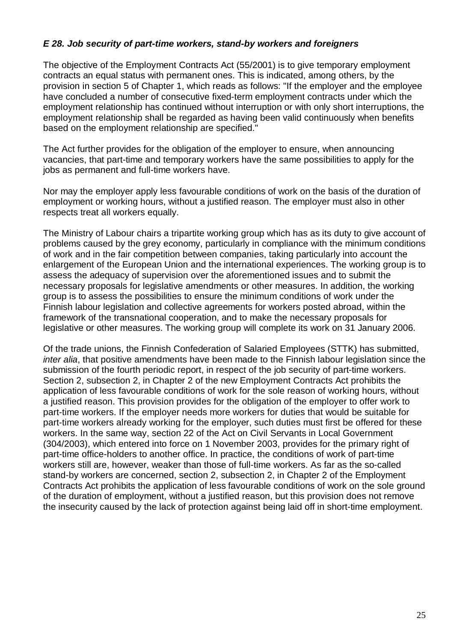#### <span id="page-24-0"></span>*E 28. Job security of part-time workers, stand-by workers and foreigners*

The objective of the Employment Contracts Act (55/2001) is to give temporary employment contracts an equal status with permanent ones. This is indicated, among others, by the provision in section 5 of Chapter 1, which reads as follows: "If the employer and the employee have concluded a number of consecutive fixed-term employment contracts under which the employment relationship has continued without interruption or with only short interruptions, the employment relationship shall be regarded as having been valid continuously when benefits based on the employment relationship are specified."

The Act further provides for the obligation of the employer to ensure, when announcing vacancies, that part-time and temporary workers have the same possibilities to apply for the jobs as permanent and full-time workers have.

Nor may the employer apply less favourable conditions of work on the basis of the duration of employment or working hours, without a justified reason. The employer must also in other respects treat all workers equally.

The Ministry of Labour chairs a tripartite working group which has as its duty to give account of problems caused by the grey economy, particularly in compliance with the minimum conditions of work and in the fair competition between companies, taking particularly into account the enlargement of the European Union and the international experiences. The working group is to assess the adequacy of supervision over the aforementioned issues and to submit the necessary proposals for legislative amendments or other measures. In addition, the working group is to assess the possibilities to ensure the minimum conditions of work under the Finnish labour legislation and collective agreements for workers posted abroad, within the framework of the transnational cooperation, and to make the necessary proposals for legislative or other measures. The working group will complete its work on 31 January 2006.

Of the trade unions, the Finnish Confederation of Salaried Employees (STTK) has submitted, *inter alia*, that positive amendments have been made to the Finnish labour legislation since the submission of the fourth periodic report, in respect of the job security of part-time workers. Section 2, subsection 2, in Chapter 2 of the new Employment Contracts Act prohibits the application of less favourable conditions of work for the sole reason of working hours, without a justified reason. This provision provides for the obligation of the employer to offer work to part-time workers. If the employer needs more workers for duties that would be suitable for part-time workers already working for the employer, such duties must first be offered for these workers. In the same way, section 22 of the Act on Civil Servants in Local Government (304/2003), which entered into force on 1 November 2003, provides for the primary right of part-time office-holders to another office. In practice, the conditions of work of part-time workers still are, however, weaker than those of full-time workers. As far as the so-called stand-by workers are concerned, section 2, subsection 2, in Chapter 2 of the Employment Contracts Act prohibits the application of less favourable conditions of work on the sole ground of the duration of employment, without a justified reason, but this provision does not remove the insecurity caused by the lack of protection against being laid off in short-time employment.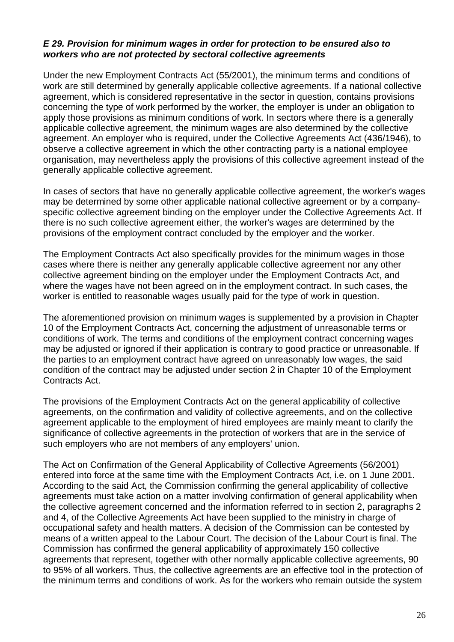#### <span id="page-25-0"></span>*E 29. Provision for minimum wages in order for protection to be ensured also to workers who are not protected by sectoral collective agreements*

Under the new Employment Contracts Act (55/2001), the minimum terms and conditions of work are still determined by generally applicable collective agreements. If a national collective agreement, which is considered representative in the sector in question, contains provisions concerning the type of work performed by the worker, the employer is under an obligation to apply those provisions as minimum conditions of work. In sectors where there is a generally applicable collective agreement, the minimum wages are also determined by the collective agreement. An employer who is required, under the Collective Agreements Act (436/1946), to observe a collective agreement in which the other contracting party is a national employee organisation, may nevertheless apply the provisions of this collective agreement instead of the generally applicable collective agreement.

In cases of sectors that have no generally applicable collective agreement, the worker's wages may be determined by some other applicable national collective agreement or by a companyspecific collective agreement binding on the employer under the Collective Agreements Act. If there is no such collective agreement either, the worker's wages are determined by the provisions of the employment contract concluded by the employer and the worker.

The Employment Contracts Act also specifically provides for the minimum wages in those cases where there is neither any generally applicable collective agreement nor any other collective agreement binding on the employer under the Employment Contracts Act, and where the wages have not been agreed on in the employment contract. In such cases, the worker is entitled to reasonable wages usually paid for the type of work in question.

The aforementioned provision on minimum wages is supplemented by a provision in Chapter 10 of the Employment Contracts Act, concerning the adjustment of unreasonable terms or conditions of work. The terms and conditions of the employment contract concerning wages may be adjusted or ignored if their application is contrary to good practice or unreasonable. If the parties to an employment contract have agreed on unreasonably low wages, the said condition of the contract may be adjusted under section 2 in Chapter 10 of the Employment Contracts Act.

The provisions of the Employment Contracts Act on the general applicability of collective agreements, on the confirmation and validity of collective agreements, and on the collective agreement applicable to the employment of hired employees are mainly meant to clarify the significance of collective agreements in the protection of workers that are in the service of such employers who are not members of any employers' union.

The Act on Confirmation of the General Applicability of Collective Agreements (56/2001) entered into force at the same time with the Employment Contracts Act, i.e. on 1 June 2001. According to the said Act, the Commission confirming the general applicability of collective agreements must take action on a matter involving confirmation of general applicability when the collective agreement concerned and the information referred to in section 2, paragraphs 2 and 4, of the Collective Agreements Act have been supplied to the ministry in charge of occupational safety and health matters. A decision of the Commission can be contested by means of a written appeal to the Labour Court. The decision of the Labour Court is final. The Commission has confirmed the general applicability of approximately 150 collective agreements that represent, together with other normally applicable collective agreements, 90 to 95% of all workers. Thus, the collective agreements are an effective tool in the protection of the minimum terms and conditions of work. As for the workers who remain outside the system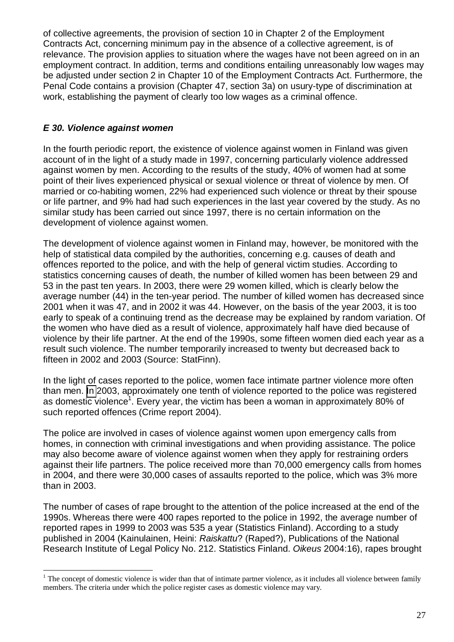of collective agreements, the provision of section 10 in Chapter 2 of the Employment Contracts Act, concerning minimum pay in the absence of a collective agreement, is of relevance. The provision applies to situation where the wages have not been agreed on in an employment contract. In addition, terms and conditions entailing unreasonably low wages may be adjusted under section 2 in Chapter 10 of the Employment Contracts Act. Furthermore, the Penal Code contains a provision (Chapter 47, section 3a) on usury-type of discrimination at work, establishing the payment of clearly too low wages as a criminal offence.

### <span id="page-26-0"></span>*E 30. Violence against women*

In the fourth periodic report, the existence of violence against women in Finland was given account of in the light of a study made in 1997, concerning particularly violence addressed against women by men. According to the results of the study, 40% of women had at some point of their lives experienced physical or sexual violence or threat of violence by men. Of married or co-habiting women, 22% had experienced such violence or threat by their spouse or life partner, and 9% had had such experiences in the last year covered by the study. As no similar study has been carried out since 1997, there is no certain information on the development of violence against women.

The development of violence against women in Finland may, however, be monitored with the help of statistical data compiled by the authorities, concerning e.g. causes of death and offences reported to the police, and with the help of general victim studies. According to statistics concerning causes of death, the number of killed women has been between 29 and 53 in the past ten years. In 2003, there were 29 women killed, which is clearly below the average number (44) in the ten-year period. The number of killed women has decreased since 2001 when it was 47, and in 2002 it was 44. However, on the basis of the year 2003, it is too early to speak of a continuing trend as the decrease may be explained by random variation. Of the women who have died as a result of violence, approximately half have died because of violence by their life partner. At the end of the 1990s, some fifteen women died each year as a result such violence. The number temporarily increased to twenty but decreased back to fifteen in 2002 and 2003 (Source: StatFinn).

In the light of cases reported to the police, women face intimate partner violence more often than men. [In](#page-26-1) 2003, approximately one tenth of violence reported to the police was registered as domestic violence<sup>1</sup>. Every year, the victim has been a woman in approximately 80% of such reported offences (Crime report 2004).

The police are involved in cases of violence against women upon emergency calls from homes, in connection with criminal investigations and when providing assistance. The police may also become aware of violence against women when they apply for restraining orders against their life partners. The police received more than 70,000 emergency calls from homes in 2004, and there were 30,000 cases of assaults reported to the police, which was 3% more than in 2003.

The number of cases of rape brought to the attention of the police increased at the end of the 1990s. Whereas there were 400 rapes reported to the police in 1992, the average number of reported rapes in 1999 to 2003 was 535 a year (Statistics Finland). According to a study published in 2004 (Kainulainen, Heini: *Raiskattu*? (Raped?), Publications of the National Research Institute of Legal Policy No. 212. Statistics Finland. *Oikeus* 2004:16), rapes brought

<span id="page-26-1"></span> $1$  The concept of domestic violence is wider than that of intimate partner violence, as it includes all violence between family members. The criteria under which the police register cases as domestic violence may vary.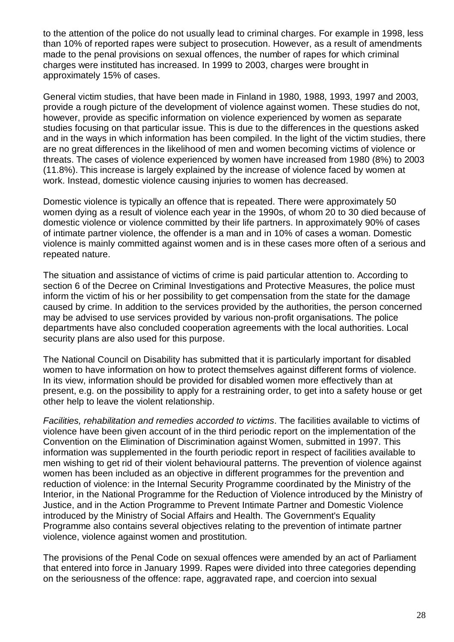to the attention of the police do not usually lead to criminal charges. For example in 1998, less than 10% of reported rapes were subject to prosecution. However, as a result of amendments made to the penal provisions on sexual offences, the number of rapes for which criminal charges were instituted has increased. In 1999 to 2003, charges were brought in approximately 15% of cases.

General victim studies, that have been made in Finland in 1980, 1988, 1993, 1997 and 2003, provide a rough picture of the development of violence against women. These studies do not, however, provide as specific information on violence experienced by women as separate studies focusing on that particular issue. This is due to the differences in the questions asked and in the ways in which information has been compiled. In the light of the victim studies, there are no great differences in the likelihood of men and women becoming victims of violence or threats. The cases of violence experienced by women have increased from 1980 (8%) to 2003 (11.8%). This increase is largely explained by the increase of violence faced by women at work. Instead, domestic violence causing injuries to women has decreased.

Domestic violence is typically an offence that is repeated. There were approximately 50 women dying as a result of violence each year in the 1990s, of whom 20 to 30 died because of domestic violence or violence committed by their life partners. In approximately 90% of cases of intimate partner violence, the offender is a man and in 10% of cases a woman. Domestic violence is mainly committed against women and is in these cases more often of a serious and repeated nature.

The situation and assistance of victims of crime is paid particular attention to. According to section 6 of the Decree on Criminal Investigations and Protective Measures, the police must inform the victim of his or her possibility to get compensation from the state for the damage caused by crime. In addition to the services provided by the authorities, the person concerned may be advised to use services provided by various non-profit organisations. The police departments have also concluded cooperation agreements with the local authorities. Local security plans are also used for this purpose.

The National Council on Disability has submitted that it is particularly important for disabled women to have information on how to protect themselves against different forms of violence. In its view, information should be provided for disabled women more effectively than at present, e.g. on the possibility to apply for a restraining order, to get into a safety house or get other help to leave the violent relationship.

*Facilities, rehabilitation and remedies accorded to victims*. The facilities available to victims of violence have been given account of in the third periodic report on the implementation of the Convention on the Elimination of Discrimination against Women, submitted in 1997. This information was supplemented in the fourth periodic report in respect of facilities available to men wishing to get rid of their violent behavioural patterns. The prevention of violence against women has been included as an objective in different programmes for the prevention and reduction of violence: in the Internal Security Programme coordinated by the Ministry of the Interior, in the National Programme for the Reduction of Violence introduced by the Ministry of Justice, and in the Action Programme to Prevent Intimate Partner and Domestic Violence introduced by the Ministry of Social Affairs and Health. The Government's Equality Programme also contains several objectives relating to the prevention of intimate partner violence, violence against women and prostitution.

The provisions of the Penal Code on sexual offences were amended by an act of Parliament that entered into force in January 1999. Rapes were divided into three categories depending on the seriousness of the offence: rape, aggravated rape, and coercion into sexual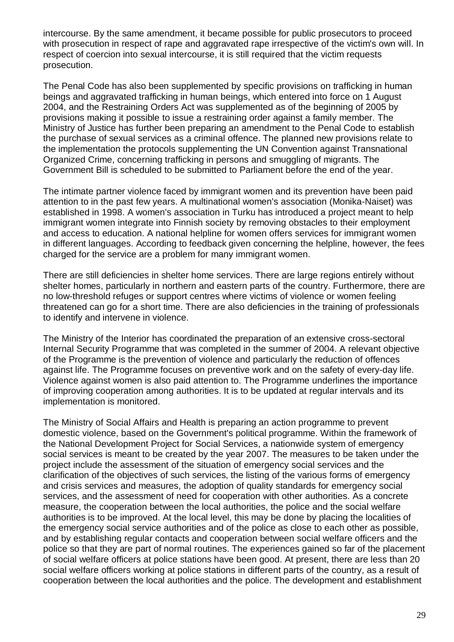intercourse. By the same amendment, it became possible for public prosecutors to proceed with prosecution in respect of rape and aggravated rape irrespective of the victim's own will. In respect of coercion into sexual intercourse, it is still required that the victim requests prosecution.

The Penal Code has also been supplemented by specific provisions on trafficking in human beings and aggravated trafficking in human beings, which entered into force on 1 August 2004, and the Restraining Orders Act was supplemented as of the beginning of 2005 by provisions making it possible to issue a restraining order against a family member. The Ministry of Justice has further been preparing an amendment to the Penal Code to establish the purchase of sexual services as a criminal offence. The planned new provisions relate to the implementation the protocols supplementing the UN Convention against Transnational Organized Crime, concerning trafficking in persons and smuggling of migrants. The Government Bill is scheduled to be submitted to Parliament before the end of the year.

The intimate partner violence faced by immigrant women and its prevention have been paid attention to in the past few years. A multinational women's association (Monika-Naiset) was established in 1998. A women's association in Turku has introduced a project meant to help immigrant women integrate into Finnish society by removing obstacles to their employment and access to education. A national helpline for women offers services for immigrant women in different languages. According to feedback given concerning the helpline, however, the fees charged for the service are a problem for many immigrant women.

There are still deficiencies in shelter home services. There are large regions entirely without shelter homes, particularly in northern and eastern parts of the country. Furthermore, there are no low-threshold refuges or support centres where victims of violence or women feeling threatened can go for a short time. There are also deficiencies in the training of professionals to identify and intervene in violence.

The Ministry of the Interior has coordinated the preparation of an extensive cross-sectoral Internal Security Programme that was completed in the summer of 2004. A relevant objective of the Programme is the prevention of violence and particularly the reduction of offences against life. The Programme focuses on preventive work and on the safety of every-day life. Violence against women is also paid attention to. The Programme underlines the importance of improving cooperation among authorities. It is to be updated at regular intervals and its implementation is monitored.

The Ministry of Social Affairs and Health is preparing an action programme to prevent domestic violence, based on the Government's political programme. Within the framework of the National Development Project for Social Services, a nationwide system of emergency social services is meant to be created by the year 2007. The measures to be taken under the project include the assessment of the situation of emergency social services and the clarification of the objectives of such services, the listing of the various forms of emergency and crisis services and measures, the adoption of quality standards for emergency social services, and the assessment of need for cooperation with other authorities. As a concrete measure, the cooperation between the local authorities, the police and the social welfare authorities is to be improved. At the local level, this may be done by placing the localities of the emergency social service authorities and of the police as close to each other as possible, and by establishing regular contacts and cooperation between social welfare officers and the police so that they are part of normal routines. The experiences gained so far of the placement of social welfare officers at police stations have been good. At present, there are less than 20 social welfare officers working at police stations in different parts of the country, as a result of cooperation between the local authorities and the police. The development and establishment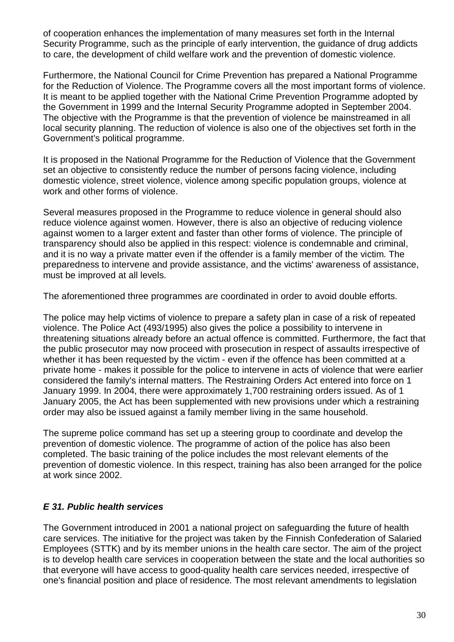of cooperation enhances the implementation of many measures set forth in the Internal Security Programme, such as the principle of early intervention, the guidance of drug addicts to care, the development of child welfare work and the prevention of domestic violence.

Furthermore, the National Council for Crime Prevention has prepared a National Programme for the Reduction of Violence. The Programme covers all the most important forms of violence. It is meant to be applied together with the National Crime Prevention Programme adopted by the Government in 1999 and the Internal Security Programme adopted in September 2004. The objective with the Programme is that the prevention of violence be mainstreamed in all local security planning. The reduction of violence is also one of the objectives set forth in the Government's political programme.

It is proposed in the National Programme for the Reduction of Violence that the Government set an objective to consistently reduce the number of persons facing violence, including domestic violence, street violence, violence among specific population groups, violence at work and other forms of violence.

Several measures proposed in the Programme to reduce violence in general should also reduce violence against women. However, there is also an objective of reducing violence against women to a larger extent and faster than other forms of violence. The principle of transparency should also be applied in this respect: violence is condemnable and criminal, and it is no way a private matter even if the offender is a family member of the victim. The preparedness to intervene and provide assistance, and the victims' awareness of assistance, must be improved at all levels.

The aforementioned three programmes are coordinated in order to avoid double efforts.

The police may help victims of violence to prepare a safety plan in case of a risk of repeated violence. The Police Act (493/1995) also gives the police a possibility to intervene in threatening situations already before an actual offence is committed. Furthermore, the fact that the public prosecutor may now proceed with prosecution in respect of assaults irrespective of whether it has been requested by the victim - even if the offence has been committed at a private home - makes it possible for the police to intervene in acts of violence that were earlier considered the family's internal matters. The Restraining Orders Act entered into force on 1 January 1999. In 2004, there were approximately 1,700 restraining orders issued. As of 1 January 2005, the Act has been supplemented with new provisions under which a restraining order may also be issued against a family member living in the same household.

The supreme police command has set up a steering group to coordinate and develop the prevention of domestic violence. The programme of action of the police has also been completed. The basic training of the police includes the most relevant elements of the prevention of domestic violence. In this respect, training has also been arranged for the police at work since 2002.

# <span id="page-29-0"></span>*E 31. Public health services*

The Government introduced in 2001 a national project on safeguarding the future of health care services. The initiative for the project was taken by the Finnish Confederation of Salaried Employees (STTK) and by its member unions in the health care sector. The aim of the project is to develop health care services in cooperation between the state and the local authorities so that everyone will have access to good-quality health care services needed, irrespective of one's financial position and place of residence. The most relevant amendments to legislation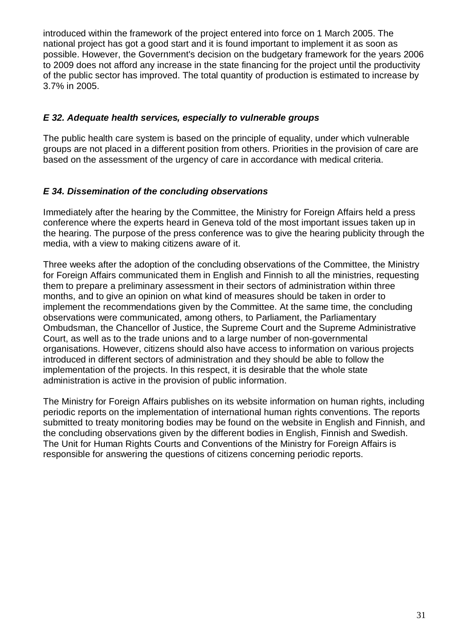introduced within the framework of the project entered into force on 1 March 2005. The national project has got a good start and it is found important to implement it as soon as possible. However, the Government's decision on the budgetary framework for the years 2006 to 2009 does not afford any increase in the state financing for the project until the productivity of the public sector has improved. The total quantity of production is estimated to increase by 3.7% in 2005.

#### <span id="page-30-0"></span>*E 32. Adequate health services, especially to vulnerable groups*

The public health care system is based on the principle of equality, under which vulnerable groups are not placed in a different position from others. Priorities in the provision of care are based on the assessment of the urgency of care in accordance with medical criteria.

#### <span id="page-30-1"></span>*E 34. Dissemination of the concluding observations*

Immediately after the hearing by the Committee, the Ministry for Foreign Affairs held a press conference where the experts heard in Geneva told of the most important issues taken up in the hearing. The purpose of the press conference was to give the hearing publicity through the media, with a view to making citizens aware of it.

Three weeks after the adoption of the concluding observations of the Committee, the Ministry for Foreign Affairs communicated them in English and Finnish to all the ministries, requesting them to prepare a preliminary assessment in their sectors of administration within three months, and to give an opinion on what kind of measures should be taken in order to implement the recommendations given by the Committee. At the same time, the concluding observations were communicated, among others, to Parliament, the Parliamentary Ombudsman, the Chancellor of Justice, the Supreme Court and the Supreme Administrative Court, as well as to the trade unions and to a large number of non-governmental organisations. However, citizens should also have access to information on various projects introduced in different sectors of administration and they should be able to follow the implementation of the projects. In this respect, it is desirable that the whole state administration is active in the provision of public information.

The Ministry for Foreign Affairs publishes on its website information on human rights, including periodic reports on the implementation of international human rights conventions. The reports submitted to treaty monitoring bodies may be found on the website in English and Finnish, and the concluding observations given by the different bodies in English, Finnish and Swedish. The Unit for Human Rights Courts and Conventions of the Ministry for Foreign Affairs is responsible for answering the questions of citizens concerning periodic reports.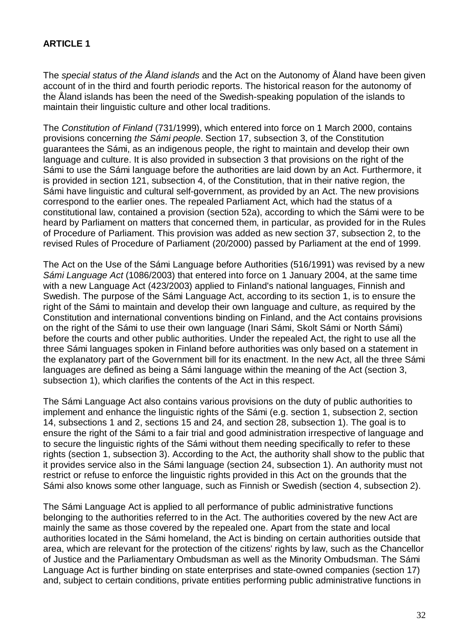### <span id="page-31-0"></span>**ARTICLE 1**

The *special status of the Åland islands* and the Act on the Autonomy of Åland have been given account of in the third and fourth periodic reports. The historical reason for the autonomy of the Åland islands has been the need of the Swedish-speaking population of the islands to maintain their linguistic culture and other local traditions.

The *Constitution of Finland* (731/1999), which entered into force on 1 March 2000, contains provisions concerning *the Sámi people*. Section 17, subsection 3, of the Constitution guarantees the Sámi, as an indigenous people, the right to maintain and develop their own language and culture. It is also provided in subsection 3 that provisions on the right of the Sámi to use the Sámi language before the authorities are laid down by an Act. Furthermore, it is provided in section 121, subsection 4, of the Constitution, that in their native region, the Sámi have linguistic and cultural self-government, as provided by an Act. The new provisions correspond to the earlier ones. The repealed Parliament Act, which had the status of a constitutional law, contained a provision (section 52a), according to which the Sámi were to be heard by Parliament on matters that concerned them, in particular, as provided for in the Rules of Procedure of Parliament. This provision was added as new section 37, subsection 2, to the revised Rules of Procedure of Parliament (20/2000) passed by Parliament at the end of 1999.

The Act on the Use of the Sámi Language before Authorities (516/1991) was revised by a new *Sámi Language Act* (1086/2003) that entered into force on 1 January 2004, at the same time with a new Language Act (423/2003) applied to Finland's national languages, Finnish and Swedish. The purpose of the Sámi Language Act, according to its section 1, is to ensure the right of the Sámi to maintain and develop their own language and culture, as required by the Constitution and international conventions binding on Finland, and the Act contains provisions on the right of the Sámi to use their own language (Inari Sámi, Skolt Sámi or North Sámi) before the courts and other public authorities. Under the repealed Act, the right to use all the three Sámi languages spoken in Finland before authorities was only based on a statement in the explanatory part of the Government bill for its enactment. In the new Act, all the three Sámi languages are defined as being a Sámi language within the meaning of the Act (section 3, subsection 1), which clarifies the contents of the Act in this respect.

The Sámi Language Act also contains various provisions on the duty of public authorities to implement and enhance the linguistic rights of the Sámi (e.g. section 1, subsection 2, section 14, subsections 1 and 2, sections 15 and 24, and section 28, subsection 1). The goal is to ensure the right of the Sámi to a fair trial and good administration irrespective of language and to secure the linguistic rights of the Sámi without them needing specifically to refer to these rights (section 1, subsection 3). According to the Act, the authority shall show to the public that it provides service also in the Sámi language (section 24, subsection 1). An authority must not restrict or refuse to enforce the linguistic rights provided in this Act on the grounds that the Sámi also knows some other language, such as Finnish or Swedish (section 4, subsection 2).

The Sámi Language Act is applied to all performance of public administrative functions belonging to the authorities referred to in the Act. The authorities covered by the new Act are mainly the same as those covered by the repealed one. Apart from the state and local authorities located in the Sámi homeland, the Act is binding on certain authorities outside that area, which are relevant for the protection of the citizens' rights by law, such as the Chancellor of Justice and the Parliamentary Ombudsman as well as the Minority Ombudsman. The Sámi Language Act is further binding on state enterprises and state-owned companies (section 17) and, subject to certain conditions, private entities performing public administrative functions in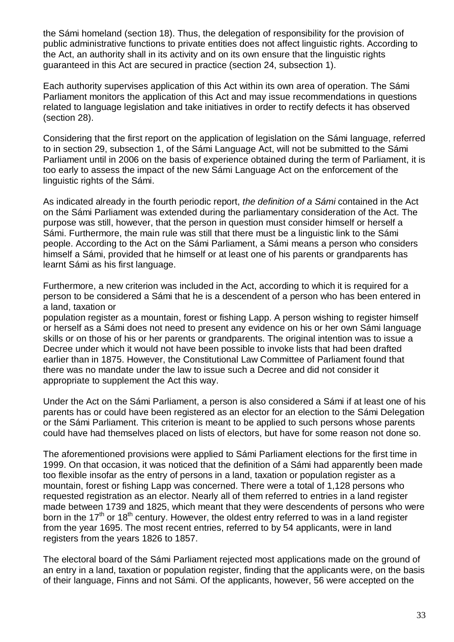the Sámi homeland (section 18). Thus, the delegation of responsibility for the provision of public administrative functions to private entities does not affect linguistic rights. According to the Act, an authority shall in its activity and on its own ensure that the linguistic rights guaranteed in this Act are secured in practice (section 24, subsection 1).

Each authority supervises application of this Act within its own area of operation. The Sámi Parliament monitors the application of this Act and may issue recommendations in questions related to language legislation and take initiatives in order to rectify defects it has observed (section 28).

Considering that the first report on the application of legislation on the Sámi language, referred to in section 29, subsection 1, of the Sámi Language Act, will not be submitted to the Sámi Parliament until in 2006 on the basis of experience obtained during the term of Parliament, it is too early to assess the impact of the new Sámi Language Act on the enforcement of the linguistic rights of the Sámi.

As indicated already in the fourth periodic report, *the definition of a Sámi* contained in the Act on the Sámi Parliament was extended during the parliamentary consideration of the Act. The purpose was still, however, that the person in question must consider himself or herself a Sámi. Furthermore, the main rule was still that there must be a linguistic link to the Sámi people. According to the Act on the Sámi Parliament, a Sámi means a person who considers himself a Sámi, provided that he himself or at least one of his parents or grandparents has learnt Sámi as his first language.

Furthermore, a new criterion was included in the Act, according to which it is required for a person to be considered a Sámi that he is a descendent of a person who has been entered in a land, taxation or

population register as a mountain, forest or fishing Lapp. A person wishing to register himself or herself as a Sámi does not need to present any evidence on his or her own Sámi language skills or on those of his or her parents or grandparents. The original intention was to issue a Decree under which it would not have been possible to invoke lists that had been drafted earlier than in 1875. However, the Constitutional Law Committee of Parliament found that there was no mandate under the law to issue such a Decree and did not consider it appropriate to supplement the Act this way.

Under the Act on the Sámi Parliament, a person is also considered a Sámi if at least one of his parents has or could have been registered as an elector for an election to the Sámi Delegation or the Sámi Parliament. This criterion is meant to be applied to such persons whose parents could have had themselves placed on lists of electors, but have for some reason not done so.

The aforementioned provisions were applied to Sámi Parliament elections for the first time in 1999. On that occasion, it was noticed that the definition of a Sámi had apparently been made too flexible insofar as the entry of persons in a land, taxation or population register as a mountain, forest or fishing Lapp was concerned. There were a total of 1,128 persons who requested registration as an elector. Nearly all of them referred to entries in a land register made between 1739 and 1825, which meant that they were descendents of persons who were born in the 17<sup>th</sup> or 18<sup>th</sup> century. However, the oldest entry referred to was in a land register from the year 1695. The most recent entries, referred to by 54 applicants, were in land registers from the years 1826 to 1857.

The electoral board of the Sámi Parliament rejected most applications made on the ground of an entry in a land, taxation or population register, finding that the applicants were, on the basis of their language, Finns and not Sámi. Of the applicants, however, 56 were accepted on the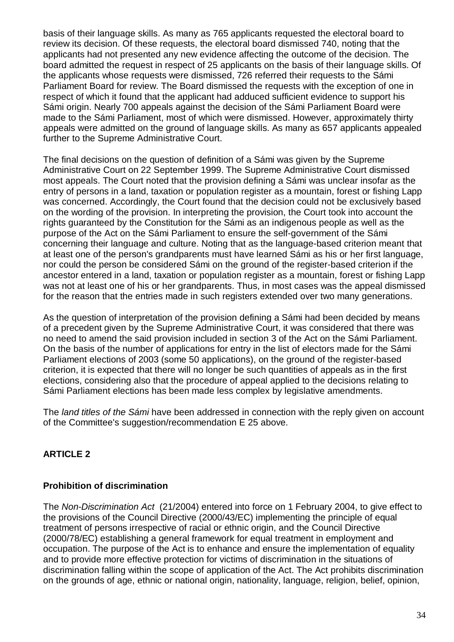basis of their language skills. As many as 765 applicants requested the electoral board to review its decision. Of these requests, the electoral board dismissed 740, noting that the applicants had not presented any new evidence affecting the outcome of the decision. The board admitted the request in respect of 25 applicants on the basis of their language skills. Of the applicants whose requests were dismissed, 726 referred their requests to the Sámi Parliament Board for review. The Board dismissed the requests with the exception of one in respect of which it found that the applicant had adduced sufficient evidence to support his Sámi origin. Nearly 700 appeals against the decision of the Sámi Parliament Board were made to the Sámi Parliament, most of which were dismissed. However, approximately thirty appeals were admitted on the ground of language skills. As many as 657 applicants appealed further to the Supreme Administrative Court.

The final decisions on the question of definition of a Sámi was given by the Supreme Administrative Court on 22 September 1999. The Supreme Administrative Court dismissed most appeals. The Court noted that the provision defining a Sámi was unclear insofar as the entry of persons in a land, taxation or population register as a mountain, forest or fishing Lapp was concerned. Accordingly, the Court found that the decision could not be exclusively based on the wording of the provision. In interpreting the provision, the Court took into account the rights guaranteed by the Constitution for the Sámi as an indigenous people as well as the purpose of the Act on the Sámi Parliament to ensure the self-government of the Sámi concerning their language and culture. Noting that as the language-based criterion meant that at least one of the person's grandparents must have learned Sámi as his or her first language, nor could the person be considered Sámi on the ground of the register-based criterion if the ancestor entered in a land, taxation or population register as a mountain, forest or fishing Lapp was not at least one of his or her grandparents. Thus, in most cases was the appeal dismissed for the reason that the entries made in such registers extended over two many generations.

As the question of interpretation of the provision defining a Sámi had been decided by means of a precedent given by the Supreme Administrative Court, it was considered that there was no need to amend the said provision included in section 3 of the Act on the Sámi Parliament. On the basis of the number of applications for entry in the list of electors made for the Sámi Parliament elections of 2003 (some 50 applications), on the ground of the register-based criterion, it is expected that there will no longer be such quantities of appeals as in the first elections, considering also that the procedure of appeal applied to the decisions relating to Sámi Parliament elections has been made less complex by legislative amendments.

The *land titles of the Sámi* have been addressed in connection with the reply given on account of the Committee's suggestion/recommendation E 25 above.

# <span id="page-33-0"></span>**ARTICLE 2**

#### <span id="page-33-1"></span>**Prohibition of discrimination**

The *Non-Discrimination Act* (21/2004) entered into force on 1 February 2004, to give effect to the provisions of the Council Directive (2000/43/EC) implementing the principle of equal treatment of persons irrespective of racial or ethnic origin, and the Council Directive (2000/78/EC) establishing a general framework for equal treatment in employment and occupation. The purpose of the Act is to enhance and ensure the implementation of equality and to provide more effective protection for victims of discrimination in the situations of discrimination falling within the scope of application of the Act. The Act prohibits discrimination on the grounds of age, ethnic or national origin, nationality, language, religion, belief, opinion,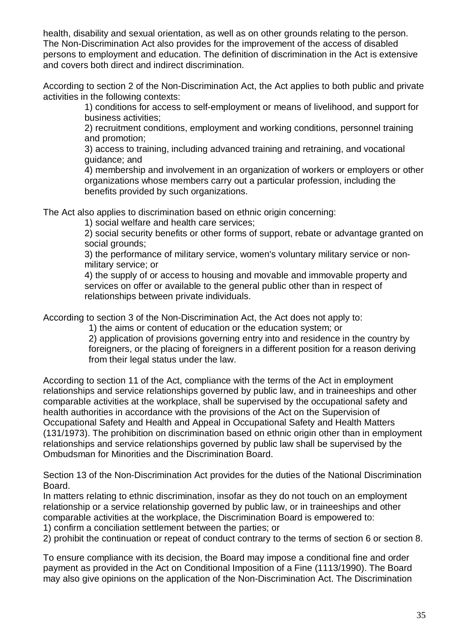health, disability and sexual orientation, as well as on other grounds relating to the person. The Non-Discrimination Act also provides for the improvement of the access of disabled persons to employment and education. The definition of discrimination in the Act is extensive and covers both direct and indirect discrimination.

According to section 2 of the Non-Discrimination Act, the Act applies to both public and private activities in the following contexts:

1) conditions for access to self-employment or means of livelihood, and support for business activities;

2) recruitment conditions, employment and working conditions, personnel training and promotion;

3) access to training, including advanced training and retraining, and vocational guidance; and

4) membership and involvement in an organization of workers or employers or other organizations whose members carry out a particular profession, including the benefits provided by such organizations.

The Act also applies to discrimination based on ethnic origin concerning:

1) social welfare and health care services;

2) social security benefits or other forms of support, rebate or advantage granted on social grounds;

3) the performance of military service, women's voluntary military service or nonmilitary service; or

4) the supply of or access to housing and movable and immovable property and services on offer or available to the general public other than in respect of relationships between private individuals.

According to section 3 of the Non-Discrimination Act, the Act does not apply to:

1) the aims or content of education or the education system; or

2) application of provisions governing entry into and residence in the country by foreigners, or the placing of foreigners in a different position for a reason deriving from their legal status under the law.

According to section 11 of the Act, compliance with the terms of the Act in employment relationships and service relationships governed by public law, and in traineeships and other comparable activities at the workplace, shall be supervised by the occupational safety and health authorities in accordance with the provisions of the Act on the Supervision of Occupational Safety and Health and Appeal in Occupational Safety and Health Matters (131/1973). The prohibition on discrimination based on ethnic origin other than in employment relationships and service relationships governed by public law shall be supervised by the Ombudsman for Minorities and the Discrimination Board.

Section 13 of the Non-Discrimination Act provides for the duties of the National Discrimination Board.

In matters relating to ethnic discrimination, insofar as they do not touch on an employment relationship or a service relationship governed by public law, or in traineeships and other comparable activities at the workplace, the Discrimination Board is empowered to:

1) confirm a conciliation settlement between the parties; or

2) prohibit the continuation or repeat of conduct contrary to the terms of section 6 or section 8.

To ensure compliance with its decision, the Board may impose a conditional fine and order payment as provided in the Act on Conditional Imposition of a Fine (1113/1990). The Board may also give opinions on the application of the Non-Discrimination Act. The Discrimination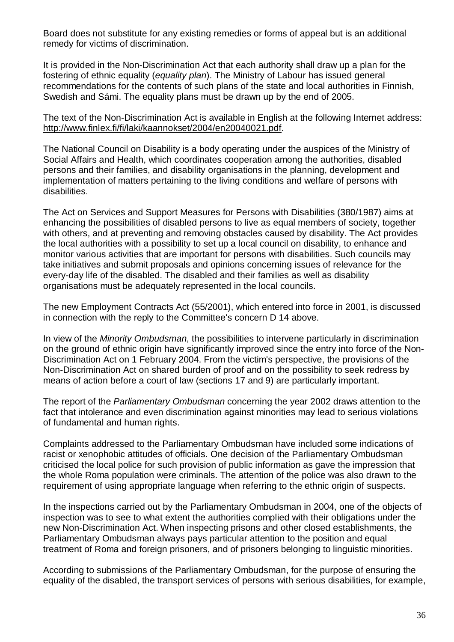Board does not substitute for any existing remedies or forms of appeal but is an additional remedy for victims of discrimination.

It is provided in the Non-Discrimination Act that each authority shall draw up a plan for the fostering of ethnic equality (*equality plan*). The Ministry of Labour has issued general recommendations for the contents of such plans of the state and local authorities in Finnish, Swedish and Sámi. The equality plans must be drawn up by the end of 2005.

The text of the Non-Discrimination Act is available in English at the following Internet address: http://www.finlex.fi/fi/laki/kaannokset/2004/en20040021.pdf.

The National Council on Disability is a body operating under the auspices of the Ministry of Social Affairs and Health, which coordinates cooperation among the authorities, disabled persons and their families, and disability organisations in the planning, development and implementation of matters pertaining to the living conditions and welfare of persons with disabilities.

The Act on Services and Support Measures for Persons with Disabilities (380/1987) aims at enhancing the possibilities of disabled persons to live as equal members of society, together with others, and at preventing and removing obstacles caused by disability. The Act provides the local authorities with a possibility to set up a local council on disability, to enhance and monitor various activities that are important for persons with disabilities. Such councils may take initiatives and submit proposals and opinions concerning issues of relevance for the every-day life of the disabled. The disabled and their families as well as disability organisations must be adequately represented in the local councils.

The new Employment Contracts Act (55/2001), which entered into force in 2001, is discussed in connection with the reply to the Committee's concern D 14 above.

In view of the *Minority Ombudsman*, the possibilities to intervene particularly in discrimination on the ground of ethnic origin have significantly improved since the entry into force of the Non-Discrimination Act on 1 February 2004. From the victim's perspective, the provisions of the Non-Discrimination Act on shared burden of proof and on the possibility to seek redress by means of action before a court of law (sections 17 and 9) are particularly important.

The report of the *Parliamentary Ombudsman* concerning the year 2002 draws attention to the fact that intolerance and even discrimination against minorities may lead to serious violations of fundamental and human rights.

Complaints addressed to the Parliamentary Ombudsman have included some indications of racist or xenophobic attitudes of officials. One decision of the Parliamentary Ombudsman criticised the local police for such provision of public information as gave the impression that the whole Roma population were criminals. The attention of the police was also drawn to the requirement of using appropriate language when referring to the ethnic origin of suspects.

In the inspections carried out by the Parliamentary Ombudsman in 2004, one of the objects of inspection was to see to what extent the authorities complied with their obligations under the new Non-Discrimination Act. When inspecting prisons and other closed establishments, the Parliamentary Ombudsman always pays particular attention to the position and equal treatment of Roma and foreign prisoners, and of prisoners belonging to linguistic minorities.

According to submissions of the Parliamentary Ombudsman, for the purpose of ensuring the equality of the disabled, the transport services of persons with serious disabilities, for example,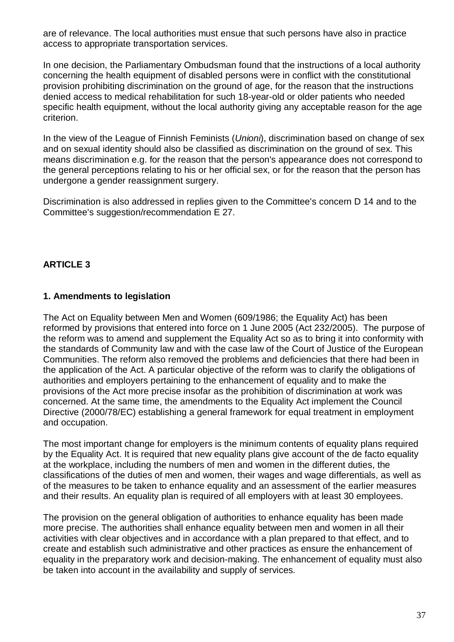are of relevance. The local authorities must ensue that such persons have also in practice access to appropriate transportation services.

In one decision, the Parliamentary Ombudsman found that the instructions of a local authority concerning the health equipment of disabled persons were in conflict with the constitutional provision prohibiting discrimination on the ground of age, for the reason that the instructions denied access to medical rehabilitation for such 18-year-old or older patients who needed specific health equipment, without the local authority giving any acceptable reason for the age criterion.

In the view of the League of Finnish Feminists (*Unioni*), discrimination based on change of sex and on sexual identity should also be classified as discrimination on the ground of sex. This means discrimination e.g. for the reason that the person's appearance does not correspond to the general perceptions relating to his or her official sex, or for the reason that the person has undergone a gender reassignment surgery.

Discrimination is also addressed in replies given to the Committee's concern D 14 and to the Committee's suggestion/recommendation E 27.

# **ARTICLE 3**

### **1. Amendments to legislation**

The Act on Equality between Men and Women (609/1986; the Equality Act) has been reformed by provisions that entered into force on 1 June 2005 (Act 232/2005). The purpose of the reform was to amend and supplement the Equality Act so as to bring it into conformity with the standards of Community law and with the case law of the Court of Justice of the European Communities. The reform also removed the problems and deficiencies that there had been in the application of the Act. A particular objective of the reform was to clarify the obligations of authorities and employers pertaining to the enhancement of equality and to make the provisions of the Act more precise insofar as the prohibition of discrimination at work was concerned. At the same time, the amendments to the Equality Act implement the Council Directive (2000/78/EC) establishing a general framework for equal treatment in employment and occupation.

The most important change for employers is the minimum contents of equality plans required by the Equality Act. It is required that new equality plans give account of the de facto equality at the workplace, including the numbers of men and women in the different duties, the classifications of the duties of men and women, their wages and wage differentials, as well as of the measures to be taken to enhance equality and an assessment of the earlier measures and their results. An equality plan is required of all employers with at least 30 employees.

The provision on the general obligation of authorities to enhance equality has been made more precise. The authorities shall enhance equality between men and women in all their activities with clear objectives and in accordance with a plan prepared to that effect, and to create and establish such administrative and other practices as ensure the enhancement of equality in the preparatory work and decision-making. The enhancement of equality must also be taken into account in the availability and supply of services.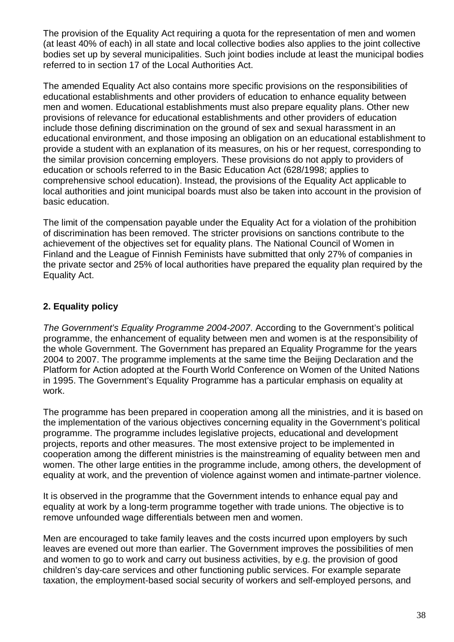The provision of the Equality Act requiring a quota for the representation of men and women (at least 40% of each) in all state and local collective bodies also applies to the joint collective bodies set up by several municipalities. Such joint bodies include at least the municipal bodies referred to in section 17 of the Local Authorities Act.

The amended Equality Act also contains more specific provisions on the responsibilities of educational establishments and other providers of education to enhance equality between men and women. Educational establishments must also prepare equality plans. Other new provisions of relevance for educational establishments and other providers of education include those defining discrimination on the ground of sex and sexual harassment in an educational environment, and those imposing an obligation on an educational establishment to provide a student with an explanation of its measures, on his or her request, corresponding to the similar provision concerning employers. These provisions do not apply to providers of education or schools referred to in the Basic Education Act (628/1998; applies to comprehensive school education). Instead, the provisions of the Equality Act applicable to local authorities and joint municipal boards must also be taken into account in the provision of basic education.

The limit of the compensation payable under the Equality Act for a violation of the prohibition of discrimination has been removed. The stricter provisions on sanctions contribute to the achievement of the objectives set for equality plans. The National Council of Women in Finland and the League of Finnish Feminists have submitted that only 27% of companies in the private sector and 25% of local authorities have prepared the equality plan required by the Equality Act.

# **2. Equality policy**

*The Government's Equality Programme 2004-2007*. According to the Government's political programme, the enhancement of equality between men and women is at the responsibility of the whole Government. The Government has prepared an Equality Programme for the years 2004 to 2007. The programme implements at the same time the Beijing Declaration and the Platform for Action adopted at the Fourth World Conference on Women of the United Nations in 1995. The Government's Equality Programme has a particular emphasis on equality at work.

The programme has been prepared in cooperation among all the ministries, and it is based on the implementation of the various objectives concerning equality in the Government's political programme. The programme includes legislative projects, educational and development projects, reports and other measures. The most extensive project to be implemented in cooperation among the different ministries is the mainstreaming of equality between men and women. The other large entities in the programme include, among others, the development of equality at work, and the prevention of violence against women and intimate-partner violence.

It is observed in the programme that the Government intends to enhance equal pay and equality at work by a long-term programme together with trade unions. The objective is to remove unfounded wage differentials between men and women.

Men are encouraged to take family leaves and the costs incurred upon employers by such leaves are evened out more than earlier. The Government improves the possibilities of men and women to go to work and carry out business activities, by e.g. the provision of good children's day-care services and other functioning public services. For example separate taxation, the employment-based social security of workers and self-employed persons, and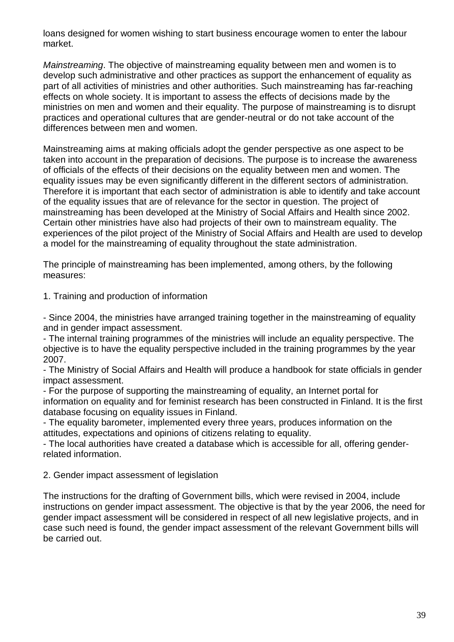loans designed for women wishing to start business encourage women to enter the labour market.

*Mainstreaming*. The objective of mainstreaming equality between men and women is to develop such administrative and other practices as support the enhancement of equality as part of all activities of ministries and other authorities. Such mainstreaming has far-reaching effects on whole society. It is important to assess the effects of decisions made by the ministries on men and women and their equality. The purpose of mainstreaming is to disrupt practices and operational cultures that are gender-neutral or do not take account of the differences between men and women.

Mainstreaming aims at making officials adopt the gender perspective as one aspect to be taken into account in the preparation of decisions. The purpose is to increase the awareness of officials of the effects of their decisions on the equality between men and women. The equality issues may be even significantly different in the different sectors of administration. Therefore it is important that each sector of administration is able to identify and take account of the equality issues that are of relevance for the sector in question. The project of mainstreaming has been developed at the Ministry of Social Affairs and Health since 2002. Certain other ministries have also had projects of their own to mainstream equality. The experiences of the pilot project of the Ministry of Social Affairs and Health are used to develop a model for the mainstreaming of equality throughout the state administration.

The principle of mainstreaming has been implemented, among others, by the following measures:

1. Training and production of information

- Since 2004, the ministries have arranged training together in the mainstreaming of equality and in gender impact assessment.

- The internal training programmes of the ministries will include an equality perspective. The objective is to have the equality perspective included in the training programmes by the year 2007.

- The Ministry of Social Affairs and Health will produce a handbook for state officials in gender impact assessment.

- For the purpose of supporting the mainstreaming of equality, an Internet portal for information on equality and for feminist research has been constructed in Finland. It is the first database focusing on equality issues in Finland.

- The equality barometer, implemented every three years, produces information on the attitudes, expectations and opinions of citizens relating to equality.

- The local authorities have created a database which is accessible for all, offering genderrelated information.

2. Gender impact assessment of legislation

The instructions for the drafting of Government bills, which were revised in 2004, include instructions on gender impact assessment. The objective is that by the year 2006, the need for gender impact assessment will be considered in respect of all new legislative projects, and in case such need is found, the gender impact assessment of the relevant Government bills will be carried out.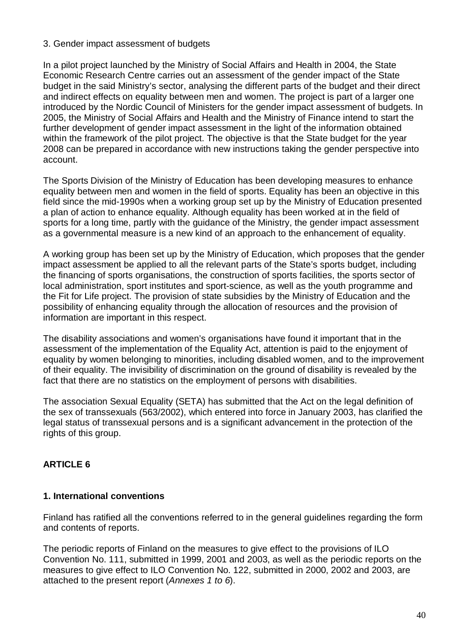#### 3. Gender impact assessment of budgets

In a pilot project launched by the Ministry of Social Affairs and Health in 2004, the State Economic Research Centre carries out an assessment of the gender impact of the State budget in the said Ministry's sector, analysing the different parts of the budget and their direct and indirect effects on equality between men and women. The project is part of a larger one introduced by the Nordic Council of Ministers for the gender impact assessment of budgets. In 2005, the Ministry of Social Affairs and Health and the Ministry of Finance intend to start the further development of gender impact assessment in the light of the information obtained within the framework of the pilot project. The objective is that the State budget for the year 2008 can be prepared in accordance with new instructions taking the gender perspective into account.

The Sports Division of the Ministry of Education has been developing measures to enhance equality between men and women in the field of sports. Equality has been an objective in this field since the mid-1990s when a working group set up by the Ministry of Education presented a plan of action to enhance equality. Although equality has been worked at in the field of sports for a long time, partly with the guidance of the Ministry, the gender impact assessment as a governmental measure is a new kind of an approach to the enhancement of equality.

A working group has been set up by the Ministry of Education, which proposes that the gender impact assessment be applied to all the relevant parts of the State's sports budget, including the financing of sports organisations, the construction of sports facilities, the sports sector of local administration, sport institutes and sport-science, as well as the youth programme and the Fit for Life project. The provision of state subsidies by the Ministry of Education and the possibility of enhancing equality through the allocation of resources and the provision of information are important in this respect.

The disability associations and women's organisations have found it important that in the assessment of the implementation of the Equality Act, attention is paid to the enjoyment of equality by women belonging to minorities, including disabled women, and to the improvement of their equality. The invisibility of discrimination on the ground of disability is revealed by the fact that there are no statistics on the employment of persons with disabilities.

The association Sexual Equality (SETA) has submitted that the Act on the legal definition of the sex of transsexuals (563/2002), which entered into force in January 2003, has clarified the legal status of transsexual persons and is a significant advancement in the protection of the rights of this group.

# **ARTICLE 6**

# **1. International conventions**

Finland has ratified all the conventions referred to in the general guidelines regarding the form and contents of reports.

The periodic reports of Finland on the measures to give effect to the provisions of ILO Convention No. 111, submitted in 1999, 2001 and 2003, as well as the periodic reports on the measures to give effect to ILO Convention No. 122, submitted in 2000, 2002 and 2003, are attached to the present report (*Annexes 1 to 6*).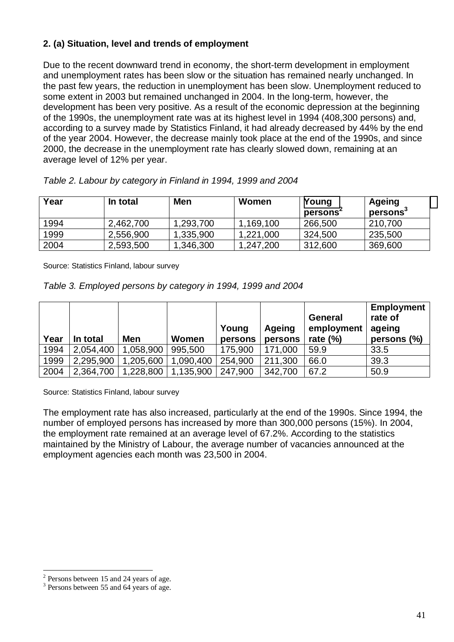# **2. (a) Situation, level and trends of employment**

Due to the recent downward trend in economy, the short-term development in employment and unemployment rates has been slow or the situation has remained nearly unchanged. In the past few years, the reduction in unemployment has been slow. Unemployment reduced to some extent in 2003 but remained unchanged in 2004. In the long-term, however, the development has been very positive. As a result of the economic depression at the beginning of the 1990s, the unemployment rate was at its highest level in 1994 (408,300 persons) and, according to a survey made by Statistics Finland, it had already decreased by 44% by the end of the year 2004. However, the decrease mainly took place at the end of the 1990s, and since 2000, the decrease in the unemployment rate has clearly slowed down, remaining at an average level of 12% per year.

| Year | In total  | <b>Men</b> | Women     | Young<br>persons <sup>*</sup> | <b>Ageing</b><br>persons |
|------|-----------|------------|-----------|-------------------------------|--------------------------|
| 1994 | 2,462,700 | 1,293,700  | 1,169,100 | 266,500                       | 210,700                  |
| 1999 | 2,556,900 | 1,335,900  | 1,221,000 | 324,500                       | 235,500                  |
| 2004 | 2,593,500 | 1,346,300  | 1,247,200 | 312,600                       | 369,600                  |

*Table 2. Labour by category in Finland in 1994, 1999 and 2004*

Source: Statistics Finland, labour survey

*Table 3. Employed persons by category in 1994, 1999 and 2004*

|      |           |            |           | Young   | <b>Ageing</b> | General<br>employment | <b>Employment</b><br>rate of<br>ageing |
|------|-----------|------------|-----------|---------|---------------|-----------------------|----------------------------------------|
| Year | In total  | <b>Men</b> | Women     | persons | persons       | rate $(\%)$           | persons (%)                            |
| 1994 | 2,054,400 | 1,058,900  | 995,500   | 175,900 | 171,000       | 59.9                  | 33.5                                   |
| 1999 | 2,295,900 | 1,205,600  | 1,090,400 | 254,900 | 211,300       | 66.0                  | 39.3                                   |
| 2004 | 2,364,700 | 1,228,800  | ,135,900  | 247,900 | 342,700       | 67.2                  | 50.9                                   |

Source: Statistics Finland, labour survey

The employment rate has also increased, particularly at the end of the 1990s. Since 1994, the number of employed persons has increased by more than 300,000 persons (15%). In 2004, the employment rate remained at an average level of 67.2%. According to the statistics maintained by the Ministry of Labour, the average number of vacancies announced at the employment agencies each month was 23,500 in 2004.

<span id="page-40-0"></span> $2$  Persons between 15 and 24 years of age.

<sup>&</sup>lt;sup>3</sup> Persons between 55 and 64 years of age.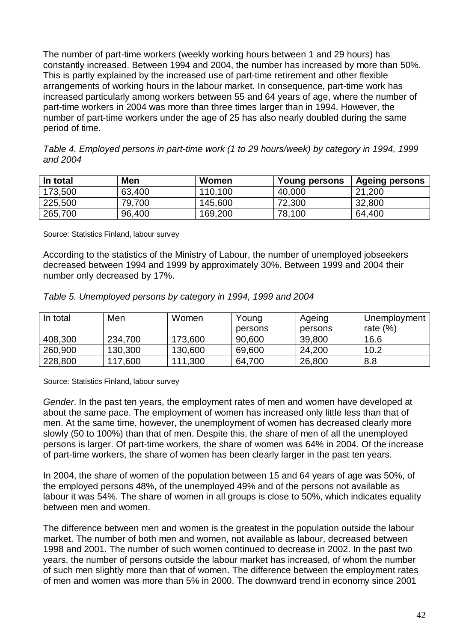The number of part-time workers (weekly working hours between 1 and 29 hours) has constantly increased. Between 1994 and 2004, the number has increased by more than 50%. This is partly explained by the increased use of part-time retirement and other flexible arrangements of working hours in the labour market. In consequence, part-time work has increased particularly among workers between 55 and 64 years of age, where the number of part-time workers in 2004 was more than three times larger than in 1994. However, the number of part-time workers under the age of 25 has also nearly doubled during the same period of time.

| Table 4. Employed persons in part-time work (1 to 29 hours/week) by category in 1994, 1999 |  |
|--------------------------------------------------------------------------------------------|--|
| and 2004                                                                                   |  |

| In total | <b>Men</b> | Women   | <b>Young persons</b> | <b>Ageing persons</b> |
|----------|------------|---------|----------------------|-----------------------|
| 173,500  | 63,400     | 110,100 | 40,000               | 21,200                |
| 225,500  | 79,700     | 145,600 | 72,300               | 32,800                |
| 265,700  | 96,400     | 169,200 | 78,100               | 64,400                |

Source: Statistics Finland, labour survey

According to the statistics of the Ministry of Labour, the number of unemployed jobseekers decreased between 1994 and 1999 by approximately 30%. Between 1999 and 2004 their number only decreased by 17%.

| In total | Men     | Women   | Young   | Ageing  | Unemployment |
|----------|---------|---------|---------|---------|--------------|
|          |         |         | persons | persons | rate $(\%)$  |
| 408,300  | 234,700 | 173,600 | 90,600  | 39,800  | 16.6         |
| 260,900  | 130,300 | 130,600 | 69,600  | 24,200  | 10.2         |
| 228,800  | 117,600 | 111,300 | 64,700  | 26,800  | 8.8          |

Source: Statistics Finland, labour survey

*Gender*. In the past ten years, the employment rates of men and women have developed at about the same pace. The employment of women has increased only little less than that of men. At the same time, however, the unemployment of women has decreased clearly more slowly (50 to 100%) than that of men. Despite this, the share of men of all the unemployed persons is larger. Of part-time workers, the share of women was 64% in 2004. Of the increase of part-time workers, the share of women has been clearly larger in the past ten years.

In 2004, the share of women of the population between 15 and 64 years of age was 50%, of the employed persons 48%, of the unemployed 49% and of the persons not available as labour it was 54%. The share of women in all groups is close to 50%, which indicates equality between men and women.

The difference between men and women is the greatest in the population outside the labour market. The number of both men and women, not available as labour, decreased between 1998 and 2001. The number of such women continued to decrease in 2002. In the past two years, the number of persons outside the labour market has increased, of whom the number of such men slightly more than that of women. The difference between the employment rates of men and women was more than 5% in 2000. The downward trend in economy since 2001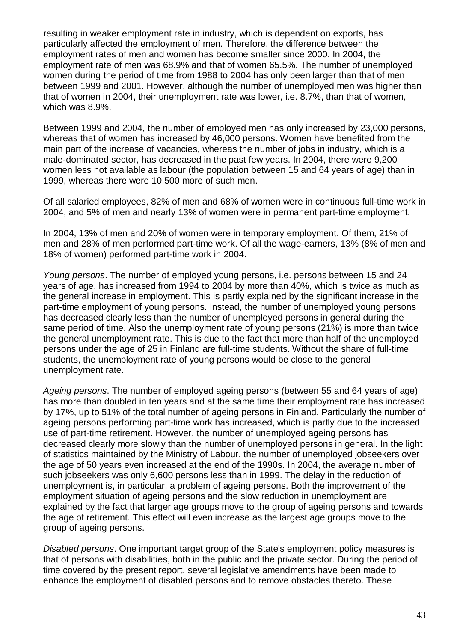resulting in weaker employment rate in industry, which is dependent on exports, has particularly affected the employment of men. Therefore, the difference between the employment rates of men and women has become smaller since 2000. In 2004, the employment rate of men was 68.9% and that of women 65.5%. The number of unemployed women during the period of time from 1988 to 2004 has only been larger than that of men between 1999 and 2001. However, although the number of unemployed men was higher than that of women in 2004, their unemployment rate was lower, i.e. 8.7%, than that of women, which was 8.9%.

Between 1999 and 2004, the number of employed men has only increased by 23,000 persons, whereas that of women has increased by 46,000 persons. Women have benefited from the main part of the increase of vacancies, whereas the number of jobs in industry, which is a male-dominated sector, has decreased in the past few years. In 2004, there were 9,200 women less not available as labour (the population between 15 and 64 years of age) than in 1999, whereas there were 10,500 more of such men.

Of all salaried employees, 82% of men and 68% of women were in continuous full-time work in 2004, and 5% of men and nearly 13% of women were in permanent part-time employment.

In 2004, 13% of men and 20% of women were in temporary employment. Of them, 21% of men and 28% of men performed part-time work. Of all the wage-earners, 13% (8% of men and 18% of women) performed part-time work in 2004.

*Young persons*. The number of employed young persons, i.e. persons between 15 and 24 years of age, has increased from 1994 to 2004 by more than 40%, which is twice as much as the general increase in employment. This is partly explained by the significant increase in the part-time employment of young persons. Instead, the number of unemployed young persons has decreased clearly less than the number of unemployed persons in general during the same period of time. Also the unemployment rate of young persons (21%) is more than twice the general unemployment rate. This is due to the fact that more than half of the unemployed persons under the age of 25 in Finland are full-time students. Without the share of full-time students, the unemployment rate of young persons would be close to the general unemployment rate.

*Ageing persons*. The number of employed ageing persons (between 55 and 64 years of age) has more than doubled in ten years and at the same time their employment rate has increased by 17%, up to 51% of the total number of ageing persons in Finland. Particularly the number of ageing persons performing part-time work has increased, which is partly due to the increased use of part-time retirement. However, the number of unemployed ageing persons has decreased clearly more slowly than the number of unemployed persons in general. In the light of statistics maintained by the Ministry of Labour, the number of unemployed jobseekers over the age of 50 years even increased at the end of the 1990s. In 2004, the average number of such jobseekers was only 6,600 persons less than in 1999. The delay in the reduction of unemployment is, in particular, a problem of ageing persons. Both the improvement of the employment situation of ageing persons and the slow reduction in unemployment are explained by the fact that larger age groups move to the group of ageing persons and towards the age of retirement. This effect will even increase as the largest age groups move to the group of ageing persons.

*Disabled persons*. One important target group of the State's employment policy measures is that of persons with disabilities, both in the public and the private sector. During the period of time covered by the present report, several legislative amendments have been made to enhance the employment of disabled persons and to remove obstacles thereto. These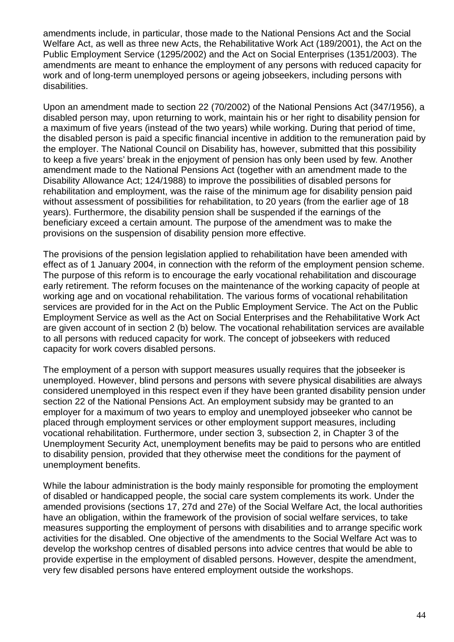amendments include, in particular, those made to the National Pensions Act and the Social Welfare Act, as well as three new Acts, the Rehabilitative Work Act (189/2001), the Act on the Public Employment Service (1295/2002) and the Act on Social Enterprises (1351/2003). The amendments are meant to enhance the employment of any persons with reduced capacity for work and of long-term unemployed persons or ageing jobseekers, including persons with disabilities.

Upon an amendment made to section 22 (70/2002) of the National Pensions Act (347/1956), a disabled person may, upon returning to work, maintain his or her right to disability pension for a maximum of five years (instead of the two years) while working. During that period of time, the disabled person is paid a specific financial incentive in addition to the remuneration paid by the employer. The National Council on Disability has, however, submitted that this possibility to keep a five years' break in the enjoyment of pension has only been used by few. Another amendment made to the National Pensions Act (together with an amendment made to the Disability Allowance Act; 124/1988) to improve the possibilities of disabled persons for rehabilitation and employment, was the raise of the minimum age for disability pension paid without assessment of possibilities for rehabilitation, to 20 years (from the earlier age of 18 years). Furthermore, the disability pension shall be suspended if the earnings of the beneficiary exceed a certain amount. The purpose of the amendment was to make the provisions on the suspension of disability pension more effective.

The provisions of the pension legislation applied to rehabilitation have been amended with effect as of 1 January 2004, in connection with the reform of the employment pension scheme. The purpose of this reform is to encourage the early vocational rehabilitation and discourage early retirement. The reform focuses on the maintenance of the working capacity of people at working age and on vocational rehabilitation. The various forms of vocational rehabilitation services are provided for in the Act on the Public Employment Service. The Act on the Public Employment Service as well as the Act on Social Enterprises and the Rehabilitative Work Act are given account of in section 2 (b) below. The vocational rehabilitation services are available to all persons with reduced capacity for work. The concept of jobseekers with reduced capacity for work covers disabled persons.

The employment of a person with support measures usually requires that the jobseeker is unemployed. However, blind persons and persons with severe physical disabilities are always considered unemployed in this respect even if they have been granted disability pension under section 22 of the National Pensions Act. An employment subsidy may be granted to an employer for a maximum of two years to employ and unemployed jobseeker who cannot be placed through employment services or other employment support measures, including vocational rehabilitation. Furthermore, under section 3, subsection 2, in Chapter 3 of the Unemployment Security Act, unemployment benefits may be paid to persons who are entitled to disability pension, provided that they otherwise meet the conditions for the payment of unemployment benefits.

While the labour administration is the body mainly responsible for promoting the employment of disabled or handicapped people, the social care system complements its work. Under the amended provisions (sections 17, 27d and 27e) of the Social Welfare Act, the local authorities have an obligation, within the framework of the provision of social welfare services, to take measures supporting the employment of persons with disabilities and to arrange specific work activities for the disabled. One objective of the amendments to the Social Welfare Act was to develop the workshop centres of disabled persons into advice centres that would be able to provide expertise in the employment of disabled persons. However, despite the amendment, very few disabled persons have entered employment outside the workshops.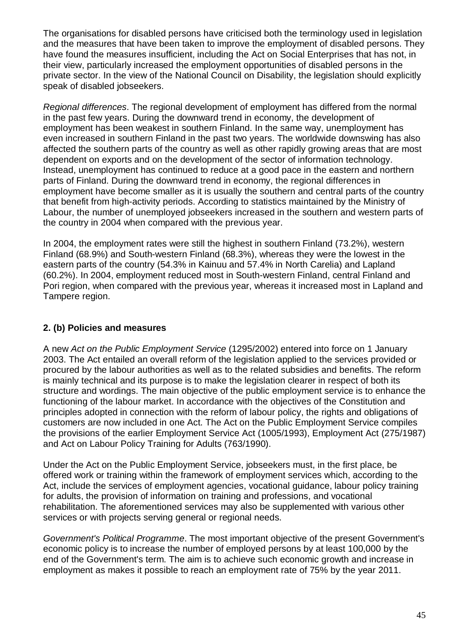The organisations for disabled persons have criticised both the terminology used in legislation and the measures that have been taken to improve the employment of disabled persons. They have found the measures insufficient, including the Act on Social Enterprises that has not, in their view, particularly increased the employment opportunities of disabled persons in the private sector. In the view of the National Council on Disability, the legislation should explicitly speak of disabled jobseekers.

*Regional differences*. The regional development of employment has differed from the normal in the past few years. During the downward trend in economy, the development of employment has been weakest in southern Finland. In the same way, unemployment has even increased in southern Finland in the past two years. The worldwide downswing has also affected the southern parts of the country as well as other rapidly growing areas that are most dependent on exports and on the development of the sector of information technology. Instead, unemployment has continued to reduce at a good pace in the eastern and northern parts of Finland. During the downward trend in economy, the regional differences in employment have become smaller as it is usually the southern and central parts of the country that benefit from high-activity periods. According to statistics maintained by the Ministry of Labour, the number of unemployed jobseekers increased in the southern and western parts of the country in 2004 when compared with the previous year.

In 2004, the employment rates were still the highest in southern Finland (73.2%), western Finland (68.9%) and South-western Finland (68.3%), whereas they were the lowest in the eastern parts of the country (54.3% in Kainuu and 57.4% in North Carelia) and Lapland (60.2%). In 2004, employment reduced most in South-western Finland, central Finland and Pori region, when compared with the previous year, whereas it increased most in Lapland and Tampere region.

# **2. (b) Policies and measures**

A new *Act on the Public Employment Service* (1295/2002) entered into force on 1 January 2003. The Act entailed an overall reform of the legislation applied to the services provided or procured by the labour authorities as well as to the related subsidies and benefits. The reform is mainly technical and its purpose is to make the legislation clearer in respect of both its structure and wordings. The main objective of the public employment service is to enhance the functioning of the labour market. In accordance with the objectives of the Constitution and principles adopted in connection with the reform of labour policy, the rights and obligations of customers are now included in one Act. The Act on the Public Employment Service compiles the provisions of the earlier Employment Service Act (1005/1993), Employment Act (275/1987) and Act on Labour Policy Training for Adults (763/1990).

Under the Act on the Public Employment Service, jobseekers must, in the first place, be offered work or training within the framework of employment services which, according to the Act, include the services of employment agencies, vocational guidance, labour policy training for adults, the provision of information on training and professions, and vocational rehabilitation. The aforementioned services may also be supplemented with various other services or with projects serving general or regional needs.

*Government's Political Programme*. The most important objective of the present Government's economic policy is to increase the number of employed persons by at least 100,000 by the end of the Government's term. The aim is to achieve such economic growth and increase in employment as makes it possible to reach an employment rate of 75% by the year 2011.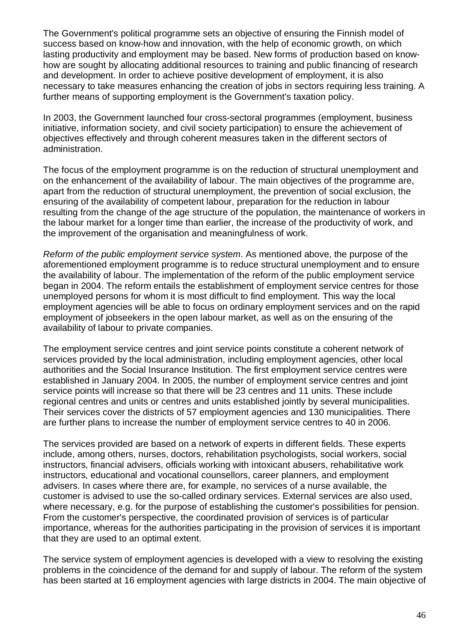The Government's political programme sets an objective of ensuring the Finnish model of success based on know-how and innovation, with the help of economic growth, on which lasting productivity and employment may be based. New forms of production based on knowhow are sought by allocating additional resources to training and public financing of research and development. In order to achieve positive development of employment, it is also necessary to take measures enhancing the creation of jobs in sectors requiring less training. A further means of supporting employment is the Government's taxation policy.

In 2003, the Government launched four cross-sectoral programmes (employment, business initiative, information society, and civil society participation) to ensure the achievement of objectives effectively and through coherent measures taken in the different sectors of administration.

The focus of the employment programme is on the reduction of structural unemployment and on the enhancement of the availability of labour. The main objectives of the programme are, apart from the reduction of structural unemployment, the prevention of social exclusion, the ensuring of the availability of competent labour, preparation for the reduction in labour resulting from the change of the age structure of the population, the maintenance of workers in the labour market for a longer time than earlier, the increase of the productivity of work, and the improvement of the organisation and meaningfulness of work.

*Reform of the public employment service system*. As mentioned above, the purpose of the aforementioned employment programme is to reduce structural unemployment and to ensure the availability of labour. The implementation of the reform of the public employment service began in 2004. The reform entails the establishment of employment service centres for those unemployed persons for whom it is most difficult to find employment. This way the local employment agencies will be able to focus on ordinary employment services and on the rapid employment of jobseekers in the open labour market, as well as on the ensuring of the availability of labour to private companies.

The employment service centres and joint service points constitute a coherent network of services provided by the local administration, including employment agencies, other local authorities and the Social Insurance Institution. The first employment service centres were established in January 2004. In 2005, the number of employment service centres and joint service points will increase so that there will be 23 centres and 11 units. These include regional centres and units or centres and units established jointly by several municipalities. Their services cover the districts of 57 employment agencies and 130 municipalities. There are further plans to increase the number of employment service centres to 40 in 2006.

The services provided are based on a network of experts in different fields. These experts include, among others, nurses, doctors, rehabilitation psychologists, social workers, social instructors, financial advisers, officials working with intoxicant abusers, rehabilitative work instructors, educational and vocational counsellors, career planners, and employment advisers. In cases where there are, for example, no services of a nurse available, the customer is advised to use the so-called ordinary services. External services are also used, where necessary, e.g. for the purpose of establishing the customer's possibilities for pension. From the customer's perspective, the coordinated provision of services is of particular importance, whereas for the authorities participating in the provision of services it is important that they are used to an optimal extent.

The service system of employment agencies is developed with a view to resolving the existing problems in the coincidence of the demand for and supply of labour. The reform of the system has been started at 16 employment agencies with large districts in 2004. The main objective of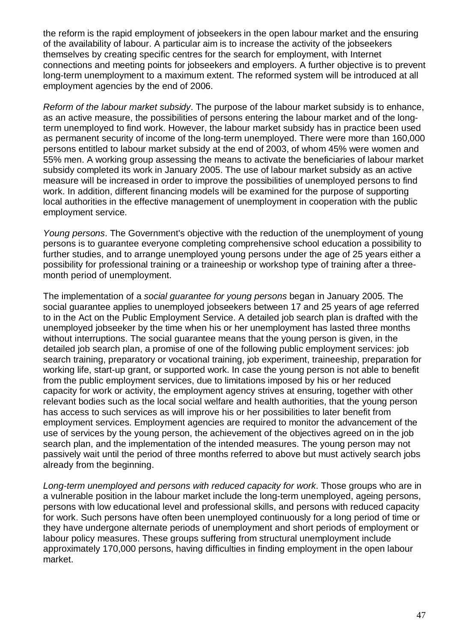the reform is the rapid employment of jobseekers in the open labour market and the ensuring of the availability of labour. A particular aim is to increase the activity of the jobseekers themselves by creating specific centres for the search for employment, with Internet connections and meeting points for jobseekers and employers. A further objective is to prevent long-term unemployment to a maximum extent. The reformed system will be introduced at all employment agencies by the end of 2006.

*Reform of the labour market subsidy*. The purpose of the labour market subsidy is to enhance, as an active measure, the possibilities of persons entering the labour market and of the longterm unemployed to find work. However, the labour market subsidy has in practice been used as permanent security of income of the long-term unemployed. There were more than 160,000 persons entitled to labour market subsidy at the end of 2003, of whom 45% were women and 55% men. A working group assessing the means to activate the beneficiaries of labour market subsidy completed its work in January 2005. The use of labour market subsidy as an active measure will be increased in order to improve the possibilities of unemployed persons to find work. In addition, different financing models will be examined for the purpose of supporting local authorities in the effective management of unemployment in cooperation with the public employment service.

*Young persons*. The Government's objective with the reduction of the unemployment of young persons is to guarantee everyone completing comprehensive school education a possibility to further studies, and to arrange unemployed young persons under the age of 25 years either a possibility for professional training or a traineeship or workshop type of training after a threemonth period of unemployment.

The implementation of a *social guarantee for young persons* began in January 2005. The social guarantee applies to unemployed jobseekers between 17 and 25 years of age referred to in the Act on the Public Employment Service. A detailed job search plan is drafted with the unemployed jobseeker by the time when his or her unemployment has lasted three months without interruptions. The social guarantee means that the young person is given, in the detailed job search plan, a promise of one of the following public employment services: job search training, preparatory or vocational training, job experiment, traineeship, preparation for working life, start-up grant, or supported work. In case the young person is not able to benefit from the public employment services, due to limitations imposed by his or her reduced capacity for work or activity, the employment agency strives at ensuring, together with other relevant bodies such as the local social welfare and health authorities, that the young person has access to such services as will improve his or her possibilities to later benefit from employment services. Employment agencies are required to monitor the advancement of the use of services by the young person, the achievement of the objectives agreed on in the job search plan, and the implementation of the intended measures. The young person may not passively wait until the period of three months referred to above but must actively search jobs already from the beginning.

*Long-term unemployed and persons with reduced capacity for work*. Those groups who are in a vulnerable position in the labour market include the long-term unemployed, ageing persons, persons with low educational level and professional skills, and persons with reduced capacity for work. Such persons have often been unemployed continuously for a long period of time or they have undergone alternate periods of unemployment and short periods of employment or labour policy measures. These groups suffering from structural unemployment include approximately 170,000 persons, having difficulties in finding employment in the open labour market.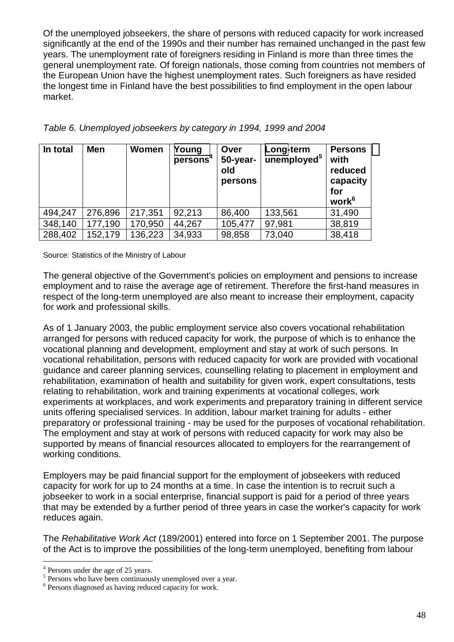Of the unemployed jobseekers, the share of persons with reduced capacity for work increased significantly at the end of the 1990s and their number has remained unchanged in the past few years. The unemployment rate of foreigners residing in Finland is more than three times the general unemployment rate. Of foreign nationals, those coming from countries not members of the European Union have the highest unemployment rates. Such foreigners as have resided the longest time in Finland have the best possibilities to find employment in the open labour market.

| In total | <b>Men</b> | Women   | Young<br>persons <sup>4</sup> | Over<br>50-year-<br>old<br>persons | Long-term<br>unemployed <sup>5</sup> | <b>Persons</b><br>with<br>reduced<br>capacity<br>for<br>work <sup>6</sup> |
|----------|------------|---------|-------------------------------|------------------------------------|--------------------------------------|---------------------------------------------------------------------------|
| 494,247  | 276,896    | 217,351 | 92,213                        | 86,400                             | 133,561                              | 31,490                                                                    |
| 348,140  | 177,190    | 170,950 | 44,267                        | 105,477                            | 97,981                               | 38,819                                                                    |
| 288,402  | 152,179    | 136,223 | 34,933                        | 98,858                             | 73,040                               | 38,418                                                                    |

|  |  | Table 6. Unemployed jobseekers by category in 1994, 1999 and 2004 |
|--|--|-------------------------------------------------------------------|
|  |  |                                                                   |

Source: Statistics of the Ministry of Labour

The general objective of the Government's policies on employment and pensions to increase employment and to raise the average age of retirement. Therefore the first-hand measures in respect of the long-term unemployed are also meant to increase their employment, capacity for work and professional skills.

As of 1 January 2003, the public employment service also covers vocational rehabilitation arranged for persons with reduced capacity for work, the purpose of which is to enhance the vocational planning and development, employment and stay at work of such persons. In vocational rehabilitation, persons with reduced capacity for work are provided with vocational guidance and career planning services, counselling relating to placement in employment and rehabilitation, examination of health and suitability for given work, expert consultations, tests relating to rehabilitation, work and training experiments at vocational colleges, work experiments at workplaces, and work experiments and preparatory training in different service units offering specialised services. In addition, labour market training for adults - either preparatory or professional training - may be used for the purposes of vocational rehabilitation. The employment and stay at work of persons with reduced capacity for work may also be supported by means of financial resources allocated to employers for the rearrangement of working conditions.

Employers may be paid financial support for the employment of jobseekers with reduced capacity for work for up to 24 months at a time. In case the intention is to recruit such a jobseeker to work in a social enterprise, financial support is paid for a period of three years that may be extended by a further period of three years in case the worker's capacity for work reduces again.

The *Rehabilitative Work Act* (189/2001) entered into force on 1 September 2001. The purpose of the Act is to improve the possibilities of the long-term unemployed, benefiting from labour

<span id="page-47-0"></span><sup>&</sup>lt;sup>4</sup> Persons under the age of 25 years.

<span id="page-47-1"></span><sup>&</sup>lt;sup>5</sup> Persons who have been continuously unemployed over a year.

<sup>&</sup>lt;sup>6</sup> Persons diagnosed as having reduced capacity for work.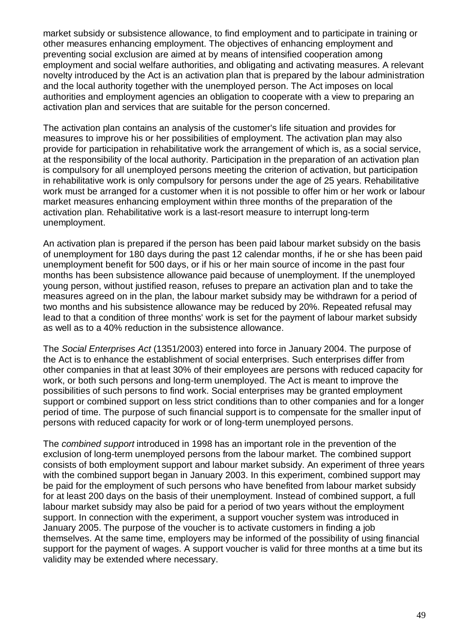market subsidy or subsistence allowance, to find employment and to participate in training or other measures enhancing employment. The objectives of enhancing employment and preventing social exclusion are aimed at by means of intensified cooperation among employment and social welfare authorities, and obligating and activating measures. A relevant novelty introduced by the Act is an activation plan that is prepared by the labour administration and the local authority together with the unemployed person. The Act imposes on local authorities and employment agencies an obligation to cooperate with a view to preparing an activation plan and services that are suitable for the person concerned.

The activation plan contains an analysis of the customer's life situation and provides for measures to improve his or her possibilities of employment. The activation plan may also provide for participation in rehabilitative work the arrangement of which is, as a social service, at the responsibility of the local authority. Participation in the preparation of an activation plan is compulsory for all unemployed persons meeting the criterion of activation, but participation in rehabilitative work is only compulsory for persons under the age of 25 years. Rehabilitative work must be arranged for a customer when it is not possible to offer him or her work or labour market measures enhancing employment within three months of the preparation of the activation plan. Rehabilitative work is a last-resort measure to interrupt long-term unemployment.

An activation plan is prepared if the person has been paid labour market subsidy on the basis of unemployment for 180 days during the past 12 calendar months, if he or she has been paid unemployment benefit for 500 days, or if his or her main source of income in the past four months has been subsistence allowance paid because of unemployment. If the unemployed young person, without justified reason, refuses to prepare an activation plan and to take the measures agreed on in the plan, the labour market subsidy may be withdrawn for a period of two months and his subsistence allowance may be reduced by 20%. Repeated refusal may lead to that a condition of three months' work is set for the payment of labour market subsidy as well as to a 40% reduction in the subsistence allowance.

The *Social Enterprises Act* (1351/2003) entered into force in January 2004. The purpose of the Act is to enhance the establishment of social enterprises. Such enterprises differ from other companies in that at least 30% of their employees are persons with reduced capacity for work, or both such persons and long-term unemployed. The Act is meant to improve the possibilities of such persons to find work. Social enterprises may be granted employment support or combined support on less strict conditions than to other companies and for a longer period of time. The purpose of such financial support is to compensate for the smaller input of persons with reduced capacity for work or of long-term unemployed persons.

The *combined support* introduced in 1998 has an important role in the prevention of the exclusion of long-term unemployed persons from the labour market. The combined support consists of both employment support and labour market subsidy. An experiment of three years with the combined support began in January 2003. In this experiment, combined support may be paid for the employment of such persons who have benefited from labour market subsidy for at least 200 days on the basis of their unemployment. Instead of combined support, a full labour market subsidy may also be paid for a period of two years without the employment support. In connection with the experiment, a support voucher system was introduced in January 2005. The purpose of the voucher is to activate customers in finding a job themselves. At the same time, employers may be informed of the possibility of using financial support for the payment of wages. A support voucher is valid for three months at a time but its validity may be extended where necessary.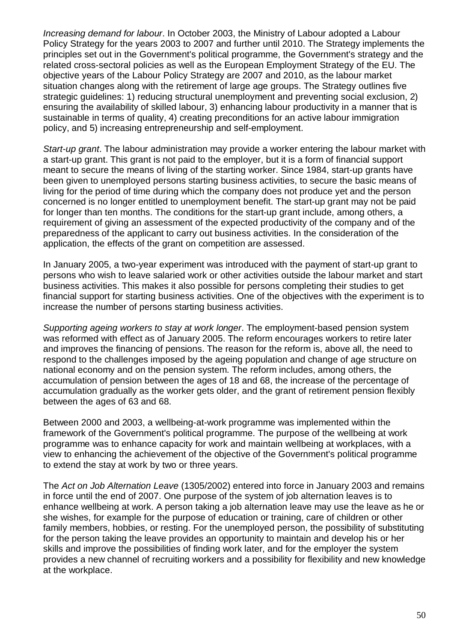*Increasing demand for labour*. In October 2003, the Ministry of Labour adopted a Labour Policy Strategy for the years 2003 to 2007 and further until 2010. The Strategy implements the principles set out in the Government's political programme, the Government's strategy and the related cross-sectoral policies as well as the European Employment Strategy of the EU. The objective years of the Labour Policy Strategy are 2007 and 2010, as the labour market situation changes along with the retirement of large age groups. The Strategy outlines five strategic guidelines: 1) reducing structural unemployment and preventing social exclusion, 2) ensuring the availability of skilled labour, 3) enhancing labour productivity in a manner that is sustainable in terms of quality, 4) creating preconditions for an active labour immigration policy, and 5) increasing entrepreneurship and self-employment.

*Start-up grant*. The labour administration may provide a worker entering the labour market with a start-up grant. This grant is not paid to the employer, but it is a form of financial support meant to secure the means of living of the starting worker. Since 1984, start-up grants have been given to unemployed persons starting business activities, to secure the basic means of living for the period of time during which the company does not produce yet and the person concerned is no longer entitled to unemployment benefit. The start-up grant may not be paid for longer than ten months. The conditions for the start-up grant include, among others, a requirement of giving an assessment of the expected productivity of the company and of the preparedness of the applicant to carry out business activities. In the consideration of the application, the effects of the grant on competition are assessed.

In January 2005, a two-year experiment was introduced with the payment of start-up grant to persons who wish to leave salaried work or other activities outside the labour market and start business activities. This makes it also possible for persons completing their studies to get financial support for starting business activities. One of the objectives with the experiment is to increase the number of persons starting business activities.

*Supporting ageing workers to stay at work longer*. The employment-based pension system was reformed with effect as of January 2005. The reform encourages workers to retire later and improves the financing of pensions. The reason for the reform is, above all, the need to respond to the challenges imposed by the ageing population and change of age structure on national economy and on the pension system. The reform includes, among others, the accumulation of pension between the ages of 18 and 68, the increase of the percentage of accumulation gradually as the worker gets older, and the grant of retirement pension flexibly between the ages of 63 and 68.

Between 2000 and 2003, a wellbeing-at-work programme was implemented within the framework of the Government's political programme. The purpose of the wellbeing at work programme was to enhance capacity for work and maintain wellbeing at workplaces, with a view to enhancing the achievement of the objective of the Government's political programme to extend the stay at work by two or three years.

The *Act on Job Alternation Leave* (1305/2002) entered into force in January 2003 and remains in force until the end of 2007. One purpose of the system of job alternation leaves is to enhance wellbeing at work. A person taking a job alternation leave may use the leave as he or she wishes, for example for the purpose of education or training, care of children or other family members, hobbies, or resting. For the unemployed person, the possibility of substituting for the person taking the leave provides an opportunity to maintain and develop his or her skills and improve the possibilities of finding work later, and for the employer the system provides a new channel of recruiting workers and a possibility for flexibility and new knowledge at the workplace.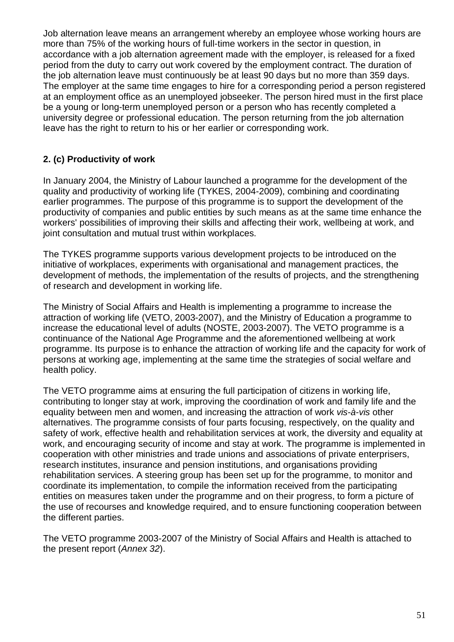Job alternation leave means an arrangement whereby an employee whose working hours are more than 75% of the working hours of full-time workers in the sector in question, in accordance with a job alternation agreement made with the employer, is released for a fixed period from the duty to carry out work covered by the employment contract. The duration of the job alternation leave must continuously be at least 90 days but no more than 359 days. The employer at the same time engages to hire for a corresponding period a person registered at an employment office as an unemployed jobseeker. The person hired must in the first place be a young or long-term unemployed person or a person who has recently completed a university degree or professional education. The person returning from the job alternation leave has the right to return to his or her earlier or corresponding work.

# **2. (c) Productivity of work**

In January 2004, the Ministry of Labour launched a programme for the development of the quality and productivity of working life (TYKES, 2004-2009), combining and coordinating earlier programmes. The purpose of this programme is to support the development of the productivity of companies and public entities by such means as at the same time enhance the workers' possibilities of improving their skills and affecting their work, wellbeing at work, and joint consultation and mutual trust within workplaces.

The TYKES programme supports various development projects to be introduced on the initiative of workplaces, experiments with organisational and management practices, the development of methods, the implementation of the results of projects, and the strengthening of research and development in working life.

The Ministry of Social Affairs and Health is implementing a programme to increase the attraction of working life (VETO, 2003-2007), and the Ministry of Education a programme to increase the educational level of adults (NOSTE, 2003-2007). The VETO programme is a continuance of the National Age Programme and the aforementioned wellbeing at work programme. Its purpose is to enhance the attraction of working life and the capacity for work of persons at working age, implementing at the same time the strategies of social welfare and health policy.

The VETO programme aims at ensuring the full participation of citizens in working life, contributing to longer stay at work, improving the coordination of work and family life and the equality between men and women, and increasing the attraction of work *vis-à-vis* other alternatives. The programme consists of four parts focusing, respectively, on the quality and safety of work, effective health and rehabilitation services at work, the diversity and equality at work, and encouraging security of income and stay at work. The programme is implemented in cooperation with other ministries and trade unions and associations of private enterprisers, research institutes, insurance and pension institutions, and organisations providing rehabilitation services. A steering group has been set up for the programme, to monitor and coordinate its implementation, to compile the information received from the participating entities on measures taken under the programme and on their progress, to form a picture of the use of recourses and knowledge required, and to ensure functioning cooperation between the different parties.

The VETO programme 2003-2007 of the Ministry of Social Affairs and Health is attached to the present report (*Annex 32*).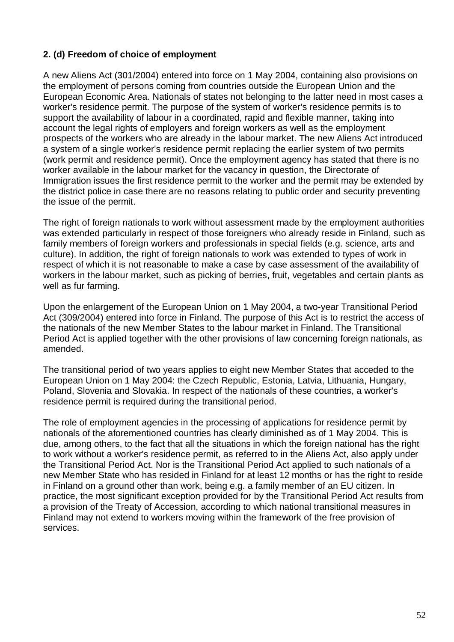#### **2. (d) Freedom of choice of employment**

A new Aliens Act (301/2004) entered into force on 1 May 2004, containing also provisions on the employment of persons coming from countries outside the European Union and the European Economic Area. Nationals of states not belonging to the latter need in most cases a worker's residence permit. The purpose of the system of worker's residence permits is to support the availability of labour in a coordinated, rapid and flexible manner, taking into account the legal rights of employers and foreign workers as well as the employment prospects of the workers who are already in the labour market. The new Aliens Act introduced a system of a single worker's residence permit replacing the earlier system of two permits (work permit and residence permit). Once the employment agency has stated that there is no worker available in the labour market for the vacancy in question, the Directorate of Immigration issues the first residence permit to the worker and the permit may be extended by the district police in case there are no reasons relating to public order and security preventing the issue of the permit.

The right of foreign nationals to work without assessment made by the employment authorities was extended particularly in respect of those foreigners who already reside in Finland, such as family members of foreign workers and professionals in special fields (e.g. science, arts and culture). In addition, the right of foreign nationals to work was extended to types of work in respect of which it is not reasonable to make a case by case assessment of the availability of workers in the labour market, such as picking of berries, fruit, vegetables and certain plants as well as fur farming.

Upon the enlargement of the European Union on 1 May 2004, a two-year Transitional Period Act (309/2004) entered into force in Finland. The purpose of this Act is to restrict the access of the nationals of the new Member States to the labour market in Finland. The Transitional Period Act is applied together with the other provisions of law concerning foreign nationals, as amended.

The transitional period of two years applies to eight new Member States that acceded to the European Union on 1 May 2004: the Czech Republic, Estonia, Latvia, Lithuania, Hungary, Poland, Slovenia and Slovakia. In respect of the nationals of these countries, a worker's residence permit is required during the transitional period.

The role of employment agencies in the processing of applications for residence permit by nationals of the aforementioned countries has clearly diminished as of 1 May 2004. This is due, among others, to the fact that all the situations in which the foreign national has the right to work without a worker's residence permit, as referred to in the Aliens Act, also apply under the Transitional Period Act. Nor is the Transitional Period Act applied to such nationals of a new Member State who has resided in Finland for at least 12 months or has the right to reside in Finland on a ground other than work, being e.g. a family member of an EU citizen. In practice, the most significant exception provided for by the Transitional Period Act results from a provision of the Treaty of Accession, according to which national transitional measures in Finland may not extend to workers moving within the framework of the free provision of services.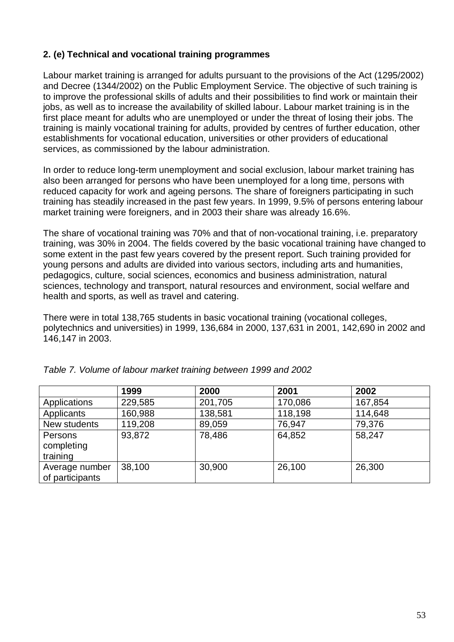### **2. (e) Technical and vocational training programmes**

Labour market training is arranged for adults pursuant to the provisions of the Act (1295/2002) and Decree (1344/2002) on the Public Employment Service. The objective of such training is to improve the professional skills of adults and their possibilities to find work or maintain their jobs, as well as to increase the availability of skilled labour. Labour market training is in the first place meant for adults who are unemployed or under the threat of losing their jobs. The training is mainly vocational training for adults, provided by centres of further education, other establishments for vocational education, universities or other providers of educational services, as commissioned by the labour administration.

In order to reduce long-term unemployment and social exclusion, labour market training has also been arranged for persons who have been unemployed for a long time, persons with reduced capacity for work and ageing persons. The share of foreigners participating in such training has steadily increased in the past few years. In 1999, 9.5% of persons entering labour market training were foreigners, and in 2003 their share was already 16.6%.

The share of vocational training was 70% and that of non-vocational training, i.e. preparatory training, was 30% in 2004. The fields covered by the basic vocational training have changed to some extent in the past few years covered by the present report. Such training provided for young persons and adults are divided into various sectors, including arts and humanities, pedagogics, culture, social sciences, economics and business administration, natural sciences, technology and transport, natural resources and environment, social welfare and health and sports, as well as travel and catering.

There were in total 138,765 students in basic vocational training (vocational colleges, polytechnics and universities) in 1999, 136,684 in 2000, 137,631 in 2001, 142,690 in 2002 and 146,147 in 2003.

|                 | 1999    | 2000    | 2001    | 2002    |
|-----------------|---------|---------|---------|---------|
| Applications    | 229,585 | 201,705 | 170,086 | 167,854 |
| Applicants      | 160,988 | 138,581 | 118,198 | 114,648 |
| New students    | 119,208 | 89,059  | 76,947  | 79,376  |
| Persons         | 93,872  | 78,486  | 64,852  | 58,247  |
| completing      |         |         |         |         |
| training        |         |         |         |         |
| Average number  | 38,100  | 30,900  | 26,100  | 26,300  |
| of participants |         |         |         |         |

| Table 7. Volume of labour market training between 1999 and 2002 |  |  |
|-----------------------------------------------------------------|--|--|
|-----------------------------------------------------------------|--|--|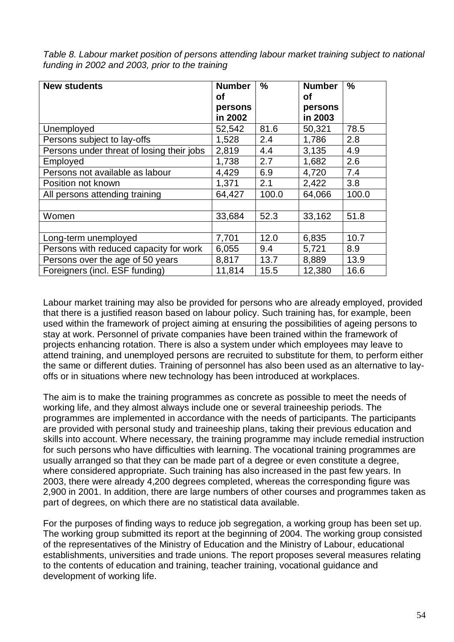| <b>New students</b>                       | <b>Number</b> | $\frac{0}{0}$ | <b>Number</b> | $\frac{0}{0}$ |
|-------------------------------------------|---------------|---------------|---------------|---------------|
|                                           | Οf            |               | <b>of</b>     |               |
|                                           | persons       |               | persons       |               |
|                                           | in 2002       |               | in 2003       |               |
| Unemployed                                | 52,542        | 81.6          | 50,321        | 78.5          |
| Persons subject to lay-offs               | 1,528         | 2.4           | 1,786         | 2.8           |
| Persons under threat of losing their jobs | 2,819         | 4.4           | 3,135         | 4.9           |
| Employed                                  | 1,738         | 2.7           | 1,682         | 2.6           |
| Persons not available as labour           | 4,429         | 6.9           | 4,720         | 7.4           |
| Position not known                        | 1,371         | 2.1           | 2,422         | 3.8           |
| All persons attending training            | 64,427        | 100.0         | 64,066        | 100.0         |
|                                           |               |               |               |               |
| Women                                     | 33,684        | 52.3          | 33,162        | 51.8          |
|                                           |               |               |               |               |
| Long-term unemployed                      | 7,701         | 12.0          | 6,835         | 10.7          |
| Persons with reduced capacity for work    | 6,055         | 9.4           | 5,721         | 8.9           |
| Persons over the age of 50 years          | 8,817         | 13.7          | 8,889         | 13.9          |
| Foreigners (incl. ESF funding)            | 11,814        | 15.5          | 12,380        | 16.6          |

*Table 8. Labour market position of persons attending labour market training subject to national funding in 2002 and 2003, prior to the training*

Labour market training may also be provided for persons who are already employed, provided that there is a justified reason based on labour policy. Such training has, for example, been used within the framework of project aiming at ensuring the possibilities of ageing persons to stay at work. Personnel of private companies have been trained within the framework of projects enhancing rotation. There is also a system under which employees may leave to attend training, and unemployed persons are recruited to substitute for them, to perform either the same or different duties. Training of personnel has also been used as an alternative to layoffs or in situations where new technology has been introduced at workplaces.

The aim is to make the training programmes as concrete as possible to meet the needs of working life, and they almost always include one or several traineeship periods. The programmes are implemented in accordance with the needs of participants. The participants are provided with personal study and traineeship plans, taking their previous education and skills into account. Where necessary, the training programme may include remedial instruction for such persons who have difficulties with learning. The vocational training programmes are usually arranged so that they can be made part of a degree or even constitute a degree, where considered appropriate. Such training has also increased in the past few years. In 2003, there were already 4,200 degrees completed, whereas the corresponding figure was 2,900 in 2001. In addition, there are large numbers of other courses and programmes taken as part of degrees, on which there are no statistical data available.

For the purposes of finding ways to reduce job segregation, a working group has been set up. The working group submitted its report at the beginning of 2004. The working group consisted of the representatives of the Ministry of Education and the Ministry of Labour, educational establishments, universities and trade unions. The report proposes several measures relating to the contents of education and training, teacher training, vocational guidance and development of working life.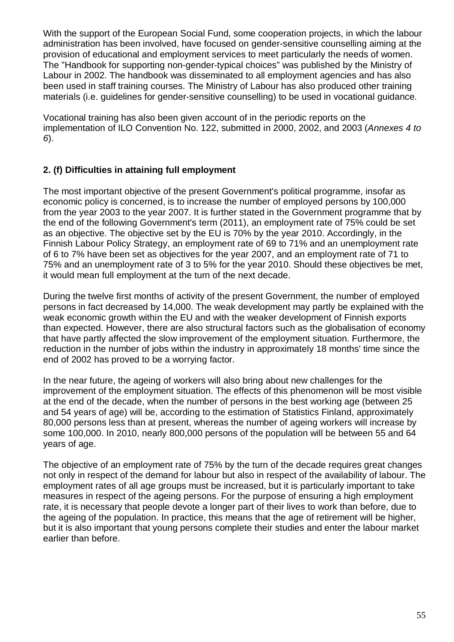With the support of the European Social Fund, some cooperation projects, in which the labour administration has been involved, have focused on gender-sensitive counselling aiming at the provision of educational and employment services to meet particularly the needs of women. The "Handbook for supporting non-gender-typical choices" was published by the Ministry of Labour in 2002. The handbook was disseminated to all employment agencies and has also been used in staff training courses. The Ministry of Labour has also produced other training materials (i.e. guidelines for gender-sensitive counselling) to be used in vocational guidance.

Vocational training has also been given account of in the periodic reports on the implementation of ILO Convention No. 122, submitted in 2000, 2002, and 2003 (*Annexes 4 to 6*).

## **2. (f) Difficulties in attaining full employment**

The most important objective of the present Government's political programme, insofar as economic policy is concerned, is to increase the number of employed persons by 100,000 from the year 2003 to the year 2007. It is further stated in the Government programme that by the end of the following Government's term (2011), an employment rate of 75% could be set as an objective. The objective set by the EU is 70% by the year 2010. Accordingly, in the Finnish Labour Policy Strategy, an employment rate of 69 to 71% and an unemployment rate of 6 to 7% have been set as objectives for the year 2007, and an employment rate of 71 to 75% and an unemployment rate of 3 to 5% for the year 2010. Should these objectives be met, it would mean full employment at the turn of the next decade.

During the twelve first months of activity of the present Government, the number of employed persons in fact decreased by 14,000. The weak development may partly be explained with the weak economic growth within the EU and with the weaker development of Finnish exports than expected. However, there are also structural factors such as the globalisation of economy that have partly affected the slow improvement of the employment situation. Furthermore, the reduction in the number of jobs within the industry in approximately 18 months' time since the end of 2002 has proved to be a worrying factor.

In the near future, the ageing of workers will also bring about new challenges for the improvement of the employment situation. The effects of this phenomenon will be most visible at the end of the decade, when the number of persons in the best working age (between 25 and 54 years of age) will be, according to the estimation of Statistics Finland, approximately 80,000 persons less than at present, whereas the number of ageing workers will increase by some 100,000. In 2010, nearly 800,000 persons of the population will be between 55 and 64 years of age.

The objective of an employment rate of 75% by the turn of the decade requires great changes not only in respect of the demand for labour but also in respect of the availability of labour. The employment rates of all age groups must be increased, but it is particularly important to take measures in respect of the ageing persons. For the purpose of ensuring a high employment rate, it is necessary that people devote a longer part of their lives to work than before, due to the ageing of the population. In practice, this means that the age of retirement will be higher, but it is also important that young persons complete their studies and enter the labour market earlier than before.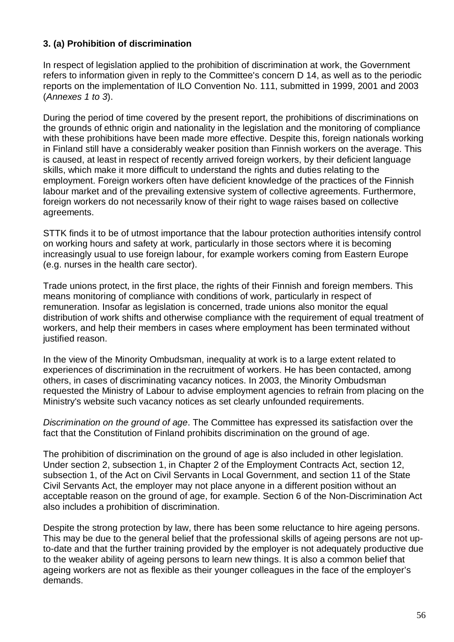## **3. (a) Prohibition of discrimination**

In respect of legislation applied to the prohibition of discrimination at work, the Government refers to information given in reply to the Committee's concern D 14, as well as to the periodic reports on the implementation of ILO Convention No. 111, submitted in 1999, 2001 and 2003 (*Annexes 1 to 3*).

During the period of time covered by the present report, the prohibitions of discriminations on the grounds of ethnic origin and nationality in the legislation and the monitoring of compliance with these prohibitions have been made more effective. Despite this, foreign nationals working in Finland still have a considerably weaker position than Finnish workers on the average. This is caused, at least in respect of recently arrived foreign workers, by their deficient language skills, which make it more difficult to understand the rights and duties relating to the employment. Foreign workers often have deficient knowledge of the practices of the Finnish labour market and of the prevailing extensive system of collective agreements. Furthermore, foreign workers do not necessarily know of their right to wage raises based on collective agreements.

STTK finds it to be of utmost importance that the labour protection authorities intensify control on working hours and safety at work, particularly in those sectors where it is becoming increasingly usual to use foreign labour, for example workers coming from Eastern Europe (e.g. nurses in the health care sector).

Trade unions protect, in the first place, the rights of their Finnish and foreign members. This means monitoring of compliance with conditions of work, particularly in respect of remuneration. Insofar as legislation is concerned, trade unions also monitor the equal distribution of work shifts and otherwise compliance with the requirement of equal treatment of workers, and help their members in cases where employment has been terminated without justified reason.

In the view of the Minority Ombudsman, inequality at work is to a large extent related to experiences of discrimination in the recruitment of workers. He has been contacted, among others, in cases of discriminating vacancy notices. In 2003, the Minority Ombudsman requested the Ministry of Labour to advise employment agencies to refrain from placing on the Ministry's website such vacancy notices as set clearly unfounded requirements.

*Discrimination on the ground of age*. The Committee has expressed its satisfaction over the fact that the Constitution of Finland prohibits discrimination on the ground of age.

The prohibition of discrimination on the ground of age is also included in other legislation. Under section 2, subsection 1, in Chapter 2 of the Employment Contracts Act, section 12, subsection 1, of the Act on Civil Servants in Local Government, and section 11 of the State Civil Servants Act, the employer may not place anyone in a different position without an acceptable reason on the ground of age, for example. Section 6 of the Non-Discrimination Act also includes a prohibition of discrimination.

Despite the strong protection by law, there has been some reluctance to hire ageing persons. This may be due to the general belief that the professional skills of ageing persons are not upto-date and that the further training provided by the employer is not adequately productive due to the weaker ability of ageing persons to learn new things. It is also a common belief that ageing workers are not as flexible as their younger colleagues in the face of the employer's demands.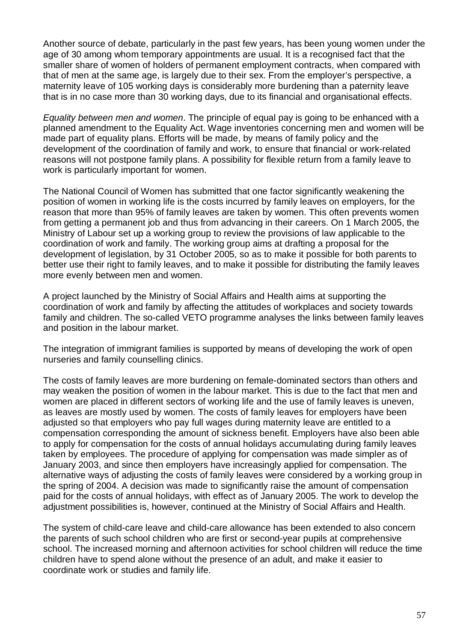Another source of debate, particularly in the past few years, has been young women under the age of 30 among whom temporary appointments are usual. It is a recognised fact that the smaller share of women of holders of permanent employment contracts, when compared with that of men at the same age, is largely due to their sex. From the employer's perspective, a maternity leave of 105 working days is considerably more burdening than a paternity leave that is in no case more than 30 working days, due to its financial and organisational effects.

*Equality between men and women*. The principle of equal pay is going to be enhanced with a planned amendment to the Equality Act. Wage inventories concerning men and women will be made part of equality plans. Efforts will be made, by means of family policy and the development of the coordination of family and work, to ensure that financial or work-related reasons will not postpone family plans. A possibility for flexible return from a family leave to work is particularly important for women.

The National Council of Women has submitted that one factor significantly weakening the position of women in working life is the costs incurred by family leaves on employers, for the reason that more than 95% of family leaves are taken by women. This often prevents women from getting a permanent job and thus from advancing in their careers. On 1 March 2005, the Ministry of Labour set up a working group to review the provisions of law applicable to the coordination of work and family. The working group aims at drafting a proposal for the development of legislation, by 31 October 2005, so as to make it possible for both parents to better use their right to family leaves, and to make it possible for distributing the family leaves more evenly between men and women.

A project launched by the Ministry of Social Affairs and Health aims at supporting the coordination of work and family by affecting the attitudes of workplaces and society towards family and children. The so-called VETO programme analyses the links between family leaves and position in the labour market.

The integration of immigrant families is supported by means of developing the work of open nurseries and family counselling clinics.

The costs of family leaves are more burdening on female-dominated sectors than others and may weaken the position of women in the labour market. This is due to the fact that men and women are placed in different sectors of working life and the use of family leaves is uneven, as leaves are mostly used by women. The costs of family leaves for employers have been adjusted so that employers who pay full wages during maternity leave are entitled to a compensation corresponding the amount of sickness benefit. Employers have also been able to apply for compensation for the costs of annual holidays accumulating during family leaves taken by employees. The procedure of applying for compensation was made simpler as of January 2003, and since then employers have increasingly applied for compensation. The alternative ways of adjusting the costs of family leaves were considered by a working group in the spring of 2004. A decision was made to significantly raise the amount of compensation paid for the costs of annual holidays, with effect as of January 2005. The work to develop the adjustment possibilities is, however, continued at the Ministry of Social Affairs and Health.

The system of child-care leave and child-care allowance has been extended to also concern the parents of such school children who are first or second-year pupils at comprehensive school. The increased morning and afternoon activities for school children will reduce the time children have to spend alone without the presence of an adult, and make it easier to coordinate work or studies and family life.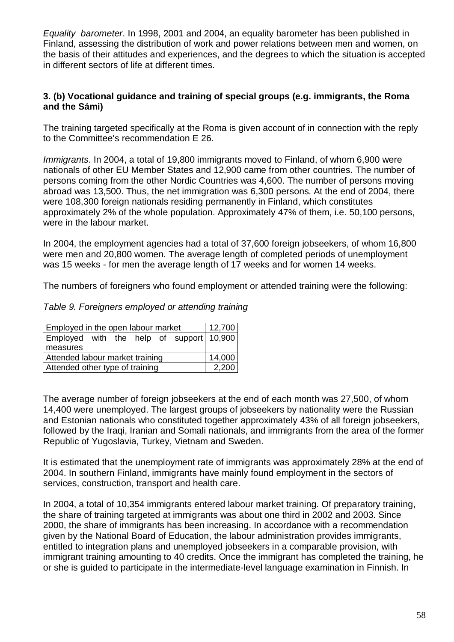*Equality barometer*. In 1998, 2001 and 2004, an equality barometer has been published in Finland, assessing the distribution of work and power relations between men and women, on the basis of their attitudes and experiences, and the degrees to which the situation is accepted in different sectors of life at different times.

#### **3. (b) Vocational guidance and training of special groups (e.g. immigrants, the Roma and the Sámi)**

The training targeted specifically at the Roma is given account of in connection with the reply to the Committee's recommendation E 26.

*Immigrants*. In 2004, a total of 19,800 immigrants moved to Finland, of whom 6,900 were nationals of other EU Member States and 12,900 came from other countries. The number of persons coming from the other Nordic Countries was 4,600. The number of persons moving abroad was 13,500. Thus, the net immigration was 6,300 persons. At the end of 2004, there were 108,300 foreign nationals residing permanently in Finland, which constitutes approximately 2% of the whole population. Approximately 47% of them, i.e. 50,100 persons, were in the labour market.

In 2004, the employment agencies had a total of 37,600 foreign jobseekers, of whom 16,800 were men and 20,800 women. The average length of completed periods of unemployment was 15 weeks - for men the average length of 17 weeks and for women 14 weeks.

The numbers of foreigners who found employment or attended training were the following:

*Table 9. Foreigners employed or attending training*

| Employed in the open labour market       | 12,700 |
|------------------------------------------|--------|
| Employed with the help of support 10,900 |        |
| measures                                 |        |
| Attended labour market training          | 14,000 |
| Attended other type of training          | 2,200  |

The average number of foreign jobseekers at the end of each month was 27,500, of whom 14,400 were unemployed. The largest groups of jobseekers by nationality were the Russian and Estonian nationals who constituted together approximately 43% of all foreign jobseekers, followed by the Iraqi, Iranian and Somali nationals, and immigrants from the area of the former Republic of Yugoslavia, Turkey, Vietnam and Sweden.

It is estimated that the unemployment rate of immigrants was approximately 28% at the end of 2004. In southern Finland, immigrants have mainly found employment in the sectors of services, construction, transport and health care.

In 2004, a total of 10,354 immigrants entered labour market training. Of preparatory training, the share of training targeted at immigrants was about one third in 2002 and 2003. Since 2000, the share of immigrants has been increasing. In accordance with a recommendation given by the National Board of Education, the labour administration provides immigrants, entitled to integration plans and unemployed jobseekers in a comparable provision, with immigrant training amounting to 40 credits. Once the immigrant has completed the training, he or she is guided to participate in the intermediate-level language examination in Finnish. In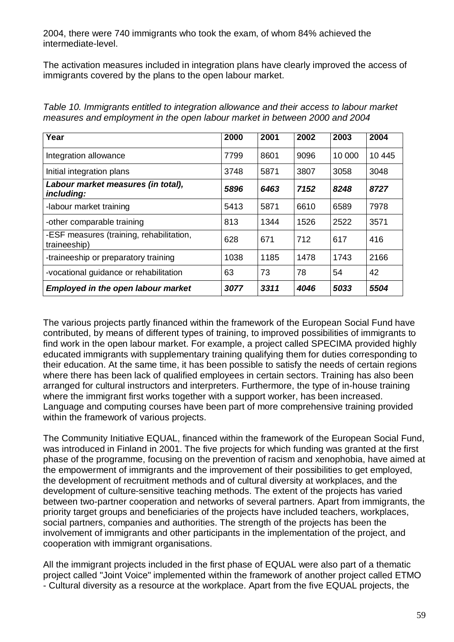2004, there were 740 immigrants who took the exam, of whom 84% achieved the intermediate-level.

The activation measures included in integration plans have clearly improved the access of immigrants covered by the plans to the open labour market.

| Year                                                     | 2000 | 2001 | 2002 | 2003   | 2004    |
|----------------------------------------------------------|------|------|------|--------|---------|
| Integration allowance                                    | 7799 | 8601 | 9096 | 10 000 | 10 4 45 |
| Initial integration plans                                | 3748 | 5871 | 3807 | 3058   | 3048    |
| Labour market measures (in total),<br>including:         | 5896 | 6463 | 7152 | 8248   | 8727    |
| -labour market training                                  | 5413 | 5871 | 6610 | 6589   | 7978    |
| -other comparable training                               | 813  | 1344 | 1526 | 2522   | 3571    |
| -ESF measures (training, rehabilitation,<br>traineeship) | 628  | 671  | 712  | 617    | 416     |
| -traineeship or preparatory training                     | 1038 | 1185 | 1478 | 1743   | 2166    |
| -vocational guidance or rehabilitation                   | 63   | 73   | 78   | 54     | 42      |
| <b>Employed in the open labour market</b>                | 3077 | 3311 | 4046 | 5033   | 5504    |

*Table 10. Immigrants entitled to integration allowance and their access to labour market measures and employment in the open labour market in between 2000 and 2004*

The various projects partly financed within the framework of the European Social Fund have contributed, by means of different types of training, to improved possibilities of immigrants to find work in the open labour market. For example, a project called SPECIMA provided highly educated immigrants with supplementary training qualifying them for duties corresponding to their education. At the same time, it has been possible to satisfy the needs of certain regions where there has been lack of qualified employees in certain sectors. Training has also been arranged for cultural instructors and interpreters. Furthermore, the type of in-house training where the immigrant first works together with a support worker, has been increased. Language and computing courses have been part of more comprehensive training provided within the framework of various projects.

The Community Initiative EQUAL, financed within the framework of the European Social Fund, was introduced in Finland in 2001. The five projects for which funding was granted at the first phase of the programme, focusing on the prevention of racism and xenophobia, have aimed at the empowerment of immigrants and the improvement of their possibilities to get employed, the development of recruitment methods and of cultural diversity at workplaces, and the development of culture-sensitive teaching methods. The extent of the projects has varied between two-partner cooperation and networks of several partners. Apart from immigrants, the priority target groups and beneficiaries of the projects have included teachers, workplaces, social partners, companies and authorities. The strength of the projects has been the involvement of immigrants and other participants in the implementation of the project, and cooperation with immigrant organisations.

All the immigrant projects included in the first phase of EQUAL were also part of a thematic project called "Joint Voice" implemented within the framework of another project called ETMO - Cultural diversity as a resource at the workplace. Apart from the five EQUAL projects, the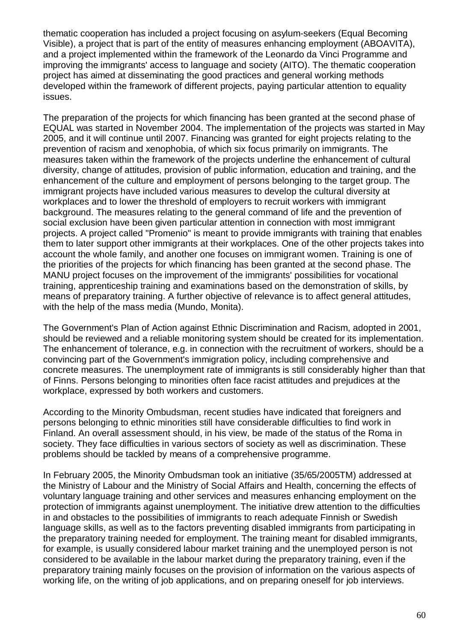thematic cooperation has included a project focusing on asylum-seekers (Equal Becoming Visible), a project that is part of the entity of measures enhancing employment (ABOAVITA), and a project implemented within the framework of the Leonardo da Vinci Programme and improving the immigrants' access to language and society (AITO). The thematic cooperation project has aimed at disseminating the good practices and general working methods developed within the framework of different projects, paying particular attention to equality issues.

The preparation of the projects for which financing has been granted at the second phase of EQUAL was started in November 2004. The implementation of the projects was started in May 2005, and it will continue until 2007. Financing was granted for eight projects relating to the prevention of racism and xenophobia, of which six focus primarily on immigrants. The measures taken within the framework of the projects underline the enhancement of cultural diversity, change of attitudes, provision of public information, education and training, and the enhancement of the culture and employment of persons belonging to the target group. The immigrant projects have included various measures to develop the cultural diversity at workplaces and to lower the threshold of employers to recruit workers with immigrant background. The measures relating to the general command of life and the prevention of social exclusion have been given particular attention in connection with most immigrant projects. A project called "Promenio" is meant to provide immigrants with training that enables them to later support other immigrants at their workplaces. One of the other projects takes into account the whole family, and another one focuses on immigrant women. Training is one of the priorities of the projects for which financing has been granted at the second phase. The MANU project focuses on the improvement of the immigrants' possibilities for vocational training, apprenticeship training and examinations based on the demonstration of skills, by means of preparatory training. A further objective of relevance is to affect general attitudes, with the help of the mass media (Mundo, Monita).

The Government's Plan of Action against Ethnic Discrimination and Racism, adopted in 2001, should be reviewed and a reliable monitoring system should be created for its implementation. The enhancement of tolerance, e.g. in connection with the recruitment of workers, should be a convincing part of the Government's immigration policy, including comprehensive and concrete measures. The unemployment rate of immigrants is still considerably higher than that of Finns. Persons belonging to minorities often face racist attitudes and prejudices at the workplace, expressed by both workers and customers.

According to the Minority Ombudsman, recent studies have indicated that foreigners and persons belonging to ethnic minorities still have considerable difficulties to find work in Finland. An overall assessment should, in his view, be made of the status of the Roma in society. They face difficulties in various sectors of society as well as discrimination. These problems should be tackled by means of a comprehensive programme.

In February 2005, the Minority Ombudsman took an initiative (35/65/2005TM) addressed at the Ministry of Labour and the Ministry of Social Affairs and Health, concerning the effects of voluntary language training and other services and measures enhancing employment on the protection of immigrants against unemployment. The initiative drew attention to the difficulties in and obstacles to the possibilities of immigrants to reach adequate Finnish or Swedish language skills, as well as to the factors preventing disabled immigrants from participating in the preparatory training needed for employment. The training meant for disabled immigrants, for example, is usually considered labour market training and the unemployed person is not considered to be available in the labour market during the preparatory training, even if the preparatory training mainly focuses on the provision of information on the various aspects of working life, on the writing of job applications, and on preparing oneself for job interviews.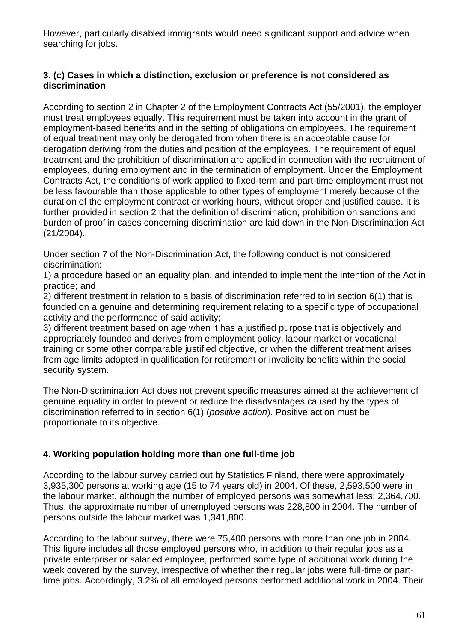However, particularly disabled immigrants would need significant support and advice when searching for jobs.

### **3. (c) Cases in which a distinction, exclusion or preference is not considered as discrimination**

According to section 2 in Chapter 2 of the Employment Contracts Act (55/2001), the employer must treat employees equally. This requirement must be taken into account in the grant of employment-based benefits and in the setting of obligations on employees. The requirement of equal treatment may only be derogated from when there is an acceptable cause for derogation deriving from the duties and position of the employees. The requirement of equal treatment and the prohibition of discrimination are applied in connection with the recruitment of employees, during employment and in the termination of employment. Under the Employment Contracts Act, the conditions of work applied to fixed-term and part-time employment must not be less favourable than those applicable to other types of employment merely because of the duration of the employment contract or working hours, without proper and justified cause. It is further provided in section 2 that the definition of discrimination, prohibition on sanctions and burden of proof in cases concerning discrimination are laid down in the Non-Discrimination Act (21/2004).

Under section 7 of the Non-Discrimination Act, the following conduct is not considered discrimination:

1) a procedure based on an equality plan, and intended to implement the intention of the Act in practice; and

2) different treatment in relation to a basis of discrimination referred to in section 6(1) that is founded on a genuine and determining requirement relating to a specific type of occupational activity and the performance of said activity;

3) different treatment based on age when it has a justified purpose that is objectively and appropriately founded and derives from employment policy, labour market or vocational training or some other comparable justified objective, or when the different treatment arises from age limits adopted in qualification for retirement or invalidity benefits within the social security system.

The Non-Discrimination Act does not prevent specific measures aimed at the achievement of genuine equality in order to prevent or reduce the disadvantages caused by the types of discrimination referred to in section 6(1) (*positive action*). Positive action must be proportionate to its objective.

# **4. Working population holding more than one full-time job**

According to the labour survey carried out by Statistics Finland, there were approximately 3,935,300 persons at working age (15 to 74 years old) in 2004. Of these, 2,593,500 were in the labour market, although the number of employed persons was somewhat less: 2,364,700. Thus, the approximate number of unemployed persons was 228,800 in 2004. The number of persons outside the labour market was 1,341,800.

According to the labour survey, there were 75,400 persons with more than one job in 2004. This figure includes all those employed persons who, in addition to their regular jobs as a private enterpriser or salaried employee, performed some type of additional work during the week covered by the survey, irrespective of whether their regular jobs were full-time or parttime jobs. Accordingly, 3.2% of all employed persons performed additional work in 2004. Their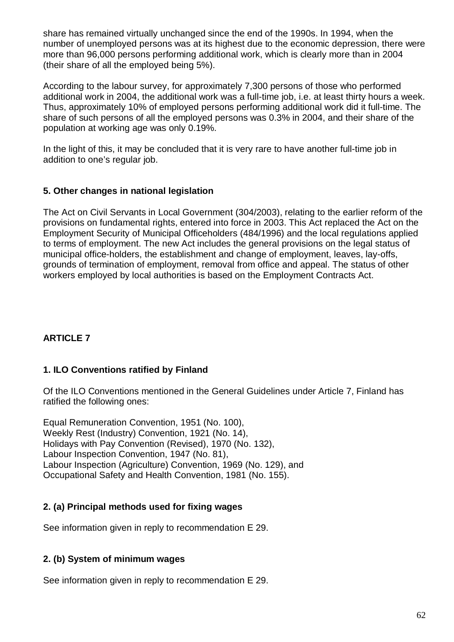share has remained virtually unchanged since the end of the 1990s. In 1994, when the number of unemployed persons was at its highest due to the economic depression, there were more than 96,000 persons performing additional work, which is clearly more than in 2004 (their share of all the employed being 5%).

According to the labour survey, for approximately 7,300 persons of those who performed additional work in 2004, the additional work was a full-time job, i.e. at least thirty hours a week. Thus, approximately 10% of employed persons performing additional work did it full-time. The share of such persons of all the employed persons was 0.3% in 2004, and their share of the population at working age was only 0.19%.

In the light of this, it may be concluded that it is very rare to have another full-time job in addition to one's regular job.

## **5. Other changes in national legislation**

The Act on Civil Servants in Local Government (304/2003), relating to the earlier reform of the provisions on fundamental rights, entered into force in 2003. This Act replaced the Act on the Employment Security of Municipal Officeholders (484/1996) and the local regulations applied to terms of employment. The new Act includes the general provisions on the legal status of municipal office-holders, the establishment and change of employment, leaves, lay-offs, grounds of termination of employment, removal from office and appeal. The status of other workers employed by local authorities is based on the Employment Contracts Act.

# **ARTICLE 7**

# **1. ILO Conventions ratified by Finland**

Of the ILO Conventions mentioned in the General Guidelines under Article 7, Finland has ratified the following ones:

Equal Remuneration Convention, 1951 (No. 100), Weekly Rest (Industry) Convention, 1921 (No. 14), Holidays with Pay Convention (Revised), 1970 (No. 132), Labour Inspection Convention, 1947 (No. 81), Labour Inspection (Agriculture) Convention, 1969 (No. 129), and Occupational Safety and Health Convention, 1981 (No. 155).

### **2. (a) Principal methods used for fixing wages**

See information given in reply to recommendation E 29.

### **2. (b) System of minimum wages**

See information given in reply to recommendation E 29.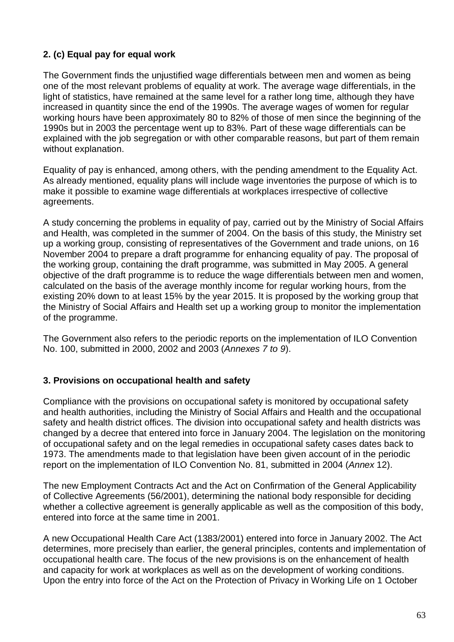## **2. (c) Equal pay for equal work**

The Government finds the unjustified wage differentials between men and women as being one of the most relevant problems of equality at work. The average wage differentials, in the light of statistics, have remained at the same level for a rather long time, although they have increased in quantity since the end of the 1990s. The average wages of women for regular working hours have been approximately 80 to 82% of those of men since the beginning of the 1990s but in 2003 the percentage went up to 83%. Part of these wage differentials can be explained with the job segregation or with other comparable reasons, but part of them remain without explanation.

Equality of pay is enhanced, among others, with the pending amendment to the Equality Act. As already mentioned, equality plans will include wage inventories the purpose of which is to make it possible to examine wage differentials at workplaces irrespective of collective agreements.

A study concerning the problems in equality of pay, carried out by the Ministry of Social Affairs and Health, was completed in the summer of 2004. On the basis of this study, the Ministry set up a working group, consisting of representatives of the Government and trade unions, on 16 November 2004 to prepare a draft programme for enhancing equality of pay. The proposal of the working group, containing the draft programme, was submitted in May 2005. A general objective of the draft programme is to reduce the wage differentials between men and women, calculated on the basis of the average monthly income for regular working hours, from the existing 20% down to at least 15% by the year 2015. It is proposed by the working group that the Ministry of Social Affairs and Health set up a working group to monitor the implementation of the programme.

The Government also refers to the periodic reports on the implementation of ILO Convention No. 100, submitted in 2000, 2002 and 2003 (*Annexes 7 to 9*).

### **3. Provisions on occupational health and safety**

Compliance with the provisions on occupational safety is monitored by occupational safety and health authorities, including the Ministry of Social Affairs and Health and the occupational safety and health district offices. The division into occupational safety and health districts was changed by a decree that entered into force in January 2004. The legislation on the monitoring of occupational safety and on the legal remedies in occupational safety cases dates back to 1973. The amendments made to that legislation have been given account of in the periodic report on the implementation of ILO Convention No. 81, submitted in 2004 (*Annex* 12).

The new Employment Contracts Act and the Act on Confirmation of the General Applicability of Collective Agreements (56/2001), determining the national body responsible for deciding whether a collective agreement is generally applicable as well as the composition of this body, entered into force at the same time in 2001.

A new Occupational Health Care Act (1383/2001) entered into force in January 2002. The Act determines, more precisely than earlier, the general principles, contents and implementation of occupational health care. The focus of the new provisions is on the enhancement of health and capacity for work at workplaces as well as on the development of working conditions. Upon the entry into force of the Act on the Protection of Privacy in Working Life on 1 October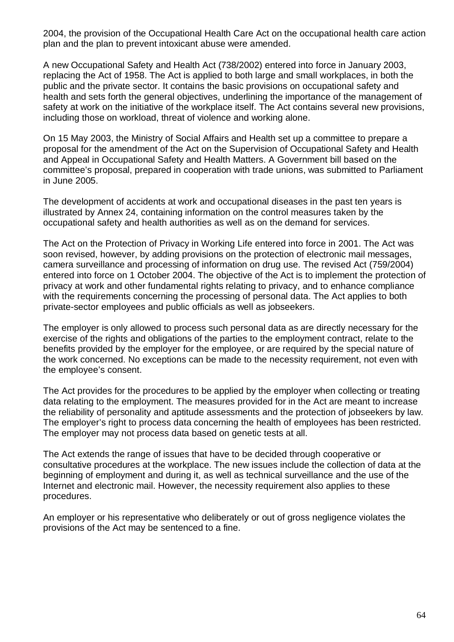2004, the provision of the Occupational Health Care Act on the occupational health care action plan and the plan to prevent intoxicant abuse were amended.

A new Occupational Safety and Health Act (738/2002) entered into force in January 2003, replacing the Act of 1958. The Act is applied to both large and small workplaces, in both the public and the private sector. It contains the basic provisions on occupational safety and health and sets forth the general objectives, underlining the importance of the management of safety at work on the initiative of the workplace itself. The Act contains several new provisions, including those on workload, threat of violence and working alone.

On 15 May 2003, the Ministry of Social Affairs and Health set up a committee to prepare a proposal for the amendment of the Act on the Supervision of Occupational Safety and Health and Appeal in Occupational Safety and Health Matters. A Government bill based on the committee's proposal, prepared in cooperation with trade unions, was submitted to Parliament in June 2005.

The development of accidents at work and occupational diseases in the past ten years is illustrated by Annex 24, containing information on the control measures taken by the occupational safety and health authorities as well as on the demand for services.

The Act on the Protection of Privacy in Working Life entered into force in 2001. The Act was soon revised, however, by adding provisions on the protection of electronic mail messages, camera surveillance and processing of information on drug use. The revised Act (759/2004) entered into force on 1 October 2004. The objective of the Act is to implement the protection of privacy at work and other fundamental rights relating to privacy, and to enhance compliance with the requirements concerning the processing of personal data. The Act applies to both private-sector employees and public officials as well as jobseekers.

The employer is only allowed to process such personal data as are directly necessary for the exercise of the rights and obligations of the parties to the employment contract, relate to the benefits provided by the employer for the employee, or are required by the special nature of the work concerned. No exceptions can be made to the necessity requirement, not even with the employee's consent.

The Act provides for the procedures to be applied by the employer when collecting or treating data relating to the employment. The measures provided for in the Act are meant to increase the reliability of personality and aptitude assessments and the protection of jobseekers by law. The employer's right to process data concerning the health of employees has been restricted. The employer may not process data based on genetic tests at all.

The Act extends the range of issues that have to be decided through cooperative or consultative procedures at the workplace. The new issues include the collection of data at the beginning of employment and during it, as well as technical surveillance and the use of the Internet and electronic mail. However, the necessity requirement also applies to these procedures.

An employer or his representative who deliberately or out of gross negligence violates the provisions of the Act may be sentenced to a fine.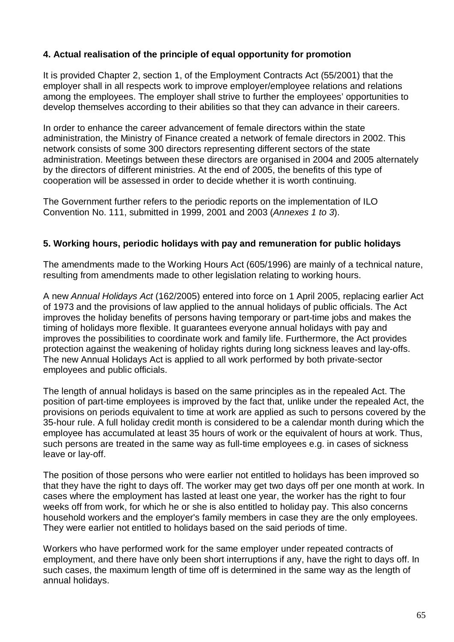#### **4. Actual realisation of the principle of equal opportunity for promotion**

It is provided Chapter 2, section 1, of the Employment Contracts Act (55/2001) that the employer shall in all respects work to improve employer/employee relations and relations among the employees. The employer shall strive to further the employees' opportunities to develop themselves according to their abilities so that they can advance in their careers.

In order to enhance the career advancement of female directors within the state administration, the Ministry of Finance created a network of female directors in 2002. This network consists of some 300 directors representing different sectors of the state administration. Meetings between these directors are organised in 2004 and 2005 alternately by the directors of different ministries. At the end of 2005, the benefits of this type of cooperation will be assessed in order to decide whether it is worth continuing.

The Government further refers to the periodic reports on the implementation of ILO Convention No. 111, submitted in 1999, 2001 and 2003 (*Annexes 1 to 3*).

#### **5. Working hours, periodic holidays with pay and remuneration for public holidays**

The amendments made to the Working Hours Act (605/1996) are mainly of a technical nature, resulting from amendments made to other legislation relating to working hours.

A new *Annual Holidays Act* (162/2005) entered into force on 1 April 2005, replacing earlier Act of 1973 and the provisions of law applied to the annual holidays of public officials. The Act improves the holiday benefits of persons having temporary or part-time jobs and makes the timing of holidays more flexible. It guarantees everyone annual holidays with pay and improves the possibilities to coordinate work and family life. Furthermore, the Act provides protection against the weakening of holiday rights during long sickness leaves and lay-offs. The new Annual Holidays Act is applied to all work performed by both private-sector employees and public officials.

The length of annual holidays is based on the same principles as in the repealed Act. The position of part-time employees is improved by the fact that, unlike under the repealed Act, the provisions on periods equivalent to time at work are applied as such to persons covered by the 35-hour rule. A full holiday credit month is considered to be a calendar month during which the employee has accumulated at least 35 hours of work or the equivalent of hours at work. Thus, such persons are treated in the same way as full-time employees e.g. in cases of sickness leave or lay-off.

The position of those persons who were earlier not entitled to holidays has been improved so that they have the right to days off. The worker may get two days off per one month at work. In cases where the employment has lasted at least one year, the worker has the right to four weeks off from work, for which he or she is also entitled to holiday pay. This also concerns household workers and the employer's family members in case they are the only employees. They were earlier not entitled to holidays based on the said periods of time.

Workers who have performed work for the same employer under repeated contracts of employment, and there have only been short interruptions if any, have the right to days off. In such cases, the maximum length of time off is determined in the same way as the length of annual holidays.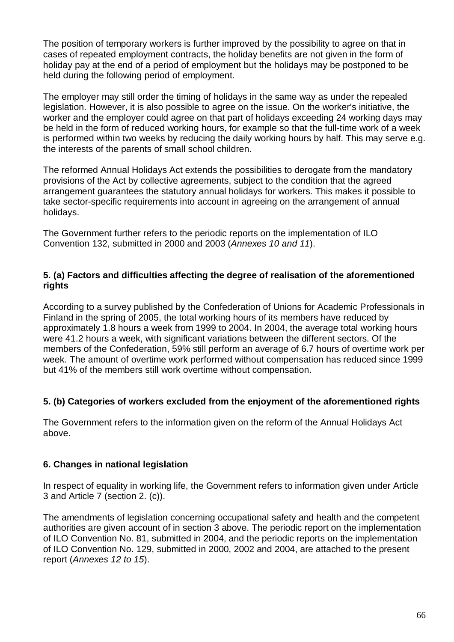The position of temporary workers is further improved by the possibility to agree on that in cases of repeated employment contracts, the holiday benefits are not given in the form of holiday pay at the end of a period of employment but the holidays may be postponed to be held during the following period of employment.

The employer may still order the timing of holidays in the same way as under the repealed legislation. However, it is also possible to agree on the issue. On the worker's initiative, the worker and the employer could agree on that part of holidays exceeding 24 working days may be held in the form of reduced working hours, for example so that the full-time work of a week is performed within two weeks by reducing the daily working hours by half. This may serve e.g. the interests of the parents of small school children.

The reformed Annual Holidays Act extends the possibilities to derogate from the mandatory provisions of the Act by collective agreements, subject to the condition that the agreed arrangement guarantees the statutory annual holidays for workers. This makes it possible to take sector-specific requirements into account in agreeing on the arrangement of annual holidays.

The Government further refers to the periodic reports on the implementation of ILO Convention 132, submitted in 2000 and 2003 (*Annexes 10 and 11*).

#### **5. (a) Factors and difficulties affecting the degree of realisation of the aforementioned rights**

According to a survey published by the Confederation of Unions for Academic Professionals in Finland in the spring of 2005, the total working hours of its members have reduced by approximately 1.8 hours a week from 1999 to 2004. In 2004, the average total working hours were 41.2 hours a week, with significant variations between the different sectors. Of the members of the Confederation, 59% still perform an average of 6.7 hours of overtime work per week. The amount of overtime work performed without compensation has reduced since 1999 but 41% of the members still work overtime without compensation.

### **5. (b) Categories of workers excluded from the enjoyment of the aforementioned rights**

The Government refers to the information given on the reform of the Annual Holidays Act above.

#### **6. Changes in national legislation**

In respect of equality in working life, the Government refers to information given under Article 3 and Article 7 (section 2. (c)).

The amendments of legislation concerning occupational safety and health and the competent authorities are given account of in section 3 above. The periodic report on the implementation of ILO Convention No. 81, submitted in 2004, and the periodic reports on the implementation of ILO Convention No. 129, submitted in 2000, 2002 and 2004, are attached to the present report (*Annexes 12 to 15*).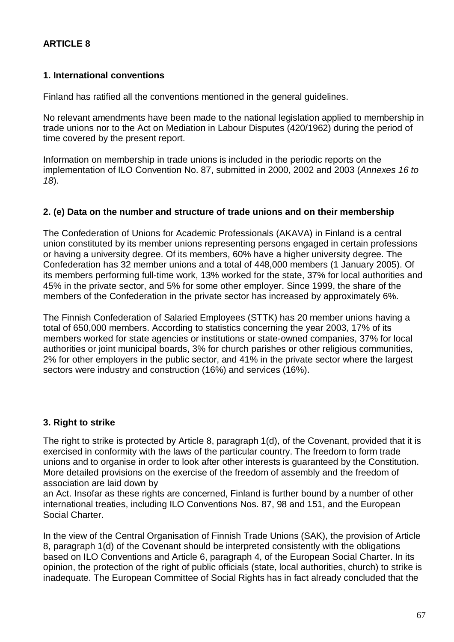## **ARTICLE 8**

### **1. International conventions**

Finland has ratified all the conventions mentioned in the general guidelines.

No relevant amendments have been made to the national legislation applied to membership in trade unions nor to the Act on Mediation in Labour Disputes (420/1962) during the period of time covered by the present report.

Information on membership in trade unions is included in the periodic reports on the implementation of ILO Convention No. 87, submitted in 2000, 2002 and 2003 (*Annexes 16 to 18*).

#### **2. (e) Data on the number and structure of trade unions and on their membership**

The Confederation of Unions for Academic Professionals (AKAVA) in Finland is a central union constituted by its member unions representing persons engaged in certain professions or having a university degree. Of its members, 60% have a higher university degree. The Confederation has 32 member unions and a total of 448,000 members (1 January 2005). Of its members performing full-time work, 13% worked for the state, 37% for local authorities and 45% in the private sector, and 5% for some other employer. Since 1999, the share of the members of the Confederation in the private sector has increased by approximately 6%.

The Finnish Confederation of Salaried Employees (STTK) has 20 member unions having a total of 650,000 members. According to statistics concerning the year 2003, 17% of its members worked for state agencies or institutions or state-owned companies, 37% for local authorities or joint municipal boards, 3% for church parishes or other religious communities, 2% for other employers in the public sector, and 41% in the private sector where the largest sectors were industry and construction (16%) and services (16%).

### **3. Right to strike**

The right to strike is protected by Article 8, paragraph 1(d), of the Covenant, provided that it is exercised in conformity with the laws of the particular country. The freedom to form trade unions and to organise in order to look after other interests is guaranteed by the Constitution. More detailed provisions on the exercise of the freedom of assembly and the freedom of association are laid down by

an Act. Insofar as these rights are concerned, Finland is further bound by a number of other international treaties, including ILO Conventions Nos. 87, 98 and 151, and the European Social Charter.

In the view of the Central Organisation of Finnish Trade Unions (SAK), the provision of Article 8, paragraph 1(d) of the Covenant should be interpreted consistently with the obligations based on ILO Conventions and Article 6, paragraph 4, of the European Social Charter. In its opinion, the protection of the right of public officials (state, local authorities, church) to strike is inadequate. The European Committee of Social Rights has in fact already concluded that the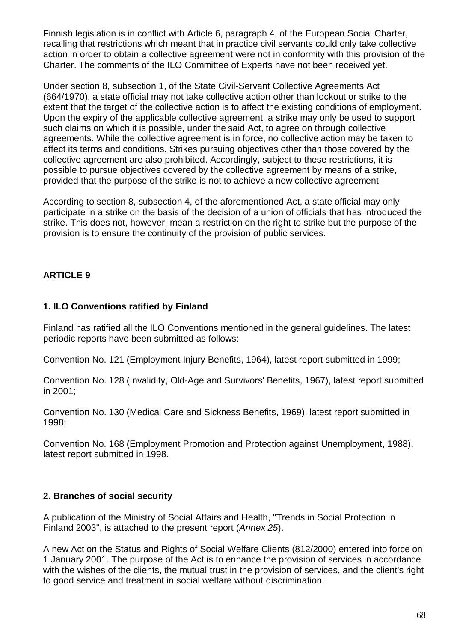Finnish legislation is in conflict with Article 6, paragraph 4, of the European Social Charter, recalling that restrictions which meant that in practice civil servants could only take collective action in order to obtain a collective agreement were not in conformity with this provision of the Charter. The comments of the ILO Committee of Experts have not been received yet.

Under section 8, subsection 1, of the State Civil-Servant Collective Agreements Act (664/1970), a state official may not take collective action other than lockout or strike to the extent that the target of the collective action is to affect the existing conditions of employment. Upon the expiry of the applicable collective agreement, a strike may only be used to support such claims on which it is possible, under the said Act, to agree on through collective agreements. While the collective agreement is in force, no collective action may be taken to affect its terms and conditions. Strikes pursuing objectives other than those covered by the collective agreement are also prohibited. Accordingly, subject to these restrictions, it is possible to pursue objectives covered by the collective agreement by means of a strike, provided that the purpose of the strike is not to achieve a new collective agreement.

According to section 8, subsection 4, of the aforementioned Act, a state official may only participate in a strike on the basis of the decision of a union of officials that has introduced the strike. This does not, however, mean a restriction on the right to strike but the purpose of the provision is to ensure the continuity of the provision of public services.

# **ARTICLE 9**

## **1. ILO Conventions ratified by Finland**

Finland has ratified all the ILO Conventions mentioned in the general guidelines. The latest periodic reports have been submitted as follows:

Convention No. 121 (Employment Injury Benefits, 1964), latest report submitted in 1999;

Convention No. 128 (Invalidity, Old-Age and Survivors' Benefits, 1967), latest report submitted in 2001;

Convention No. 130 (Medical Care and Sickness Benefits, 1969), latest report submitted in 1998;

Convention No. 168 (Employment Promotion and Protection against Unemployment, 1988), latest report submitted in 1998.

### **2. Branches of social security**

A publication of the Ministry of Social Affairs and Health, "Trends in Social Protection in Finland 2003", is attached to the present report (*Annex 25*).

A new Act on the Status and Rights of Social Welfare Clients (812/2000) entered into force on 1 January 2001. The purpose of the Act is to enhance the provision of services in accordance with the wishes of the clients, the mutual trust in the provision of services, and the client's right to good service and treatment in social welfare without discrimination.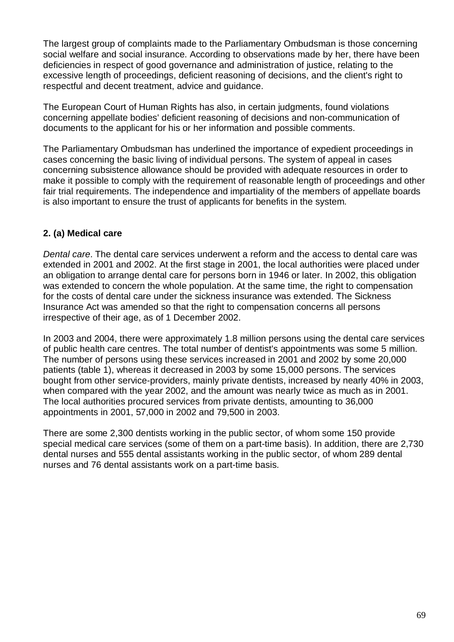The largest group of complaints made to the Parliamentary Ombudsman is those concerning social welfare and social insurance. According to observations made by her, there have been deficiencies in respect of good governance and administration of justice, relating to the excessive length of proceedings, deficient reasoning of decisions, and the client's right to respectful and decent treatment, advice and guidance.

The European Court of Human Rights has also, in certain judgments, found violations concerning appellate bodies' deficient reasoning of decisions and non-communication of documents to the applicant for his or her information and possible comments.

The Parliamentary Ombudsman has underlined the importance of expedient proceedings in cases concerning the basic living of individual persons. The system of appeal in cases concerning subsistence allowance should be provided with adequate resources in order to make it possible to comply with the requirement of reasonable length of proceedings and other fair trial requirements. The independence and impartiality of the members of appellate boards is also important to ensure the trust of applicants for benefits in the system.

## **2. (a) Medical care**

*Dental care*. The dental care services underwent a reform and the access to dental care was extended in 2001 and 2002. At the first stage in 2001, the local authorities were placed under an obligation to arrange dental care for persons born in 1946 or later. In 2002, this obligation was extended to concern the whole population. At the same time, the right to compensation for the costs of dental care under the sickness insurance was extended. The Sickness Insurance Act was amended so that the right to compensation concerns all persons irrespective of their age, as of 1 December 2002.

In 2003 and 2004, there were approximately 1.8 million persons using the dental care services of public health care centres. The total number of dentist's appointments was some 5 million. The number of persons using these services increased in 2001 and 2002 by some 20,000 patients (table 1), whereas it decreased in 2003 by some 15,000 persons. The services bought from other service-providers, mainly private dentists, increased by nearly 40% in 2003, when compared with the year 2002, and the amount was nearly twice as much as in 2001. The local authorities procured services from private dentists, amounting to 36,000 appointments in 2001, 57,000 in 2002 and 79,500 in 2003.

There are some 2,300 dentists working in the public sector, of whom some 150 provide special medical care services (some of them on a part-time basis). In addition, there are 2,730 dental nurses and 555 dental assistants working in the public sector, of whom 289 dental nurses and 76 dental assistants work on a part-time basis.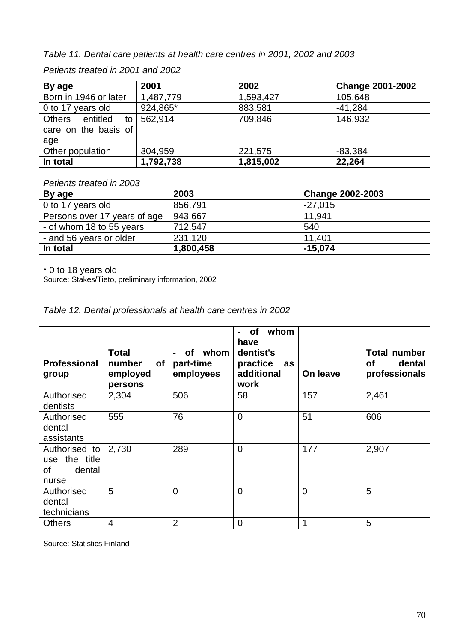*Table 11. Dental care patients at health care centres in 2001, 2002 and 2003*

*Patients treated in 2001 and 2002*

| By age                | 2001      | 2002      | <b>Change 2001-2002</b> |
|-----------------------|-----------|-----------|-------------------------|
| Born in 1946 or later | 1,487,779 | 1,593,427 | 105,648                 |
| 0 to 17 years old     | 924,865*  | 883,581   | $-41,284$               |
| Others entitled to    | 562.914   | 709,846   | 146,932                 |
| care on the basis of  |           |           |                         |
| age                   |           |           |                         |
| Other population      | 304,959   | 221,575   | $-83,384$               |
| In total              | 1,792,738 | 1,815,002 | 22,264                  |

#### *Patients treated in 2003*

| By age                       | 2003      | <b>Change 2002-2003</b> |
|------------------------------|-----------|-------------------------|
| 0 to 17 years old            | 856,791   | $-27.015$               |
| Persons over 17 years of age | 943,667   | 11.941                  |
| - of whom 18 to 55 years     | 712.547   | 540                     |
| - and 56 years or older      | 231,120   | 11.401                  |
| In total                     | 1,800,458 | $-15,074$               |

\* 0 to 18 years old

Source: Stakes/Tieto, preliminary information, 2002

|  | Table 12. Dental professionals at health care centres in 2002 |  |
|--|---------------------------------------------------------------|--|
|--|---------------------------------------------------------------|--|

| Professional<br>group                                   | <b>Total</b><br>number<br>of<br>employed<br>persons | whom<br>0f<br>part-time<br>employees | whom<br><b>of</b><br>have<br>dentist's<br>practice<br>as<br>additional<br>work | On leave       | <b>Total number</b><br>dental<br>Οf<br>professionals |
|---------------------------------------------------------|-----------------------------------------------------|--------------------------------------|--------------------------------------------------------------------------------|----------------|------------------------------------------------------|
| Authorised<br>dentists                                  | 2,304                                               | 506                                  | 58                                                                             | 157            | 2,461                                                |
| Authorised<br>dental<br>assistants                      | 555                                                 | 76                                   | $\overline{0}$                                                                 | 51             | 606                                                  |
| Authorised to<br>use the title<br>οf<br>dental<br>nurse | 2,730                                               | 289                                  | $\overline{0}$                                                                 | 177            | 2,907                                                |
| Authorised<br>dental<br>technicians                     | 5                                                   | $\overline{0}$                       | $\overline{0}$                                                                 | $\overline{0}$ | 5                                                    |
| <b>Others</b>                                           | 4                                                   | $\overline{2}$                       | $\mathbf 0$                                                                    | 1              | 5                                                    |

Source: Statistics Finland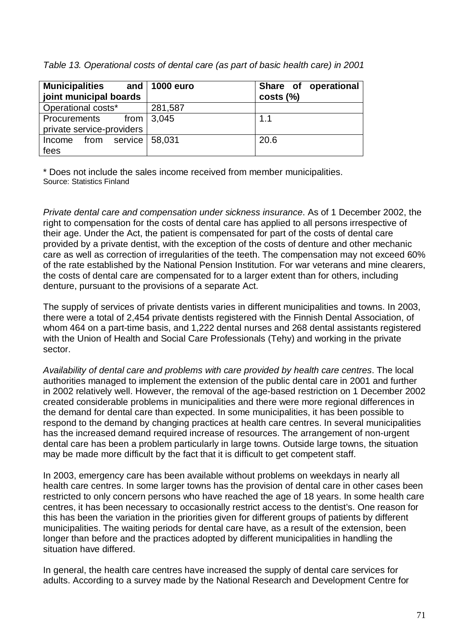| <b>Municipalities</b><br>joint municipal boards | and $ 1000$ euro | Share of operational<br>costs (%) |
|-------------------------------------------------|------------------|-----------------------------------|
| Operational costs*                              | 281,587          |                                   |
| Procurements                                    | from $ 3,045$    | 1.1                               |
| private service-providers                       |                  |                                   |
| service   58,031<br>from<br>Income              |                  | 20.6                              |
| fees                                            |                  |                                   |

*Table 13. Operational costs of dental care (as part of basic health care) in 2001*

\* Does not include the sales income received from member municipalities. Source: Statistics Finland

*Private dental care and compensation under sickness insurance*. As of 1 December 2002, the right to compensation for the costs of dental care has applied to all persons irrespective of their age. Under the Act, the patient is compensated for part of the costs of dental care provided by a private dentist, with the exception of the costs of denture and other mechanic care as well as correction of irregularities of the teeth. The compensation may not exceed 60% of the rate established by the National Pension Institution. For war veterans and mine clearers, the costs of dental care are compensated for to a larger extent than for others, including denture, pursuant to the provisions of a separate Act.

The supply of services of private dentists varies in different municipalities and towns. In 2003, there were a total of 2,454 private dentists registered with the Finnish Dental Association, of whom 464 on a part-time basis, and 1,222 dental nurses and 268 dental assistants registered with the Union of Health and Social Care Professionals (Tehy) and working in the private sector.

*Availability of dental care and problems with care provided by health care centres*. The local authorities managed to implement the extension of the public dental care in 2001 and further in 2002 relatively well. However, the removal of the age-based restriction on 1 December 2002 created considerable problems in municipalities and there were more regional differences in the demand for dental care than expected. In some municipalities, it has been possible to respond to the demand by changing practices at health care centres. In several municipalities has the increased demand required increase of resources. The arrangement of non-urgent dental care has been a problem particularly in large towns. Outside large towns, the situation may be made more difficult by the fact that it is difficult to get competent staff.

In 2003, emergency care has been available without problems on weekdays in nearly all health care centres. In some larger towns has the provision of dental care in other cases been restricted to only concern persons who have reached the age of 18 years. In some health care centres, it has been necessary to occasionally restrict access to the dentist's. One reason for this has been the variation in the priorities given for different groups of patients by different municipalities. The waiting periods for dental care have, as a result of the extension, been longer than before and the practices adopted by different municipalities in handling the situation have differed.

In general, the health care centres have increased the supply of dental care services for adults. According to a survey made by the National Research and Development Centre for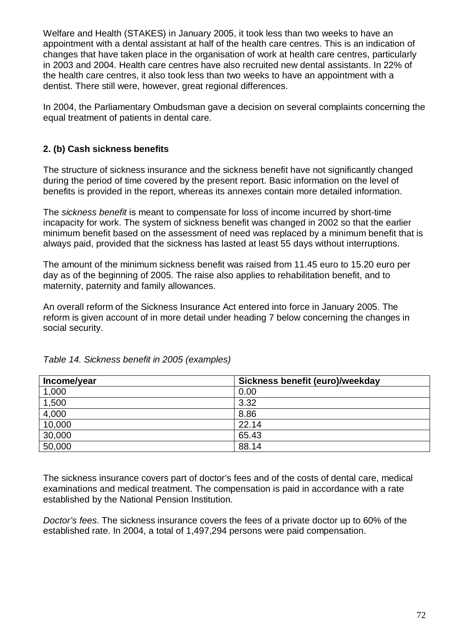Welfare and Health (STAKES) in January 2005, it took less than two weeks to have an appointment with a dental assistant at half of the health care centres. This is an indication of changes that have taken place in the organisation of work at health care centres, particularly in 2003 and 2004. Health care centres have also recruited new dental assistants. In 22% of the health care centres, it also took less than two weeks to have an appointment with a dentist. There still were, however, great regional differences.

In 2004, the Parliamentary Ombudsman gave a decision on several complaints concerning the equal treatment of patients in dental care.

# **2. (b) Cash sickness benefits**

The structure of sickness insurance and the sickness benefit have not significantly changed during the period of time covered by the present report. Basic information on the level of benefits is provided in the report, whereas its annexes contain more detailed information.

The *sickness benefit* is meant to compensate for loss of income incurred by short-time incapacity for work. The system of sickness benefit was changed in 2002 so that the earlier minimum benefit based on the assessment of need was replaced by a minimum benefit that is always paid, provided that the sickness has lasted at least 55 days without interruptions.

The amount of the minimum sickness benefit was raised from 11.45 euro to 15.20 euro per day as of the beginning of 2005. The raise also applies to rehabilitation benefit, and to maternity, paternity and family allowances.

An overall reform of the Sickness Insurance Act entered into force in January 2005. The reform is given account of in more detail under heading 7 below concerning the changes in social security.

| Income/year | Sickness benefit (euro)/weekday |
|-------------|---------------------------------|
| 1,000       | 0.00                            |
| 1,500       | 3.32                            |
| 4,000       | 8.86                            |
| 10,000      | 22.14                           |
| 30,000      | 65.43                           |
| 50,000      | 88.14                           |

*Table 14. Sickness benefit in 2005 (examples)*

The sickness insurance covers part of doctor's fees and of the costs of dental care, medical examinations and medical treatment. The compensation is paid in accordance with a rate established by the National Pension Institution.

*Doctor's fees*. The sickness insurance covers the fees of a private doctor up to 60% of the established rate. In 2004, a total of 1,497,294 persons were paid compensation.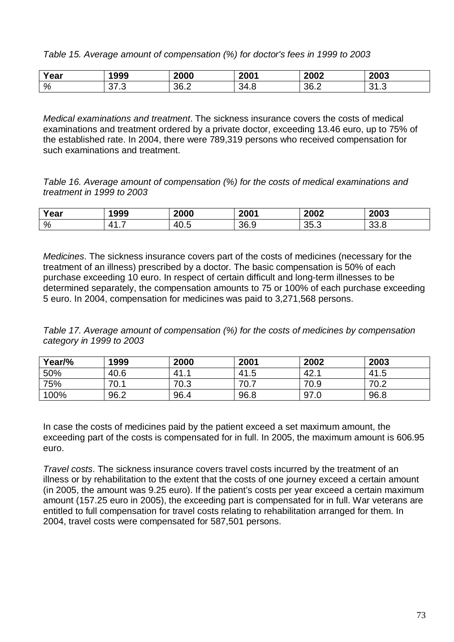*Table 15. Average amount of compensation (%) for doctor's fees in 1999 to 2003*

| Year | 1999           | 2000 | 2001 | 2002 | 2003          |
|------|----------------|------|------|------|---------------|
| %    | ה דה<br>ິ∪ ≀ ∪ | 36.2 | 34.8 | 36.2 | 31 3<br>ບ ⊢.ບ |

*Medical examinations and treatment*. The sickness insurance covers the costs of medical examinations and treatment ordered by a private doctor, exceeding 13.46 euro, up to 75% of the established rate. In 2004, there were 789,319 persons who received compensation for such examinations and treatment.

*Table 16. Average amount of compensation (%) for the costs of medical examinations and treatment in 1999 to 2003*

| Year | 999                   | 2000 | 2001 | 2002       | 2003       |
|------|-----------------------|------|------|------------|------------|
| %    | $\mathbf{A}^{\prime}$ | 40.5 | 36.9 | つよ<br>uu.u | -0<br>.ა.ა |

*Medicines*. The sickness insurance covers part of the costs of medicines (necessary for the treatment of an illness) prescribed by a doctor. The basic compensation is 50% of each purchase exceeding 10 euro. In respect of certain difficult and long-term illnesses to be determined separately, the compensation amounts to 75 or 100% of each purchase exceeding 5 euro. In 2004, compensation for medicines was paid to 3,271,568 persons.

*Table 17. Average amount of compensation (%) for the costs of medicines by compensation category in 1999 to 2003*

| Year/% | 1999 | 2000   | 2001 | 2002 | 2003 |
|--------|------|--------|------|------|------|
| 50%    | 40.6 | $-41.$ | 41.5 | 42.1 | 41.5 |
| 75%    | 70.1 | 70.3   | 70.7 | 70.9 | 70.2 |
| 100%   | 96.2 | 96.4   | 96.8 | 97.0 | 96.8 |

In case the costs of medicines paid by the patient exceed a set maximum amount, the exceeding part of the costs is compensated for in full. In 2005, the maximum amount is 606.95 euro.

*Travel costs*. The sickness insurance covers travel costs incurred by the treatment of an illness or by rehabilitation to the extent that the costs of one journey exceed a certain amount (in 2005, the amount was 9.25 euro). If the patient's costs per year exceed a certain maximum amount (157.25 euro in 2005), the exceeding part is compensated for in full. War veterans are entitled to full compensation for travel costs relating to rehabilitation arranged for them. In 2004, travel costs were compensated for 587,501 persons.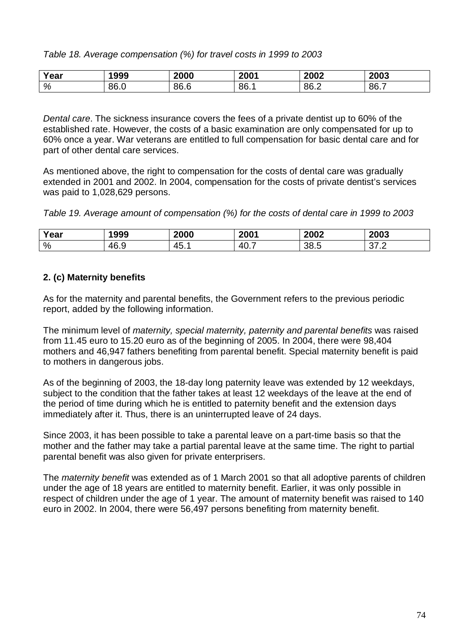*Table 18. Average compensation (%) for travel costs in 1999 to 2003*

| Year | 999  | 2000 | 2001 | 2002 | 2003 |
|------|------|------|------|------|------|
| %    | 86.0 | 86.6 | 86.7 | 86.2 | 86.7 |

*Dental care*. The sickness insurance covers the fees of a private dentist up to 60% of the established rate. However, the costs of a basic examination are only compensated for up to 60% once a year. War veterans are entitled to full compensation for basic dental care and for part of other dental care services.

As mentioned above, the right to compensation for the costs of dental care was gradually extended in 2001 and 2002. In 2004, compensation for the costs of private dentist's services was paid to 1,028,629 persons.

*Table 19. Average amount of compensation (%) for the costs of dental care in 1999 to 2003*

| Year | 1999                                            | 2000         | 2001                | 2002 | 2003          |
|------|-------------------------------------------------|--------------|---------------------|------|---------------|
| %    | $\sim$<br>$\overline{\phantom{a}}$<br>◡<br>rv.J | 15.<br>−∪. . | <b>40.7</b><br>TV.1 | 38.5 | ה יה<br>ے ، ب |

# **2. (c) Maternity benefits**

As for the maternity and parental benefits, the Government refers to the previous periodic report, added by the following information.

The minimum level of *maternity, special maternity, paternity and parental benefits* was raised from 11.45 euro to 15.20 euro as of the beginning of 2005. In 2004, there were 98,404 mothers and 46,947 fathers benefiting from parental benefit. Special maternity benefit is paid to mothers in dangerous jobs.

As of the beginning of 2003, the 18-day long paternity leave was extended by 12 weekdays, subject to the condition that the father takes at least 12 weekdays of the leave at the end of the period of time during which he is entitled to paternity benefit and the extension days immediately after it. Thus, there is an uninterrupted leave of 24 days.

Since 2003, it has been possible to take a parental leave on a part-time basis so that the mother and the father may take a partial parental leave at the same time. The right to partial parental benefit was also given for private enterprisers.

The *maternity benefit* was extended as of 1 March 2001 so that all adoptive parents of children under the age of 18 years are entitled to maternity benefit. Earlier, it was only possible in respect of children under the age of 1 year. The amount of maternity benefit was raised to 140 euro in 2002. In 2004, there were 56,497 persons benefiting from maternity benefit.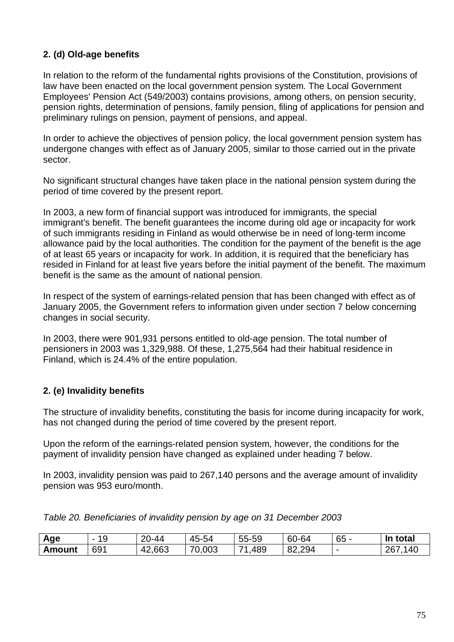## **2. (d) Old-age benefits**

In relation to the reform of the fundamental rights provisions of the Constitution, provisions of law have been enacted on the local government pension system. The Local Government Employees' Pension Act (549/2003) contains provisions, among others, on pension security, pension rights, determination of pensions, family pension, filing of applications for pension and preliminary rulings on pension, payment of pensions, and appeal.

In order to achieve the objectives of pension policy, the local government pension system has undergone changes with effect as of January 2005, similar to those carried out in the private sector.

No significant structural changes have taken place in the national pension system during the period of time covered by the present report.

In 2003, a new form of financial support was introduced for immigrants, the special immigrant's benefit. The benefit guarantees the income during old age or incapacity for work of such immigrants residing in Finland as would otherwise be in need of long-term income allowance paid by the local authorities. The condition for the payment of the benefit is the age of at least 65 years or incapacity for work. In addition, it is required that the beneficiary has resided in Finland for at least five years before the initial payment of the benefit. The maximum benefit is the same as the amount of national pension.

In respect of the system of earnings-related pension that has been changed with effect as of January 2005, the Government refers to information given under section 7 below concerning changes in social security.

In 2003, there were 901,931 persons entitled to old-age pension. The total number of pensioners in 2003 was 1,329,988. Of these, 1,275,564 had their habitual residence in Finland, which is 24.4% of the entire population.

# **2. (e) Invalidity benefits**

The structure of invalidity benefits, constituting the basis for income during incapacity for work, has not changed during the period of time covered by the present report.

Upon the reform of the earnings-related pension system, however, the conditions for the payment of invalidity pension have changed as explained under heading 7 below.

In 2003, invalidity pension was paid to 267,140 persons and the average amount of invalidity pension was 953 euro/month.

| Age    | 19  | 20-44  | $\sim$ $\prime$<br>45-54          | --<br>$\sim$<br>55-59 | 60-64  | $65 -$ | In total   |
|--------|-----|--------|-----------------------------------|-----------------------|--------|--------|------------|
| Amount | 691 | 42,663 | 0,003<br>$\overline{\phantom{a}}$ | 74<br>489             | 82,294 | -      | 140<br>267 |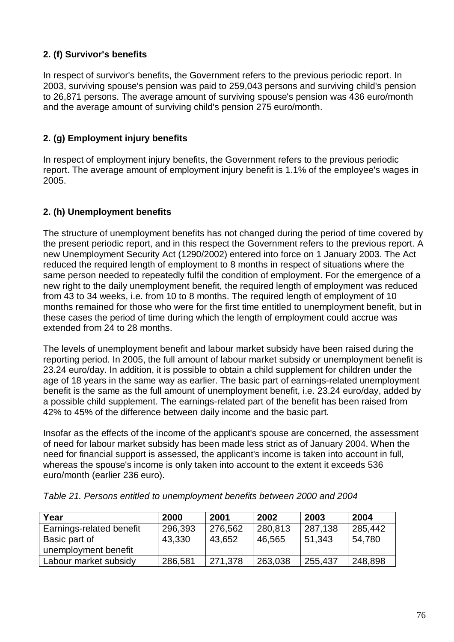# **2. (f) Survivor's benefits**

In respect of survivor's benefits, the Government refers to the previous periodic report. In 2003, surviving spouse's pension was paid to 259,043 persons and surviving child's pension to 26,871 persons. The average amount of surviving spouse's pension was 436 euro/month and the average amount of surviving child's pension 275 euro/month.

## **2. (g) Employment injury benefits**

In respect of employment injury benefits, the Government refers to the previous periodic report. The average amount of employment injury benefit is 1.1% of the employee's wages in 2005.

## **2. (h) Unemployment benefits**

The structure of unemployment benefits has not changed during the period of time covered by the present periodic report, and in this respect the Government refers to the previous report. A new Unemployment Security Act (1290/2002) entered into force on 1 January 2003. The Act reduced the required length of employment to 8 months in respect of situations where the same person needed to repeatedly fulfil the condition of employment. For the emergence of a new right to the daily unemployment benefit, the required length of employment was reduced from 43 to 34 weeks, i.e. from 10 to 8 months. The required length of employment of 10 months remained for those who were for the first time entitled to unemployment benefit, but in these cases the period of time during which the length of employment could accrue was extended from 24 to 28 months.

The levels of unemployment benefit and labour market subsidy have been raised during the reporting period. In 2005, the full amount of labour market subsidy or unemployment benefit is 23.24 euro/day. In addition, it is possible to obtain a child supplement for children under the age of 18 years in the same way as earlier. The basic part of earnings-related unemployment benefit is the same as the full amount of unemployment benefit, i.e. 23.24 euro/day, added by a possible child supplement. The earnings-related part of the benefit has been raised from 42% to 45% of the difference between daily income and the basic part.

Insofar as the effects of the income of the applicant's spouse are concerned, the assessment of need for labour market subsidy has been made less strict as of January 2004. When the need for financial support is assessed, the applicant's income is taken into account in full, whereas the spouse's income is only taken into account to the extent it exceeds 536 euro/month (earlier 236 euro).

| Year                     | 2000    | 2001    | 2002    | 2003    | 2004    |
|--------------------------|---------|---------|---------|---------|---------|
| Earnings-related benefit | 296,393 | 276,562 | 280,813 | 287,138 | 285,442 |
| Basic part of            | 43,330  | 43,652  | 46,565  | 51,343  | 54,780  |
| unemployment benefit     |         |         |         |         |         |
| Labour market subsidy    | 286,581 | 271,378 | 263,038 | 255,437 | 248,898 |

*Table 21. Persons entitled to unemployment benefits between 2000 and 2004*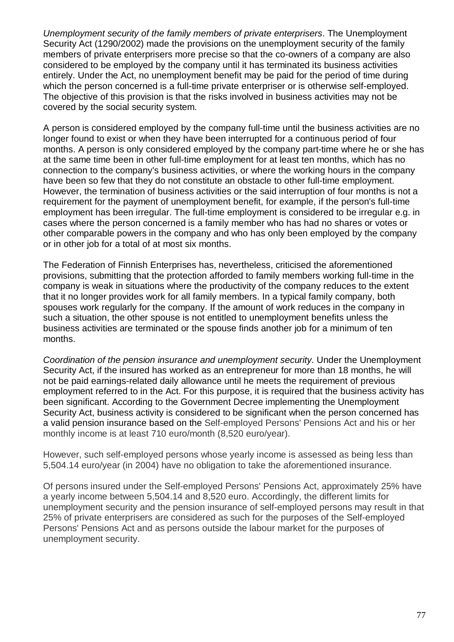*Unemployment security of the family members of private enterprisers*. The Unemployment Security Act (1290/2002) made the provisions on the unemployment security of the family members of private enterprisers more precise so that the co-owners of a company are also considered to be employed by the company until it has terminated its business activities entirely. Under the Act, no unemployment benefit may be paid for the period of time during which the person concerned is a full-time private enterpriser or is otherwise self-employed. The objective of this provision is that the risks involved in business activities may not be covered by the social security system.

A person is considered employed by the company full-time until the business activities are no longer found to exist or when they have been interrupted for a continuous period of four months. A person is only considered employed by the company part-time where he or she has at the same time been in other full-time employment for at least ten months, which has no connection to the company's business activities, or where the working hours in the company have been so few that they do not constitute an obstacle to other full-time employment. However, the termination of business activities or the said interruption of four months is not a requirement for the payment of unemployment benefit, for example, if the person's full-time employment has been irregular. The full-time employment is considered to be irregular e.g. in cases where the person concerned is a family member who has had no shares or votes or other comparable powers in the company and who has only been employed by the company or in other job for a total of at most six months.

The Federation of Finnish Enterprises has, nevertheless, criticised the aforementioned provisions, submitting that the protection afforded to family members working full-time in the company is weak in situations where the productivity of the company reduces to the extent that it no longer provides work for all family members. In a typical family company, both spouses work regularly for the company. If the amount of work reduces in the company in such a situation, the other spouse is not entitled to unemployment benefits unless the business activities are terminated or the spouse finds another job for a minimum of ten months.

*Coordination of the pension insurance and unemployment security*. Under the Unemployment Security Act, if the insured has worked as an entrepreneur for more than 18 months, he will not be paid earnings-related daily allowance until he meets the requirement of previous employment referred to in the Act. For this purpose, it is required that the business activity has been significant. According to the Government Decree implementing the Unemployment Security Act, business activity is considered to be significant when the person concerned has a valid pension insurance based on the Self-employed Persons' Pensions Act and his or her monthly income is at least 710 euro/month (8,520 euro/year).

However, such self-employed persons whose yearly income is assessed as being less than 5,504.14 euro/year (in 2004) have no obligation to take the aforementioned insurance.

Of persons insured under the Self-employed Persons' Pensions Act, approximately 25% have a yearly income between 5,504.14 and 8,520 euro. Accordingly, the different limits for unemployment security and the pension insurance of self-employed persons may result in that 25% of private enterprisers are considered as such for the purposes of the Self-employed Persons' Pensions Act and as persons outside the labour market for the purposes of unemployment security.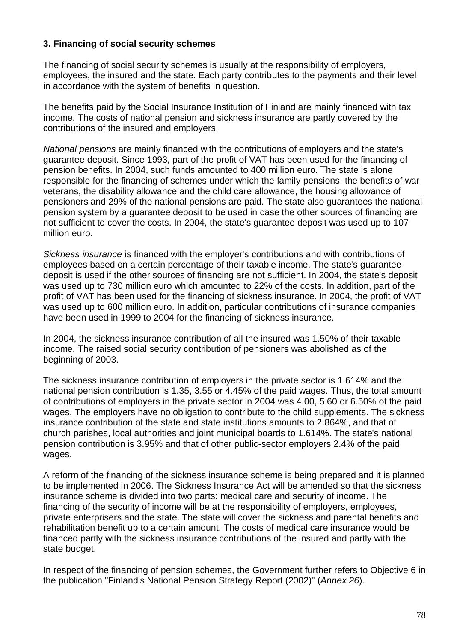#### **3. Financing of social security schemes**

The financing of social security schemes is usually at the responsibility of employers, employees, the insured and the state. Each party contributes to the payments and their level in accordance with the system of benefits in question.

The benefits paid by the Social Insurance Institution of Finland are mainly financed with tax income. The costs of national pension and sickness insurance are partly covered by the contributions of the insured and employers.

*National pensions* are mainly financed with the contributions of employers and the state's guarantee deposit. Since 1993, part of the profit of VAT has been used for the financing of pension benefits. In 2004, such funds amounted to 400 million euro. The state is alone responsible for the financing of schemes under which the family pensions, the benefits of war veterans, the disability allowance and the child care allowance, the housing allowance of pensioners and 29% of the national pensions are paid. The state also guarantees the national pension system by a guarantee deposit to be used in case the other sources of financing are not sufficient to cover the costs. In 2004, the state's guarantee deposit was used up to 107 million euro.

*Sickness insurance* is financed with the employer's contributions and with contributions of employees based on a certain percentage of their taxable income. The state's guarantee deposit is used if the other sources of financing are not sufficient. In 2004, the state's deposit was used up to 730 million euro which amounted to 22% of the costs. In addition, part of the profit of VAT has been used for the financing of sickness insurance. In 2004, the profit of VAT was used up to 600 million euro. In addition, particular contributions of insurance companies have been used in 1999 to 2004 for the financing of sickness insurance.

In 2004, the sickness insurance contribution of all the insured was 1.50% of their taxable income. The raised social security contribution of pensioners was abolished as of the beginning of 2003.

The sickness insurance contribution of employers in the private sector is 1.614% and the national pension contribution is 1.35, 3.55 or 4.45% of the paid wages. Thus, the total amount of contributions of employers in the private sector in 2004 was 4.00, 5.60 or 6.50% of the paid wages. The employers have no obligation to contribute to the child supplements. The sickness insurance contribution of the state and state institutions amounts to 2.864%, and that of church parishes, local authorities and joint municipal boards to 1.614%. The state's national pension contribution is 3.95% and that of other public-sector employers 2.4% of the paid wages.

A reform of the financing of the sickness insurance scheme is being prepared and it is planned to be implemented in 2006. The Sickness Insurance Act will be amended so that the sickness insurance scheme is divided into two parts: medical care and security of income. The financing of the security of income will be at the responsibility of employers, employees, private enterprisers and the state. The state will cover the sickness and parental benefits and rehabilitation benefit up to a certain amount. The costs of medical care insurance would be financed partly with the sickness insurance contributions of the insured and partly with the state budget.

In respect of the financing of pension schemes, the Government further refers to Objective 6 in the publication "Finland's National Pension Strategy Report (2002)" (*Annex 26*).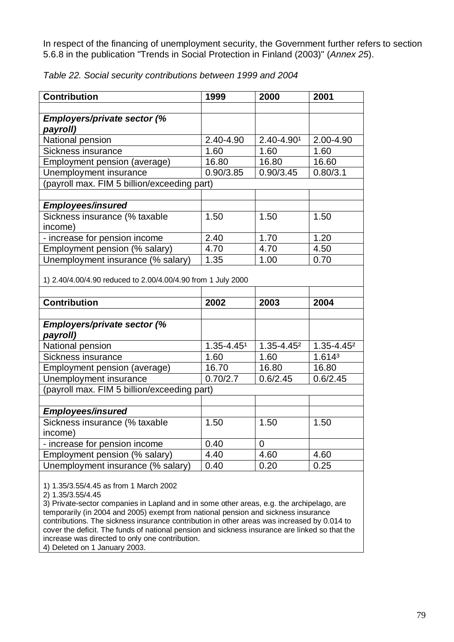In respect of the financing of unemployment security, the Government further refers to section 5.6.8 in the publication "Trends in Social Protection in Finland (2003)" (*Annex 25*).

| Table 22. Social security contributions between 1999 and 2004 |  |  |  |
|---------------------------------------------------------------|--|--|--|
|---------------------------------------------------------------|--|--|--|

| <b>Contribution</b>                                          | 1999                       | 2000                   | 2001                   |  |
|--------------------------------------------------------------|----------------------------|------------------------|------------------------|--|
|                                                              |                            |                        |                        |  |
| <b>Employers/private sector (%</b>                           |                            |                        |                        |  |
| payroll)                                                     |                            |                        |                        |  |
| National pension                                             | 2.40-4.90                  | $2.40 - 4.901$         | 2.00-4.90              |  |
| Sickness insurance                                           | 1.60                       | 1.60                   | 1.60                   |  |
| Employment pension (average)                                 | 16.80                      | 16.80                  | 16.60                  |  |
| Unemployment insurance                                       | 0.90/3.85                  | 0.90/3.45              | 0.80/3.1               |  |
| (payroll max. FIM 5 billion/exceeding part)                  |                            |                        |                        |  |
|                                                              |                            |                        |                        |  |
| <b>Employees/insured</b>                                     |                            |                        |                        |  |
| Sickness insurance (% taxable                                | 1.50                       | 1.50                   | 1.50                   |  |
| income)                                                      |                            |                        |                        |  |
| - increase for pension income                                | 2.40                       | 1.70                   | 1.20                   |  |
| Employment pension (% salary)                                | 4.70                       | 4.70                   | 4.50                   |  |
| Unemployment insurance (% salary)                            | 1.35                       | 1.00                   | 0.70                   |  |
|                                                              |                            |                        |                        |  |
| 1) 2.40/4.00/4.90 reduced to 2.00/4.00/4.90 from 1 July 2000 |                            |                        |                        |  |
|                                                              |                            |                        |                        |  |
|                                                              |                            |                        |                        |  |
| <b>Contribution</b>                                          | 2002                       | 2003                   | 2004                   |  |
|                                                              |                            |                        |                        |  |
| <b>Employers/private sector (%</b>                           |                            |                        |                        |  |
| payroll)                                                     |                            |                        |                        |  |
| National pension                                             | $1.35 - 4.45$ <sup>1</sup> | 1.35-4.45 <sup>2</sup> | 1.35-4.45 <sup>2</sup> |  |
| Sickness insurance                                           | 1.60                       | 1.60                   | 1.6143                 |  |
| Employment pension (average)                                 | 16.70                      | 16.80                  | 16.80                  |  |
| Unemployment insurance                                       | 0.70/2.7                   | 0.6/2.45               | 0.6/2.45               |  |
| (payroll max. FIM 5 billion/exceeding part)                  |                            |                        |                        |  |
|                                                              |                            |                        |                        |  |
| <b>Employees/insured</b>                                     |                            |                        |                        |  |
| Sickness insurance (% taxable                                | 1.50                       | 1.50                   | 1.50                   |  |
| income)                                                      |                            |                        |                        |  |
| - increase for pension income                                | 0.40                       | 0                      |                        |  |
| Employment pension (% salary)                                | 4.40                       | 4.60                   | 4.60                   |  |
| Unemployment insurance (% salary)                            | 0.40                       | 0.20                   | 0.25                   |  |
|                                                              |                            |                        |                        |  |
| 1) 1.35/3.55/4.45 as from 1 March 2002<br>2) 1.35/3.55/4.45  |                            |                        |                        |  |

3) Private-sector companies in Lapland and in some other areas, e.g. the archipelago, are temporarily (in 2004 and 2005) exempt from national pension and sickness insurance contributions. The sickness insurance contribution in other areas was increased by 0.014 to cover the deficit. The funds of national pension and sickness insurance are linked so that the increase was directed to only one contribution. 4) Deleted on 1 January 2003.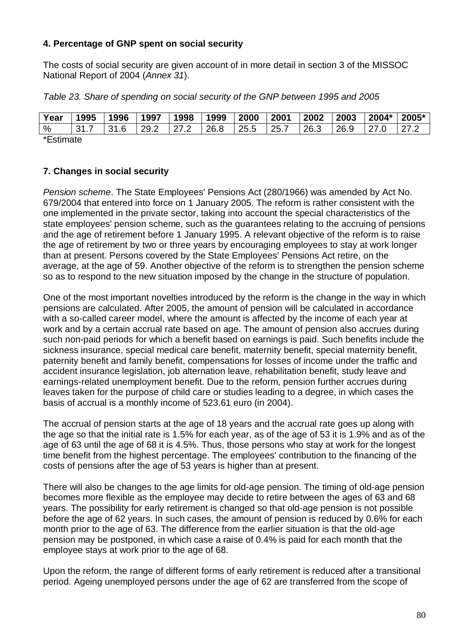### **4. Percentage of GNP spent on social security**

The costs of social security are given account of in more detail in section 3 of the MISSOC National Report of 2004 (*Annex 31*).

|  |  |  | Table 23. Share of spending on social security of the GNP between 1995 and 2005 |  |  |  |  |  |  |  |
|--|--|--|---------------------------------------------------------------------------------|--|--|--|--|--|--|--|
|--|--|--|---------------------------------------------------------------------------------|--|--|--|--|--|--|--|

| Year | 1995                | 1996 | 1997 | 1998 | 1999 | 2000 | 2001 | $\mid$ 2002 | $\mid$ 2003                                    | $\mid$ 2004* | 2005* |
|------|---------------------|------|------|------|------|------|------|-------------|------------------------------------------------|--------------|-------|
| %    | 31.7 31.6 29.2 27.2 |      |      |      |      |      |      |             | 26.8   25.5   25.7   26.3   26.9   27.0   27.2 |              |       |
|      |                     |      |      |      |      |      |      |             |                                                |              |       |

\*Estimate

### **7. Changes in social security**

*Pension scheme*. The State Employees' Pensions Act (280/1966) was amended by Act No. 679/2004 that entered into force on 1 January 2005. The reform is rather consistent with the one implemented in the private sector, taking into account the special characteristics of the state employees' pension scheme, such as the guarantees relating to the accruing of pensions and the age of retirement before 1 January 1995. A relevant objective of the reform is to raise the age of retirement by two or three years by encouraging employees to stay at work longer than at present. Persons covered by the State Employees' Pensions Act retire, on the average, at the age of 59. Another objective of the reform is to strengthen the pension scheme so as to respond to the new situation imposed by the change in the structure of population.

One of the most important novelties introduced by the reform is the change in the way in which pensions are calculated. After 2005, the amount of pension will be calculated in accordance with a so-called career model, where the amount is affected by the income of each year at work and by a certain accrual rate based on age. The amount of pension also accrues during such non-paid periods for which a benefit based on earnings is paid. Such benefits include the sickness insurance, special medical care benefit, maternity benefit, special maternity benefit, paternity benefit and family benefit, compensations for losses of income under the traffic and accident insurance legislation, job alternation leave, rehabilitation benefit, study leave and earnings-related unemployment benefit. Due to the reform, pension further accrues during leaves taken for the purpose of child care or studies leading to a degree, in which cases the basis of accrual is a monthly income of 523.61 euro (in 2004).

The accrual of pension starts at the age of 18 years and the accrual rate goes up along with the age so that the initial rate is 1.5% for each year, as of the age of 53 it is 1.9% and as of the age of 63 until the age of 68 it is 4.5%. Thus, those persons who stay at work for the longest time benefit from the highest percentage. The employees' contribution to the financing of the costs of pensions after the age of 53 years is higher than at present.

There will also be changes to the age limits for old-age pension. The timing of old-age pension becomes more flexible as the employee may decide to retire between the ages of 63 and 68 years. The possibility for early retirement is changed so that old-age pension is not possible before the age of 62 years. In such cases, the amount of pension is reduced by 0.6% for each month prior to the age of 63. The difference from the earlier situation is that the old-age pension may be postponed, in which case a raise of 0.4% is paid for each month that the employee stays at work prior to the age of 68.

Upon the reform, the range of different forms of early retirement is reduced after a transitional period. Ageing unemployed persons under the age of 62 are transferred from the scope of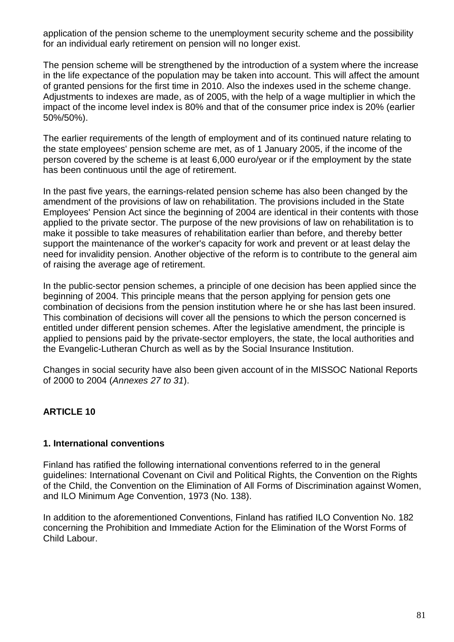application of the pension scheme to the unemployment security scheme and the possibility for an individual early retirement on pension will no longer exist.

The pension scheme will be strengthened by the introduction of a system where the increase in the life expectance of the population may be taken into account. This will affect the amount of granted pensions for the first time in 2010. Also the indexes used in the scheme change. Adjustments to indexes are made, as of 2005, with the help of a wage multiplier in which the impact of the income level index is 80% and that of the consumer price index is 20% (earlier 50%/50%).

The earlier requirements of the length of employment and of its continued nature relating to the state employees' pension scheme are met, as of 1 January 2005, if the income of the person covered by the scheme is at least 6,000 euro/year or if the employment by the state has been continuous until the age of retirement.

In the past five years, the earnings-related pension scheme has also been changed by the amendment of the provisions of law on rehabilitation. The provisions included in the State Employees' Pension Act since the beginning of 2004 are identical in their contents with those applied to the private sector. The purpose of the new provisions of law on rehabilitation is to make it possible to take measures of rehabilitation earlier than before, and thereby better support the maintenance of the worker's capacity for work and prevent or at least delay the need for invalidity pension. Another objective of the reform is to contribute to the general aim of raising the average age of retirement.

In the public-sector pension schemes, a principle of one decision has been applied since the beginning of 2004. This principle means that the person applying for pension gets one combination of decisions from the pension institution where he or she has last been insured. This combination of decisions will cover all the pensions to which the person concerned is entitled under different pension schemes. After the legislative amendment, the principle is applied to pensions paid by the private-sector employers, the state, the local authorities and the Evangelic-Lutheran Church as well as by the Social Insurance Institution.

Changes in social security have also been given account of in the MISSOC National Reports of 2000 to 2004 (*Annexes 27 to 31*).

# **ARTICLE 10**

### **1. International conventions**

Finland has ratified the following international conventions referred to in the general guidelines: International Covenant on Civil and Political Rights, the Convention on the Rights of the Child, the Convention on the Elimination of All Forms of Discrimination against Women, and ILO Minimum Age Convention, 1973 (No. 138).

In addition to the aforementioned Conventions, Finland has ratified ILO Convention No. 182 concerning the Prohibition and Immediate Action for the Elimination of the Worst Forms of Child Labour.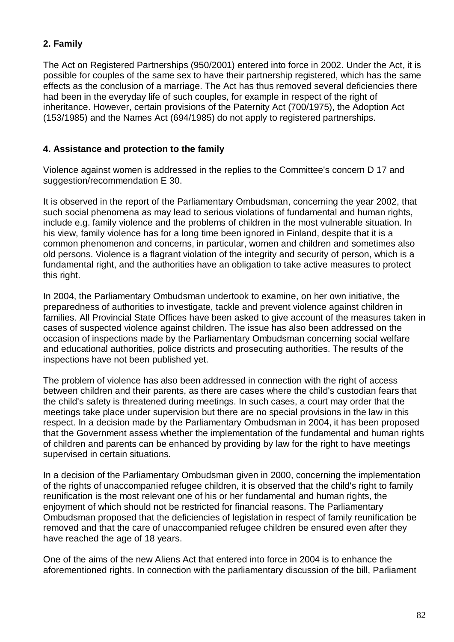## **2. Family**

The Act on Registered Partnerships (950/2001) entered into force in 2002. Under the Act, it is possible for couples of the same sex to have their partnership registered, which has the same effects as the conclusion of a marriage. The Act has thus removed several deficiencies there had been in the everyday life of such couples, for example in respect of the right of inheritance. However, certain provisions of the Paternity Act (700/1975), the Adoption Act (153/1985) and the Names Act (694/1985) do not apply to registered partnerships.

#### **4. Assistance and protection to the family**

Violence against women is addressed in the replies to the Committee's concern D 17 and suggestion/recommendation E 30.

It is observed in the report of the Parliamentary Ombudsman, concerning the year 2002, that such social phenomena as may lead to serious violations of fundamental and human rights, include e.g. family violence and the problems of children in the most vulnerable situation. In his view, family violence has for a long time been ignored in Finland, despite that it is a common phenomenon and concerns, in particular, women and children and sometimes also old persons. Violence is a flagrant violation of the integrity and security of person, which is a fundamental right, and the authorities have an obligation to take active measures to protect this right.

In 2004, the Parliamentary Ombudsman undertook to examine, on her own initiative, the preparedness of authorities to investigate, tackle and prevent violence against children in families. All Provincial State Offices have been asked to give account of the measures taken in cases of suspected violence against children. The issue has also been addressed on the occasion of inspections made by the Parliamentary Ombudsman concerning social welfare and educational authorities, police districts and prosecuting authorities. The results of the inspections have not been published yet.

The problem of violence has also been addressed in connection with the right of access between children and their parents, as there are cases where the child's custodian fears that the child's safety is threatened during meetings. In such cases, a court may order that the meetings take place under supervision but there are no special provisions in the law in this respect. In a decision made by the Parliamentary Ombudsman in 2004, it has been proposed that the Government assess whether the implementation of the fundamental and human rights of children and parents can be enhanced by providing by law for the right to have meetings supervised in certain situations.

In a decision of the Parliamentary Ombudsman given in 2000, concerning the implementation of the rights of unaccompanied refugee children, it is observed that the child's right to family reunification is the most relevant one of his or her fundamental and human rights, the enjoyment of which should not be restricted for financial reasons. The Parliamentary Ombudsman proposed that the deficiencies of legislation in respect of family reunification be removed and that the care of unaccompanied refugee children be ensured even after they have reached the age of 18 years.

One of the aims of the new Aliens Act that entered into force in 2004 is to enhance the aforementioned rights. In connection with the parliamentary discussion of the bill, Parliament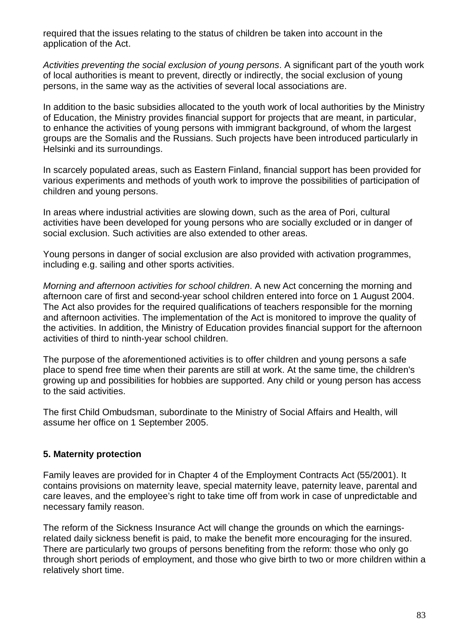required that the issues relating to the status of children be taken into account in the application of the Act.

*Activities preventing the social exclusion of young persons*. A significant part of the youth work of local authorities is meant to prevent, directly or indirectly, the social exclusion of young persons, in the same way as the activities of several local associations are.

In addition to the basic subsidies allocated to the youth work of local authorities by the Ministry of Education, the Ministry provides financial support for projects that are meant, in particular, to enhance the activities of young persons with immigrant background, of whom the largest groups are the Somalis and the Russians. Such projects have been introduced particularly in Helsinki and its surroundings.

In scarcely populated areas, such as Eastern Finland, financial support has been provided for various experiments and methods of youth work to improve the possibilities of participation of children and young persons.

In areas where industrial activities are slowing down, such as the area of Pori, cultural activities have been developed for young persons who are socially excluded or in danger of social exclusion. Such activities are also extended to other areas.

Young persons in danger of social exclusion are also provided with activation programmes, including e.g. sailing and other sports activities.

*Morning and afternoon activities for school children*. A new Act concerning the morning and afternoon care of first and second-year school children entered into force on 1 August 2004. The Act also provides for the required qualifications of teachers responsible for the morning and afternoon activities. The implementation of the Act is monitored to improve the quality of the activities. In addition, the Ministry of Education provides financial support for the afternoon activities of third to ninth-year school children.

The purpose of the aforementioned activities is to offer children and young persons a safe place to spend free time when their parents are still at work. At the same time, the children's growing up and possibilities for hobbies are supported. Any child or young person has access to the said activities.

The first Child Ombudsman, subordinate to the Ministry of Social Affairs and Health, will assume her office on 1 September 2005.

### **5. Maternity protection**

Family leaves are provided for in Chapter 4 of the Employment Contracts Act (55/2001). It contains provisions on maternity leave, special maternity leave, paternity leave, parental and care leaves, and the employee's right to take time off from work in case of unpredictable and necessary family reason.

The reform of the Sickness Insurance Act will change the grounds on which the earningsrelated daily sickness benefit is paid, to make the benefit more encouraging for the insured. There are particularly two groups of persons benefiting from the reform: those who only go through short periods of employment, and those who give birth to two or more children within a relatively short time.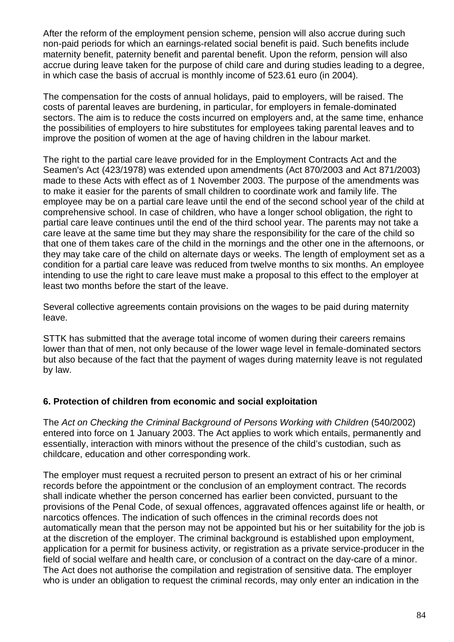After the reform of the employment pension scheme, pension will also accrue during such non-paid periods for which an earnings-related social benefit is paid. Such benefits include maternity benefit, paternity benefit and parental benefit. Upon the reform, pension will also accrue during leave taken for the purpose of child care and during studies leading to a degree, in which case the basis of accrual is monthly income of 523.61 euro (in 2004).

The compensation for the costs of annual holidays, paid to employers, will be raised. The costs of parental leaves are burdening, in particular, for employers in female-dominated sectors. The aim is to reduce the costs incurred on employers and, at the same time, enhance the possibilities of employers to hire substitutes for employees taking parental leaves and to improve the position of women at the age of having children in the labour market.

The right to the partial care leave provided for in the Employment Contracts Act and the Seamen's Act (423/1978) was extended upon amendments (Act 870/2003 and Act 871/2003) made to these Acts with effect as of 1 November 2003. The purpose of the amendments was to make it easier for the parents of small children to coordinate work and family life. The employee may be on a partial care leave until the end of the second school year of the child at comprehensive school. In case of children, who have a longer school obligation, the right to partial care leave continues until the end of the third school year. The parents may not take a care leave at the same time but they may share the responsibility for the care of the child so that one of them takes care of the child in the mornings and the other one in the afternoons, or they may take care of the child on alternate days or weeks. The length of employment set as a condition for a partial care leave was reduced from twelve months to six months. An employee intending to use the right to care leave must make a proposal to this effect to the employer at least two months before the start of the leave.

Several collective agreements contain provisions on the wages to be paid during maternity leave.

STTK has submitted that the average total income of women during their careers remains lower than that of men, not only because of the lower wage level in female-dominated sectors but also because of the fact that the payment of wages during maternity leave is not regulated by law.

### **6. Protection of children from economic and social exploitation**

The *Act on Checking the Criminal Background of Persons Working with Children* (540/2002) entered into force on 1 January 2003. The Act applies to work which entails, permanently and essentially, interaction with minors without the presence of the child's custodian, such as childcare, education and other corresponding work.

The employer must request a recruited person to present an extract of his or her criminal records before the appointment or the conclusion of an employment contract. The records shall indicate whether the person concerned has earlier been convicted, pursuant to the provisions of the Penal Code, of sexual offences, aggravated offences against life or health, or narcotics offences. The indication of such offences in the criminal records does not automatically mean that the person may not be appointed but his or her suitability for the job is at the discretion of the employer. The criminal background is established upon employment, application for a permit for business activity, or registration as a private service-producer in the field of social welfare and health care, or conclusion of a contract on the day-care of a minor. The Act does not authorise the compilation and registration of sensitive data. The employer who is under an obligation to request the criminal records, may only enter an indication in the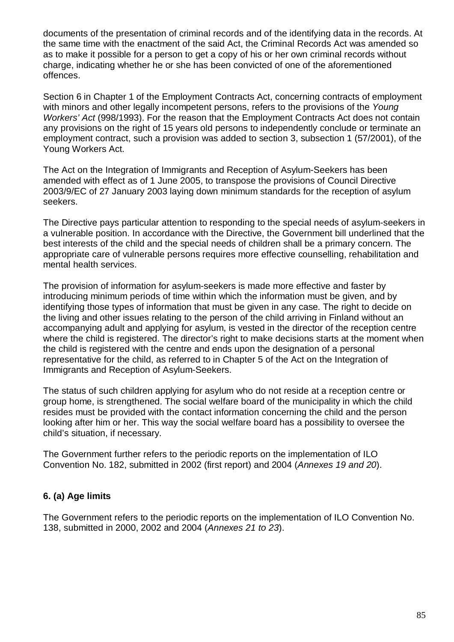documents of the presentation of criminal records and of the identifying data in the records. At the same time with the enactment of the said Act, the Criminal Records Act was amended so as to make it possible for a person to get a copy of his or her own criminal records without charge, indicating whether he or she has been convicted of one of the aforementioned offences.

Section 6 in Chapter 1 of the Employment Contracts Act, concerning contracts of employment with minors and other legally incompetent persons, refers to the provisions of the *Young Workers' Act* (998/1993). For the reason that the Employment Contracts Act does not contain any provisions on the right of 15 years old persons to independently conclude or terminate an employment contract, such a provision was added to section 3, subsection 1 (57/2001), of the Young Workers Act.

The Act on the Integration of Immigrants and Reception of Asylum-Seekers has been amended with effect as of 1 June 2005, to transpose the provisions of Council Directive 2003/9/EC of 27 January 2003 laying down minimum standards for the reception of asylum seekers.

The Directive pays particular attention to responding to the special needs of asylum-seekers in a vulnerable position. In accordance with the Directive, the Government bill underlined that the best interests of the child and the special needs of children shall be a primary concern. The appropriate care of vulnerable persons requires more effective counselling, rehabilitation and mental health services.

The provision of information for asylum-seekers is made more effective and faster by introducing minimum periods of time within which the information must be given, and by identifying those types of information that must be given in any case. The right to decide on the living and other issues relating to the person of the child arriving in Finland without an accompanying adult and applying for asylum, is vested in the director of the reception centre where the child is registered. The director's right to make decisions starts at the moment when the child is registered with the centre and ends upon the designation of a personal representative for the child, as referred to in Chapter 5 of the Act on the Integration of Immigrants and Reception of Asylum-Seekers.

The status of such children applying for asylum who do not reside at a reception centre or group home, is strengthened. The social welfare board of the municipality in which the child resides must be provided with the contact information concerning the child and the person looking after him or her. This way the social welfare board has a possibility to oversee the child's situation, if necessary.

The Government further refers to the periodic reports on the implementation of ILO Convention No. 182, submitted in 2002 (first report) and 2004 (*Annexes 19 and 20*).

# **6. (a) Age limits**

The Government refers to the periodic reports on the implementation of ILO Convention No. 138, submitted in 2000, 2002 and 2004 (*Annexes 21 to 23*).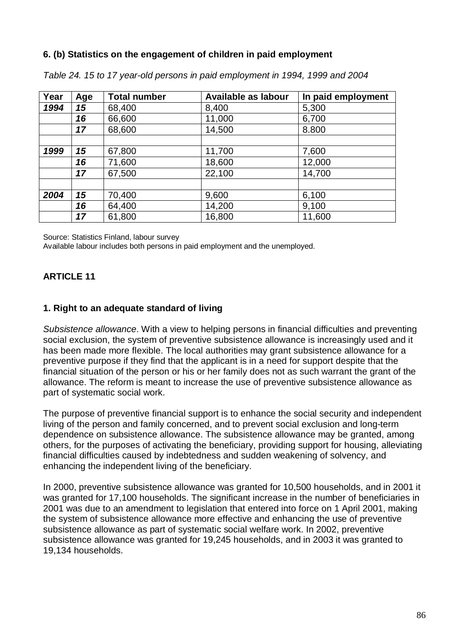#### **6. (b) Statistics on the engagement of children in paid employment**

| Year | Age | <b>Total number</b> | Available as labour | In paid employment |
|------|-----|---------------------|---------------------|--------------------|
| 1994 | 15  | 68,400              | 8,400               | 5,300              |
|      | 16  | 66,600              | 11,000              | 6,700              |
|      | 17  | 68,600              | 14,500              | 8.800              |
|      |     |                     |                     |                    |
| 1999 | 15  | 67,800              | 11,700              | 7,600              |
|      | 16  | 71,600              | 18,600              | 12,000             |
|      | 17  | 67,500              | 22,100              | 14,700             |
|      |     |                     |                     |                    |
| 2004 | 15  | 70,400              | 9,600               | 6,100              |
|      | 16  | 64,400              | 14,200              | 9,100              |
|      | 17  | 61,800              | 16,800              | 11,600             |

*Table 24. 15 to 17 year-old persons in paid employment in 1994, 1999 and 2004*

Source: Statistics Finland, labour survey

Available labour includes both persons in paid employment and the unemployed.

## **ARTICLE 11**

#### **1. Right to an adequate standard of living**

*Subsistence allowance*. With a view to helping persons in financial difficulties and preventing social exclusion, the system of preventive subsistence allowance is increasingly used and it has been made more flexible. The local authorities may grant subsistence allowance for a preventive purpose if they find that the applicant is in a need for support despite that the financial situation of the person or his or her family does not as such warrant the grant of the allowance. The reform is meant to increase the use of preventive subsistence allowance as part of systematic social work.

The purpose of preventive financial support is to enhance the social security and independent living of the person and family concerned, and to prevent social exclusion and long-term dependence on subsistence allowance. The subsistence allowance may be granted, among others, for the purposes of activating the beneficiary, providing support for housing, alleviating financial difficulties caused by indebtedness and sudden weakening of solvency, and enhancing the independent living of the beneficiary.

In 2000, preventive subsistence allowance was granted for 10,500 households, and in 2001 it was granted for 17,100 households. The significant increase in the number of beneficiaries in 2001 was due to an amendment to legislation that entered into force on 1 April 2001, making the system of subsistence allowance more effective and enhancing the use of preventive subsistence allowance as part of systematic social welfare work. In 2002, preventive subsistence allowance was granted for 19,245 households, and in 2003 it was granted to 19,134 households.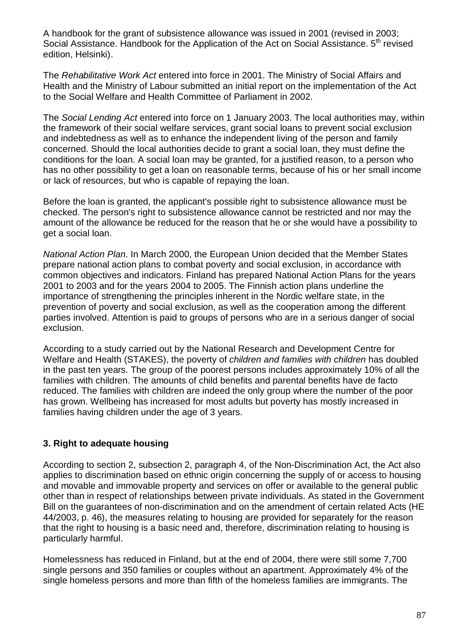A handbook for the grant of subsistence allowance was issued in 2001 (revised in 2003; Social Assistance. Handbook for the Application of the Act on Social Assistance. 5<sup>th</sup> revised edition, Helsinki).

The *Rehabilitative Work Act* entered into force in 2001. The Ministry of Social Affairs and Health and the Ministry of Labour submitted an initial report on the implementation of the Act to the Social Welfare and Health Committee of Parliament in 2002.

The *Social Lending Act* entered into force on 1 January 2003. The local authorities may, within the framework of their social welfare services, grant social loans to prevent social exclusion and indebtedness as well as to enhance the independent living of the person and family concerned. Should the local authorities decide to grant a social loan, they must define the conditions for the loan. A social loan may be granted, for a justified reason, to a person who has no other possibility to get a loan on reasonable terms, because of his or her small income or lack of resources, but who is capable of repaying the loan.

Before the loan is granted, the applicant's possible right to subsistence allowance must be checked. The person's right to subsistence allowance cannot be restricted and nor may the amount of the allowance be reduced for the reason that he or she would have a possibility to get a social loan.

*National Action Plan*. In March 2000, the European Union decided that the Member States prepare national action plans to combat poverty and social exclusion, in accordance with common objectives and indicators. Finland has prepared National Action Plans for the years 2001 to 2003 and for the years 2004 to 2005. The Finnish action plans underline the importance of strengthening the principles inherent in the Nordic welfare state, in the prevention of poverty and social exclusion, as well as the cooperation among the different parties involved. Attention is paid to groups of persons who are in a serious danger of social exclusion.

According to a study carried out by the National Research and Development Centre for Welfare and Health (STAKES), the poverty of *children and families with children* has doubled in the past ten years. The group of the poorest persons includes approximately 10% of all the families with children. The amounts of child benefits and parental benefits have de facto reduced. The families with children are indeed the only group where the number of the poor has grown. Wellbeing has increased for most adults but poverty has mostly increased in families having children under the age of 3 years.

### **3. Right to adequate housing**

According to section 2, subsection 2, paragraph 4, of the Non-Discrimination Act, the Act also applies to discrimination based on ethnic origin concerning the supply of or access to housing and movable and immovable property and services on offer or available to the general public other than in respect of relationships between private individuals. As stated in the Government Bill on the guarantees of non-discrimination and on the amendment of certain related Acts (HE 44/2003, p. 46), the measures relating to housing are provided for separately for the reason that the right to housing is a basic need and, therefore, discrimination relating to housing is particularly harmful.

Homelessness has reduced in Finland, but at the end of 2004, there were still some 7,700 single persons and 350 families or couples without an apartment. Approximately 4% of the single homeless persons and more than fifth of the homeless families are immigrants. The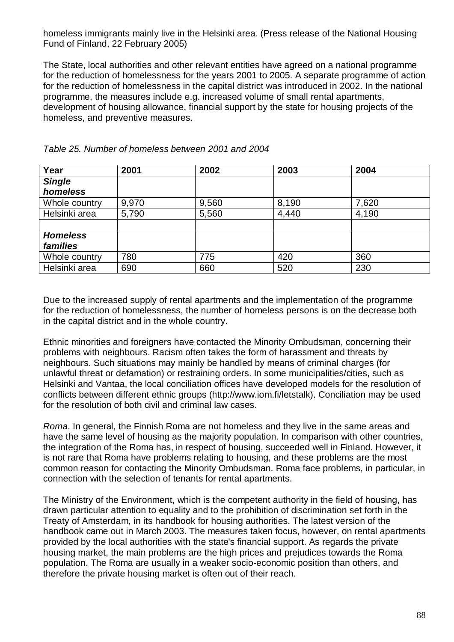homeless immigrants mainly live in the Helsinki area. (Press release of the National Housing Fund of Finland, 22 February 2005)

The State, local authorities and other relevant entities have agreed on a national programme for the reduction of homelessness for the years 2001 to 2005. A separate programme of action for the reduction of homelessness in the capital district was introduced in 2002. In the national programme, the measures include e.g. increased volume of small rental apartments, development of housing allowance, financial support by the state for housing projects of the homeless, and preventive measures.

| Year            | 2001  | 2002  | 2003  | 2004  |
|-----------------|-------|-------|-------|-------|
| <b>Single</b>   |       |       |       |       |
| homeless        |       |       |       |       |
| Whole country   | 9,970 | 9,560 | 8,190 | 7,620 |
| Helsinki area   | 5,790 | 5,560 | 4,440 | 4,190 |
|                 |       |       |       |       |
| <b>Homeless</b> |       |       |       |       |
| families        |       |       |       |       |
| Whole country   | 780   | 775   | 420   | 360   |
| Helsinki area   | 690   | 660   | 520   | 230   |

*Table 25. Number of homeless between 2001 and 2004*

Due to the increased supply of rental apartments and the implementation of the programme for the reduction of homelessness, the number of homeless persons is on the decrease both in the capital district and in the whole country.

Ethnic minorities and foreigners have contacted the Minority Ombudsman, concerning their problems with neighbours. Racism often takes the form of harassment and threats by neighbours. Such situations may mainly be handled by means of criminal charges (for unlawful threat or defamation) or restraining orders. In some municipalities/cities, such as Helsinki and Vantaa, the local conciliation offices have developed models for the resolution of conflicts between different ethnic groups (http://www.iom.fi/letstalk). Conciliation may be used for the resolution of both civil and criminal law cases.

*Roma*. In general, the Finnish Roma are not homeless and they live in the same areas and have the same level of housing as the majority population. In comparison with other countries, the integration of the Roma has, in respect of housing, succeeded well in Finland. However, it is not rare that Roma have problems relating to housing, and these problems are the most common reason for contacting the Minority Ombudsman. Roma face problems, in particular, in connection with the selection of tenants for rental apartments.

The Ministry of the Environment, which is the competent authority in the field of housing, has drawn particular attention to equality and to the prohibition of discrimination set forth in the Treaty of Amsterdam, in its handbook for housing authorities. The latest version of the handbook came out in March 2003. The measures taken focus, however, on rental apartments provided by the local authorities with the state's financial support. As regards the private housing market, the main problems are the high prices and prejudices towards the Roma population. The Roma are usually in a weaker socio-economic position than others, and therefore the private housing market is often out of their reach.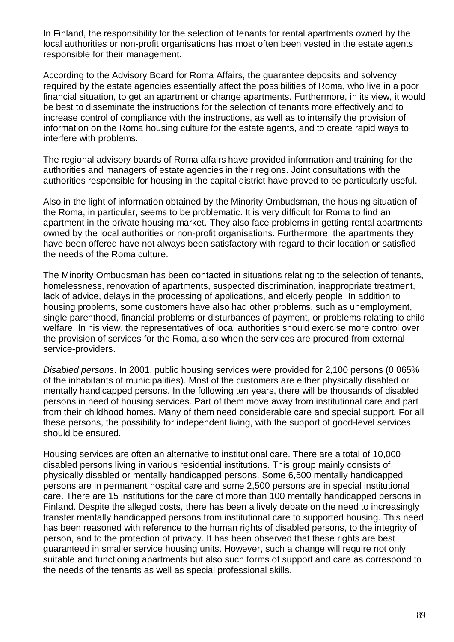In Finland, the responsibility for the selection of tenants for rental apartments owned by the local authorities or non-profit organisations has most often been vested in the estate agents responsible for their management.

According to the Advisory Board for Roma Affairs, the guarantee deposits and solvency required by the estate agencies essentially affect the possibilities of Roma, who live in a poor financial situation, to get an apartment or change apartments. Furthermore, in its view, it would be best to disseminate the instructions for the selection of tenants more effectively and to increase control of compliance with the instructions, as well as to intensify the provision of information on the Roma housing culture for the estate agents, and to create rapid ways to interfere with problems.

The regional advisory boards of Roma affairs have provided information and training for the authorities and managers of estate agencies in their regions. Joint consultations with the authorities responsible for housing in the capital district have proved to be particularly useful.

Also in the light of information obtained by the Minority Ombudsman, the housing situation of the Roma, in particular, seems to be problematic. It is very difficult for Roma to find an apartment in the private housing market. They also face problems in getting rental apartments owned by the local authorities or non-profit organisations. Furthermore, the apartments they have been offered have not always been satisfactory with regard to their location or satisfied the needs of the Roma culture.

The Minority Ombudsman has been contacted in situations relating to the selection of tenants, homelessness, renovation of apartments, suspected discrimination, inappropriate treatment, lack of advice, delays in the processing of applications, and elderly people. In addition to housing problems, some customers have also had other problems, such as unemployment, single parenthood, financial problems or disturbances of payment, or problems relating to child welfare. In his view, the representatives of local authorities should exercise more control over the provision of services for the Roma, also when the services are procured from external service-providers.

*Disabled persons*. In 2001, public housing services were provided for 2,100 persons (0.065% of the inhabitants of municipalities). Most of the customers are either physically disabled or mentally handicapped persons. In the following ten years, there will be thousands of disabled persons in need of housing services. Part of them move away from institutional care and part from their childhood homes. Many of them need considerable care and special support. For all these persons, the possibility for independent living, with the support of good-level services, should be ensured.

Housing services are often an alternative to institutional care. There are a total of 10,000 disabled persons living in various residential institutions. This group mainly consists of physically disabled or mentally handicapped persons. Some 6,500 mentally handicapped persons are in permanent hospital care and some 2,500 persons are in special institutional care. There are 15 institutions for the care of more than 100 mentally handicapped persons in Finland. Despite the alleged costs, there has been a lively debate on the need to increasingly transfer mentally handicapped persons from institutional care to supported housing. This need has been reasoned with reference to the human rights of disabled persons, to the integrity of person, and to the protection of privacy. It has been observed that these rights are best guaranteed in smaller service housing units. However, such a change will require not only suitable and functioning apartments but also such forms of support and care as correspond to the needs of the tenants as well as special professional skills.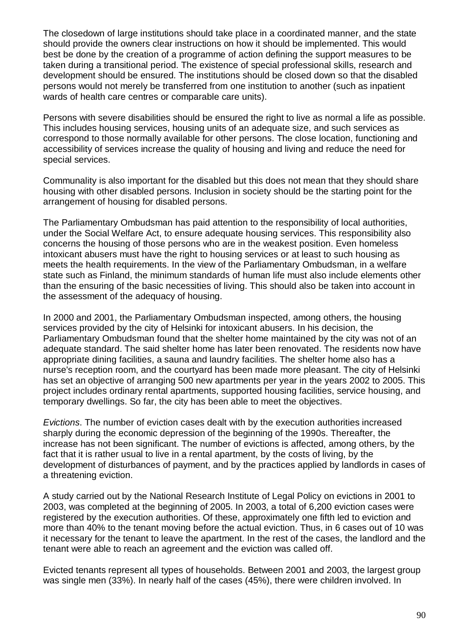The closedown of large institutions should take place in a coordinated manner, and the state should provide the owners clear instructions on how it should be implemented. This would best be done by the creation of a programme of action defining the support measures to be taken during a transitional period. The existence of special professional skills, research and development should be ensured. The institutions should be closed down so that the disabled persons would not merely be transferred from one institution to another (such as inpatient wards of health care centres or comparable care units).

Persons with severe disabilities should be ensured the right to live as normal a life as possible. This includes housing services, housing units of an adequate size, and such services as correspond to those normally available for other persons. The close location, functioning and accessibility of services increase the quality of housing and living and reduce the need for special services.

Communality is also important for the disabled but this does not mean that they should share housing with other disabled persons. Inclusion in society should be the starting point for the arrangement of housing for disabled persons.

The Parliamentary Ombudsman has paid attention to the responsibility of local authorities, under the Social Welfare Act, to ensure adequate housing services. This responsibility also concerns the housing of those persons who are in the weakest position. Even homeless intoxicant abusers must have the right to housing services or at least to such housing as meets the health requirements. In the view of the Parliamentary Ombudsman, in a welfare state such as Finland, the minimum standards of human life must also include elements other than the ensuring of the basic necessities of living. This should also be taken into account in the assessment of the adequacy of housing.

In 2000 and 2001, the Parliamentary Ombudsman inspected, among others, the housing services provided by the city of Helsinki for intoxicant abusers. In his decision, the Parliamentary Ombudsman found that the shelter home maintained by the city was not of an adequate standard. The said shelter home has later been renovated. The residents now have appropriate dining facilities, a sauna and laundry facilities. The shelter home also has a nurse's reception room, and the courtyard has been made more pleasant. The city of Helsinki has set an objective of arranging 500 new apartments per year in the years 2002 to 2005. This project includes ordinary rental apartments, supported housing facilities, service housing, and temporary dwellings. So far, the city has been able to meet the objectives.

*Evictions*. The number of eviction cases dealt with by the execution authorities increased sharply during the economic depression of the beginning of the 1990s. Thereafter, the increase has not been significant. The number of evictions is affected, among others, by the fact that it is rather usual to live in a rental apartment, by the costs of living, by the development of disturbances of payment, and by the practices applied by landlords in cases of a threatening eviction.

A study carried out by the National Research Institute of Legal Policy on evictions in 2001 to 2003, was completed at the beginning of 2005. In 2003, a total of 6,200 eviction cases were registered by the execution authorities. Of these, approximately one fifth led to eviction and more than 40% to the tenant moving before the actual eviction. Thus, in 6 cases out of 10 was it necessary for the tenant to leave the apartment. In the rest of the cases, the landlord and the tenant were able to reach an agreement and the eviction was called off.

Evicted tenants represent all types of households. Between 2001 and 2003, the largest group was single men (33%). In nearly half of the cases (45%), there were children involved. In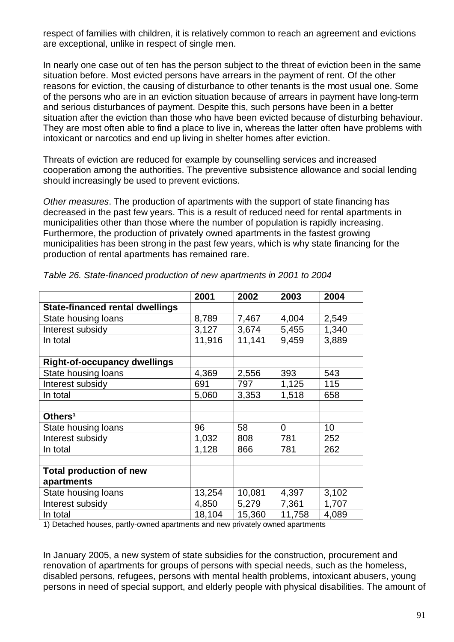respect of families with children, it is relatively common to reach an agreement and evictions are exceptional, unlike in respect of single men.

In nearly one case out of ten has the person subject to the threat of eviction been in the same situation before. Most evicted persons have arrears in the payment of rent. Of the other reasons for eviction, the causing of disturbance to other tenants is the most usual one. Some of the persons who are in an eviction situation because of arrears in payment have long-term and serious disturbances of payment. Despite this, such persons have been in a better situation after the eviction than those who have been evicted because of disturbing behaviour. They are most often able to find a place to live in, whereas the latter often have problems with intoxicant or narcotics and end up living in shelter homes after eviction.

Threats of eviction are reduced for example by counselling services and increased cooperation among the authorities. The preventive subsistence allowance and social lending should increasingly be used to prevent evictions.

*Other measures*. The production of apartments with the support of state financing has decreased in the past few years. This is a result of reduced need for rental apartments in municipalities other than those where the number of population is rapidly increasing. Furthermore, the production of privately owned apartments in the fastest growing municipalities has been strong in the past few years, which is why state financing for the production of rental apartments has remained rare.

|                                        | 2001   | 2002   | 2003           | 2004  |
|----------------------------------------|--------|--------|----------------|-------|
| <b>State-financed rental dwellings</b> |        |        |                |       |
| State housing loans                    | 8,789  | 7,467  | 4,004          | 2,549 |
| Interest subsidy                       | 3,127  | 3,674  | 5,455          | 1,340 |
| In total                               | 11,916 | 11,141 | 9,459          | 3,889 |
|                                        |        |        |                |       |
| <b>Right-of-occupancy dwellings</b>    |        |        |                |       |
| State housing loans                    | 4,369  | 2,556  | 393            | 543   |
| Interest subsidy                       | 691    | 797    | 1,125          | 115   |
| In total                               | 5,060  | 3,353  | 1,518          | 658   |
|                                        |        |        |                |       |
| Others <sup>1</sup>                    |        |        |                |       |
| State housing loans                    | 96     | 58     | $\overline{0}$ | 10    |
| Interest subsidy                       | 1,032  | 808    | 781            | 252   |
| In total                               | 1,128  | 866    | 781            | 262   |
|                                        |        |        |                |       |
| <b>Total production of new</b>         |        |        |                |       |
| apartments                             |        |        |                |       |
| State housing loans                    | 13,254 | 10,081 | 4,397          | 3,102 |
| Interest subsidy                       | 4,850  | 5,279  | 7,361          | 1,707 |
| In total                               | 18,104 | 15,360 | 11,758         | 4,089 |

*Table 26. State-financed production of new apartments in 2001 to 2004*

1) Detached houses, partly-owned apartments and new privately owned apartments

In January 2005, a new system of state subsidies for the construction, procurement and renovation of apartments for groups of persons with special needs, such as the homeless, disabled persons, refugees, persons with mental health problems, intoxicant abusers, young persons in need of special support, and elderly people with physical disabilities. The amount of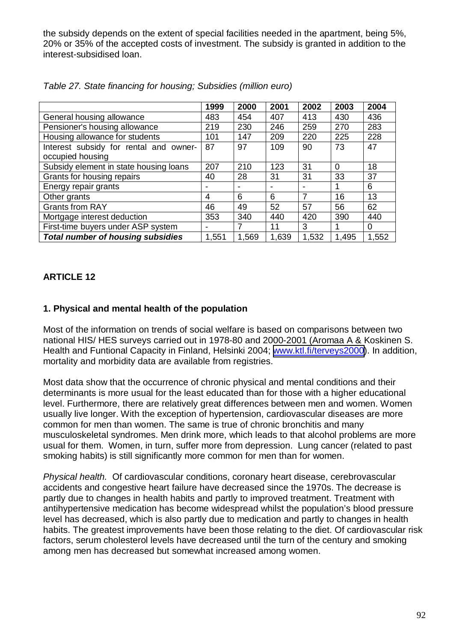the subsidy depends on the extent of special facilities needed in the apartment, being 5%, 20% or 35% of the accepted costs of investment. The subsidy is granted in addition to the interest-subsidised loan.

|                                          | 1999  | 2000  | 2001  | 2002  | 2003  | 2004  |
|------------------------------------------|-------|-------|-------|-------|-------|-------|
| General housing allowance                | 483   | 454   | 407   | 413   | 430   | 436   |
| Pensioner's housing allowance            | 219   | 230   | 246   | 259   | 270   | 283   |
| Housing allowance for students           | 101   | 147   | 209   | 220   | 225   | 228   |
| Interest subsidy for rental and owner-   | 87    | 97    | 109   | 90    | 73    | 47    |
| occupied housing                         |       |       |       |       |       |       |
| Subsidy element in state housing loans   | 207   | 210   | 123   | 31    | 0     | 18    |
| Grants for housing repairs               | 40    | 28    | 31    | 31    | 33    | 37    |
| Energy repair grants                     |       |       |       |       | 1     | 6     |
| Other grants                             | 4     | 6     | 6     | 7     | 16    | 13    |
| <b>Grants from RAY</b>                   | 46    | 49    | 52    | 57    | 56    | 62    |
| Mortgage interest deduction              | 353   | 340   | 440   | 420   | 390   | 440   |
| First-time buyers under ASP system       |       | 7     | 11    | 3     |       | 0     |
| <b>Total number of housing subsidies</b> | 1,551 | 1,569 | 1,639 | 1,532 | 1,495 | 1,552 |

| Table 27. State financing for housing; Subsidies (million euro) |  |  |
|-----------------------------------------------------------------|--|--|
|-----------------------------------------------------------------|--|--|

### **ARTICLE 12**

#### **1. Physical and mental health of the population**

Most of the information on trends of social welfare is based on comparisons between two national HIS/ HES surveys carried out in 1978-80 and 2000-2001 (Aromaa A & Koskinen S. Health and Funtional Capacity in Finland, Helsinki 2004; [www.ktl.fi/terveys2000\)](http://www.ktl.fi/terveys2000). In addition, mortality and morbidity data are available from registries.

Most data show that the occurrence of chronic physical and mental conditions and their determinants is more usual for the least educated than for those with a higher educational level. Furthermore, there are relatively great differences between men and women. Women usually live longer. With the exception of hypertension, cardiovascular diseases are more common for men than women. The same is true of chronic bronchitis and many musculoskeletal syndromes. Men drink more, which leads to that alcohol problems are more usual for them. Women, in turn, suffer more from depression. Lung cancer (related to past smoking habits) is still significantly more common for men than for women.

*Physical health.* Of cardiovascular conditions, coronary heart disease, cerebrovascular accidents and congestive heart failure have decreased since the 1970s. The decrease is partly due to changes in health habits and partly to improved treatment. Treatment with antihypertensive medication has become widespread whilst the population's blood pressure level has decreased, which is also partly due to medication and partly to changes in health habits. The greatest improvements have been those relating to the diet. Of cardiovascular risk factors, serum cholesterol levels have decreased until the turn of the century and smoking among men has decreased but somewhat increased among women.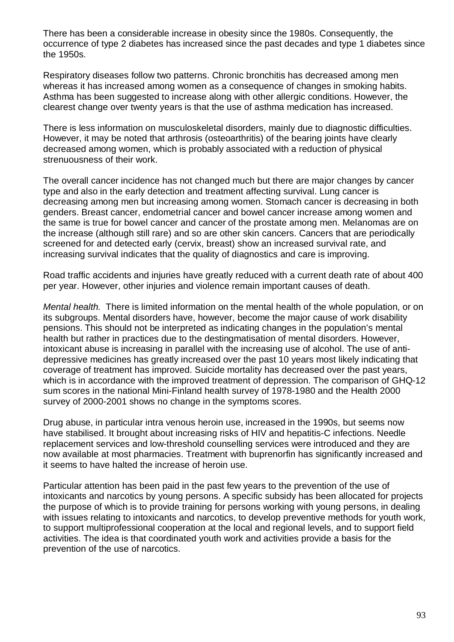There has been a considerable increase in obesity since the 1980s. Consequently, the occurrence of type 2 diabetes has increased since the past decades and type 1 diabetes since the 1950s.

Respiratory diseases follow two patterns. Chronic bronchitis has decreased among men whereas it has increased among women as a consequence of changes in smoking habits. Asthma has been suggested to increase along with other allergic conditions. However, the clearest change over twenty years is that the use of asthma medication has increased.

There is less information on musculoskeletal disorders, mainly due to diagnostic difficulties. However, it may be noted that arthrosis (osteoarthritis) of the bearing joints have clearly decreased among women, which is probably associated with a reduction of physical strenuousness of their work.

The overall cancer incidence has not changed much but there are major changes by cancer type and also in the early detection and treatment affecting survival. Lung cancer is decreasing among men but increasing among women. Stomach cancer is decreasing in both genders. Breast cancer, endometrial cancer and bowel cancer increase among women and the same is true for bowel cancer and cancer of the prostate among men. Melanomas are on the increase (although still rare) and so are other skin cancers. Cancers that are periodically screened for and detected early (cervix, breast) show an increased survival rate, and increasing survival indicates that the quality of diagnostics and care is improving.

Road traffic accidents and injuries have greatly reduced with a current death rate of about 400 per year. However, other injuries and violence remain important causes of death.

*Mental health.* There is limited information on the mental health of the whole population, or on its subgroups. Mental disorders have, however, become the major cause of work disability pensions. This should not be interpreted as indicating changes in the population's mental health but rather in practices due to the destingmatisation of mental disorders. However, intoxicant abuse is increasing in parallel with the increasing use of alcohol. The use of antidepressive medicines has greatly increased over the past 10 years most likely indicating that coverage of treatment has improved. Suicide mortality has decreased over the past years, which is in accordance with the improved treatment of depression. The comparison of GHQ-12 sum scores in the national Mini-Finland health survey of 1978-1980 and the Health 2000 survey of 2000-2001 shows no change in the symptoms scores.

Drug abuse, in particular intra venous heroin use, increased in the 1990s, but seems now have stabilised. It brought about increasing risks of HIV and hepatitis-C infections. Needle replacement services and low-threshold counselling services were introduced and they are now available at most pharmacies. Treatment with buprenorfin has significantly increased and it seems to have halted the increase of heroin use.

Particular attention has been paid in the past few years to the prevention of the use of intoxicants and narcotics by young persons. A specific subsidy has been allocated for projects the purpose of which is to provide training for persons working with young persons, in dealing with issues relating to intoxicants and narcotics, to develop preventive methods for youth work, to support multiprofessional cooperation at the local and regional levels, and to support field activities. The idea is that coordinated youth work and activities provide a basis for the prevention of the use of narcotics.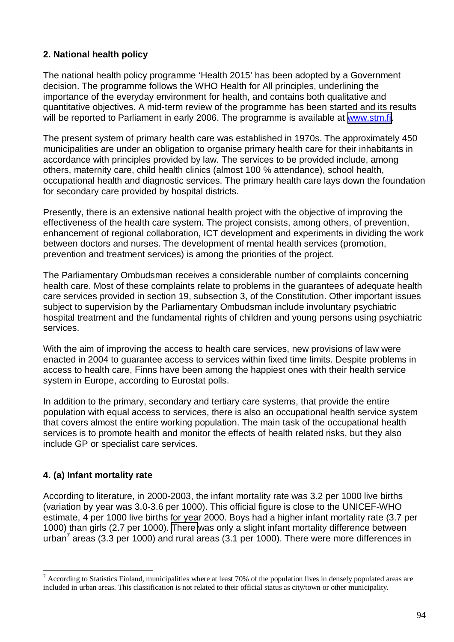## **2. National health policy**

The national health policy programme 'Health 2015' has been adopted by a Government decision. The programme follows the WHO Health for All principles, underlining the importance of the everyday environment for health, and contains both qualitative and quantitative objectives. A mid-term review of the programme has been started and its results will be reported to Parliament in early 2006. The programme is available at [www.stm.fi.](http://www.stm.fi/)

The present system of primary health care was established in 1970s. The approximately 450 municipalities are under an obligation to organise primary health care for their inhabitants in accordance with principles provided by law. The services to be provided include, among others, maternity care, child health clinics (almost 100 % attendance), school health, occupational health and diagnostic services. The primary health care lays down the foundation for secondary care provided by hospital districts.

Presently, there is an extensive national health project with the objective of improving the effectiveness of the health care system. The project consists, among others, of prevention, enhancement of regional collaboration, ICT development and experiments in dividing the work between doctors and nurses. The development of mental health services (promotion, prevention and treatment services) is among the priorities of the project.

The Parliamentary Ombudsman receives a considerable number of complaints concerning health care. Most of these complaints relate to problems in the guarantees of adequate health care services provided in section 19, subsection 3, of the Constitution. Other important issues subject to supervision by the Parliamentary Ombudsman include involuntary psychiatric hospital treatment and the fundamental rights of children and young persons using psychiatric services.

With the aim of improving the access to health care services, new provisions of law were enacted in 2004 to guarantee access to services within fixed time limits. Despite problems in access to health care, Finns have been among the happiest ones with their health service system in Europe, according to Eurostat polls.

In addition to the primary, secondary and tertiary care systems, that provide the entire population with equal access to services, there is also an occupational health service system that covers almost the entire working population. The main task of the occupational health services is to promote health and monitor the effects of health related risks, but they also include GP or specialist care services.

# **4. (a) Infant mortality rate**

According to literature, in 2000-2003, the infant mortality rate was 3.2 per 1000 live births (variation by year was 3.0-3.6 per 1000). This official figure is close to the UNICEF-WHO estimate, 4 per 1000 live births for year 2000. Boys had a higher infant mortality rate (3.7 per 1000) than girls (2.7 per 1000). [There w](#page-93-0)as only a slight infant mortality difference between urban<sup>7</sup> areas (3.3 per 1000) and rural areas (3.1 per 1000). There were more differences in

<span id="page-93-0"></span> $<sup>7</sup>$  According to Statistics Finland, municipalities where at least 70% of the population lives in densely populated areas are</sup> included in urban areas. This classification is not related to their official status as city/town or other municipality.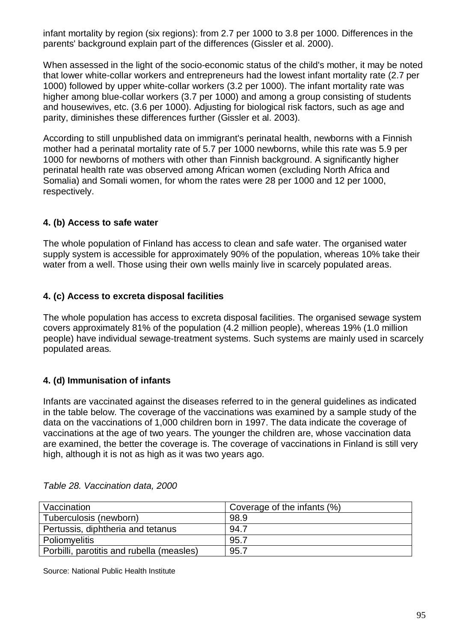infant mortality by region (six regions): from 2.7 per 1000 to 3.8 per 1000. Differences in the parents' background explain part of the differences (Gissler et al. 2000).

When assessed in the light of the socio-economic status of the child's mother, it may be noted that lower white-collar workers and entrepreneurs had the lowest infant mortality rate (2.7 per 1000) followed by upper white-collar workers (3.2 per 1000). The infant mortality rate was higher among blue-collar workers (3.7 per 1000) and among a group consisting of students and housewives, etc. (3.6 per 1000). Adjusting for biological risk factors, such as age and parity, diminishes these differences further (Gissler et al. 2003).

According to still unpublished data on immigrant's perinatal health, newborns with a Finnish mother had a perinatal mortality rate of 5.7 per 1000 newborns, while this rate was 5.9 per 1000 for newborns of mothers with other than Finnish background. A significantly higher perinatal health rate was observed among African women (excluding North Africa and Somalia) and Somali women, for whom the rates were 28 per 1000 and 12 per 1000, respectively.

## **4. (b) Access to safe water**

The whole population of Finland has access to clean and safe water. The organised water supply system is accessible for approximately 90% of the population, whereas 10% take their water from a well. Those using their own wells mainly live in scarcely populated areas.

## **4. (c) Access to excreta disposal facilities**

The whole population has access to excreta disposal facilities. The organised sewage system covers approximately 81% of the population (4.2 million people), whereas 19% (1.0 million people) have individual sewage-treatment systems. Such systems are mainly used in scarcely populated areas.

### **4. (d) Immunisation of infants**

Infants are vaccinated against the diseases referred to in the general guidelines as indicated in the table below. The coverage of the vaccinations was examined by a sample study of the data on the vaccinations of 1,000 children born in 1997. The data indicate the coverage of vaccinations at the age of two years. The younger the children are, whose vaccination data are examined, the better the coverage is. The coverage of vaccinations in Finland is still very high, although it is not as high as it was two years ago.

| Vaccination                               | Coverage of the infants (%) |
|-------------------------------------------|-----------------------------|
| Tuberculosis (newborn)                    | 98.9                        |
| Pertussis, diphtheria and tetanus         | 94.7                        |
| Poliomyelitis                             | 95.7                        |
| Porbilli, parotitis and rubella (measles) | 95.7                        |

| Table 28. Vaccination data, 2000 |
|----------------------------------|
|----------------------------------|

Source: National Public Health Institute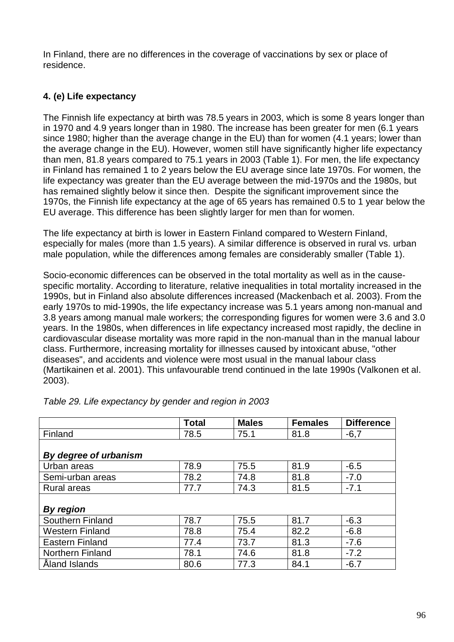In Finland, there are no differences in the coverage of vaccinations by sex or place of residence.

# **4. (e) Life expectancy**

The Finnish life expectancy at birth was 78.5 years in 2003, which is some 8 years longer than in 1970 and 4.9 years longer than in 1980. The increase has been greater for men (6.1 years since 1980; higher than the average change in the EU) than for women (4.1 years; lower than the average change in the EU). However, women still have significantly higher life expectancy than men, 81.8 years compared to 75.1 years in 2003 (Table 1). For men, the life expectancy in Finland has remained 1 to 2 years below the EU average since late 1970s. For women, the life expectancy was greater than the EU average between the mid-1970s and the 1980s, but has remained slightly below it since then. Despite the significant improvement since the 1970s, the Finnish life expectancy at the age of 65 years has remained 0.5 to 1 year below the EU average. This difference has been slightly larger for men than for women.

The life expectancy at birth is lower in Eastern Finland compared to Western Finland, especially for males (more than 1.5 years). A similar difference is observed in rural vs. urban male population, while the differences among females are considerably smaller (Table 1).

Socio-economic differences can be observed in the total mortality as well as in the causespecific mortality. According to literature, relative inequalities in total mortality increased in the 1990s, but in Finland also absolute differences increased (Mackenbach et al. 2003). From the early 1970s to mid-1990s, the life expectancy increase was 5.1 years among non-manual and 3.8 years among manual male workers; the corresponding figures for women were 3.6 and 3.0 years. In the 1980s, when differences in life expectancy increased most rapidly, the decline in cardiovascular disease mortality was more rapid in the non-manual than in the manual labour class. Furthermore, increasing mortality for illnesses caused by intoxicant abuse, "other diseases", and accidents and violence were most usual in the manual labour class (Martikainen et al. 2001). This unfavourable trend continued in the late 1990s (Valkonen et al. 2003).

|                         | <b>Total</b> | <b>Males</b> | <b>Females</b> | <b>Difference</b> |
|-------------------------|--------------|--------------|----------------|-------------------|
| Finland                 | 78.5         | 75.1         | 81.8           | $-6,7$            |
|                         |              |              |                |                   |
| By degree of urbanism   |              |              |                |                   |
| Urban areas             | 78.9         | 75.5         | 81.9           | $-6.5$            |
| Semi-urban areas        | 78.2         | 74.8         | 81.8           | $-7.0$            |
| <b>Rural areas</b>      | 77.7         | 74.3         | 81.5           | $-7.1$            |
|                         |              |              |                |                   |
| By region               |              |              |                |                   |
| Southern Finland        | 78.7         | 75.5         | 81.7           | $-6.3$            |
| <b>Western Finland</b>  | 78.8         | 75.4         | 82.2           | $-6.8$            |
| <b>Eastern Finland</b>  | 77.4         | 73.7         | 81.3           | $-7.6$            |
| <b>Northern Finland</b> | 78.1         | 74.6         | 81.8           | $-7.2$            |
| Aland Islands           | 80.6         | 77.3         | 84.1           | $-6.7$            |

*Table 29. Life expectancy by gender and region in 2003*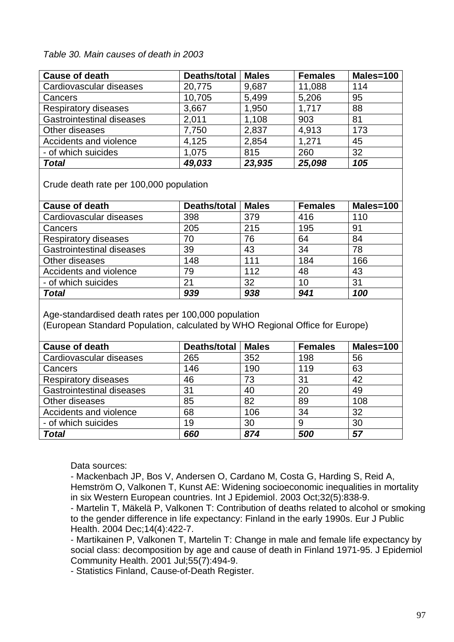#### *Table 30. Main causes of death in 2003*

| <b>Cause of death</b>            | Deaths/total | <b>Males</b> | <b>Females</b> | Males=100 |
|----------------------------------|--------------|--------------|----------------|-----------|
| Cardiovascular diseases          | 20,775       | 9,687        | 11,088         | 114       |
| Cancers                          | 10,705       | 5,499        | 5,206          | 95        |
| <b>Respiratory diseases</b>      | 3,667        | 1,950        | 1,717          | 88        |
| <b>Gastrointestinal diseases</b> | 2,011        | 1,108        | 903            | 81        |
| Other diseases                   | 7,750        | 2,837        | 4,913          | 173       |
| Accidents and violence           | 4,125        | 2,854        | 1,271          | 45        |
| - of which suicides              | 1,075        | 815          | 260            | 32        |
| <b>Total</b>                     | 49,033       | 23,935       | 25,098         | 105       |

Crude death rate per 100,000 population

| <b>Cause of death</b>            | Deaths/total | <b>Males</b> | <b>Females</b> | Males=100 |
|----------------------------------|--------------|--------------|----------------|-----------|
| Cardiovascular diseases          | 398          | 379          | 416            | 110       |
| Cancers                          | 205          | 215          | 195            | 91        |
| Respiratory diseases             | 70           | 76           | 64             | 84        |
| <b>Gastrointestinal diseases</b> | 39           | 43           | 34             | 78        |
| Other diseases                   | 148          | 111          | 184            | 166       |
| Accidents and violence           | 79           | 112          | 48             | 43        |
| - of which suicides              | 21           | 32           | 10             | 31        |
| <b>Total</b>                     | 939          | 938          | 941            | 100       |

Age-standardised death rates per 100,000 population (European Standard Population, calculated by WHO Regional Office for Europe)

| <b>Cause of death</b>            | <b>Deaths/total</b> | <b>Males</b> | <b>Females</b> | Males=100 |
|----------------------------------|---------------------|--------------|----------------|-----------|
| Cardiovascular diseases          | 265                 | 352          | 198            | 56        |
| Cancers                          | 146                 | 190          | 119            | 63        |
| Respiratory diseases             | 46                  | 73           | 31             | 42        |
| <b>Gastrointestinal diseases</b> | 31                  | 40           | 20             | 49        |
| Other diseases                   | 85                  | 82           | 89             | 108       |
| Accidents and violence           | 68                  | 106          | 34             | 32        |
| - of which suicides              | 19                  | 30           | 9              | 30        |
| <b>Total</b>                     | 660                 | 874          | 500            | 57        |

Data sources:

- Mackenbach JP, Bos V, Andersen O, Cardano M, Costa G, Harding S, Reid A, Hemström O, Valkonen T, Kunst AE: Widening socioeconomic inequalities in mortality in six Western European countries. Int J Epidemiol. 2003 Oct;32(5):838-9.

- Martelin T, Mäkelä P, Valkonen T: Contribution of deaths related to alcohol or smoking to the gender difference in life expectancy: Finland in the early 1990s. Eur J Public Health. 2004 Dec;14(4):422-7.

- Martikainen P, Valkonen T, Martelin T: Change in male and female life expectancy by social class: decomposition by age and cause of death in Finland 1971-95. J Epidemiol Community Health. 2001 Jul;55(7):494-9.

- Statistics Finland, Cause-of-Death Register.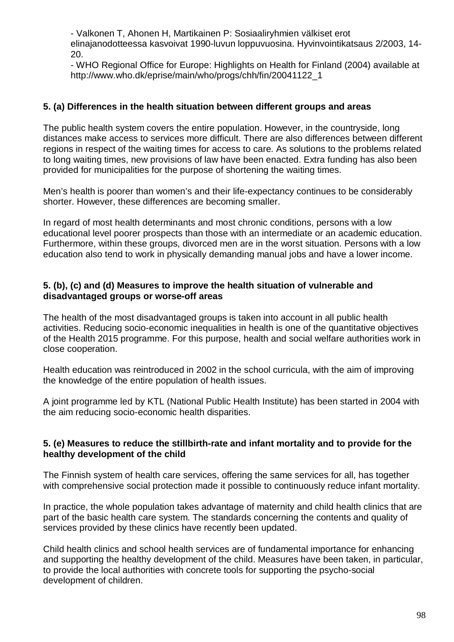- Valkonen T, Ahonen H, Martikainen P: Sosiaaliryhmien välkiset erot elinajanodotteessa kasvoivat 1990-luvun loppuvuosina. Hyvinvointikatsaus 2/2003, 14- 20.

- WHO Regional Office for Europe: Highlights on Health for Finland (2004) available at http://www.who.dk/eprise/main/who/progs/chh/fin/20041122\_1

### **5. (a) Differences in the health situation between different groups and areas**

The public health system covers the entire population. However, in the countryside, long distances make access to services more difficult. There are also differences between different regions in respect of the waiting times for access to care. As solutions to the problems related to long waiting times, new provisions of law have been enacted. Extra funding has also been provided for municipalities for the purpose of shortening the waiting times.

Men's health is poorer than women's and their life-expectancy continues to be considerably shorter. However, these differences are becoming smaller.

In regard of most health determinants and most chronic conditions, persons with a low educational level poorer prospects than those with an intermediate or an academic education. Furthermore, within these groups, divorced men are in the worst situation. Persons with a low education also tend to work in physically demanding manual jobs and have a lower income.

#### **5. (b), (c) and (d) Measures to improve the health situation of vulnerable and disadvantaged groups or worse-off areas**

The health of the most disadvantaged groups is taken into account in all public health activities. Reducing socio-economic inequalities in health is one of the quantitative objectives of the Health 2015 programme. For this purpose, health and social welfare authorities work in close cooperation.

Health education was reintroduced in 2002 in the school curricula, with the aim of improving the knowledge of the entire population of health issues.

A joint programme led by KTL (National Public Health Institute) has been started in 2004 with the aim reducing socio-economic health disparities.

#### **5. (e) Measures to reduce the stillbirth-rate and infant mortality and to provide for the healthy development of the child**

The Finnish system of health care services, offering the same services for all, has together with comprehensive social protection made it possible to continuously reduce infant mortality.

In practice, the whole population takes advantage of maternity and child health clinics that are part of the basic health care system. The standards concerning the contents and quality of services provided by these clinics have recently been updated.

Child health clinics and school health services are of fundamental importance for enhancing and supporting the healthy development of the child. Measures have been taken, in particular, to provide the local authorities with concrete tools for supporting the psycho-social development of children.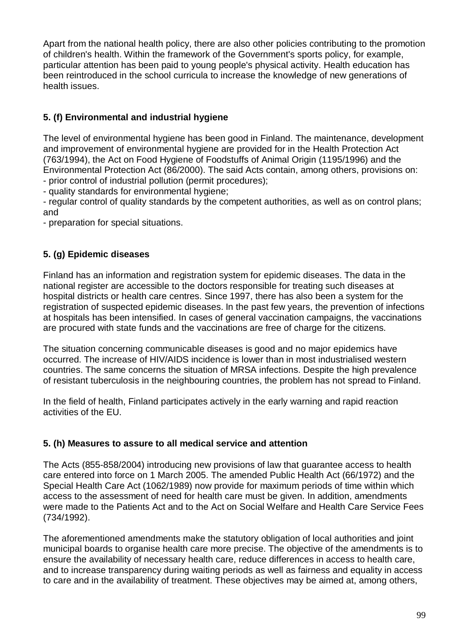Apart from the national health policy, there are also other policies contributing to the promotion of children's health. Within the framework of the Government's sports policy, for example, particular attention has been paid to young people's physical activity. Health education has been reintroduced in the school curricula to increase the knowledge of new generations of health issues.

# **5. (f) Environmental and industrial hygiene**

The level of environmental hygiene has been good in Finland. The maintenance, development and improvement of environmental hygiene are provided for in the Health Protection Act (763/1994), the Act on Food Hygiene of Foodstuffs of Animal Origin (1195/1996) and the Environmental Protection Act (86/2000). The said Acts contain, among others, provisions on: - prior control of industrial pollution (permit procedures);

- quality standards for environmental hygiene;

- regular control of quality standards by the competent authorities, as well as on control plans; and

- preparation for special situations.

# **5. (g) Epidemic diseases**

Finland has an information and registration system for epidemic diseases. The data in the national register are accessible to the doctors responsible for treating such diseases at hospital districts or health care centres. Since 1997, there has also been a system for the registration of suspected epidemic diseases. In the past few years, the prevention of infections at hospitals has been intensified. In cases of general vaccination campaigns, the vaccinations are procured with state funds and the vaccinations are free of charge for the citizens.

The situation concerning communicable diseases is good and no major epidemics have occurred. The increase of HIV/AIDS incidence is lower than in most industrialised western countries. The same concerns the situation of MRSA infections. Despite the high prevalence of resistant tuberculosis in the neighbouring countries, the problem has not spread to Finland.

In the field of health, Finland participates actively in the early warning and rapid reaction activities of the EU.

### **5. (h) Measures to assure to all medical service and attention**

The Acts (855-858/2004) introducing new provisions of law that guarantee access to health care entered into force on 1 March 2005. The amended Public Health Act (66/1972) and the Special Health Care Act (1062/1989) now provide for maximum periods of time within which access to the assessment of need for health care must be given. In addition, amendments were made to the Patients Act and to the Act on Social Welfare and Health Care Service Fees (734/1992).

The aforementioned amendments make the statutory obligation of local authorities and joint municipal boards to organise health care more precise. The objective of the amendments is to ensure the availability of necessary health care, reduce differences in access to health care, and to increase transparency during waiting periods as well as fairness and equality in access to care and in the availability of treatment. These objectives may be aimed at, among others,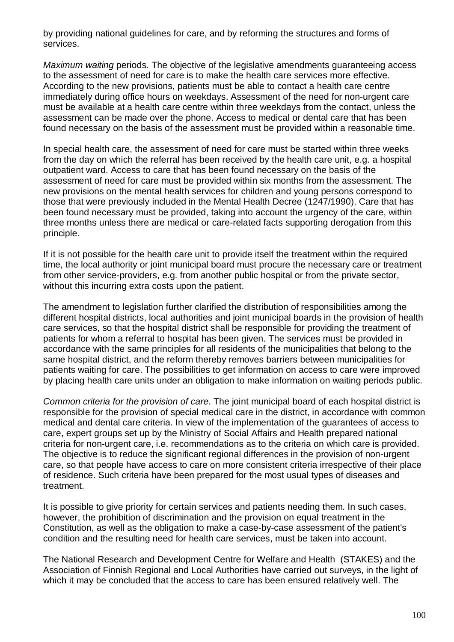by providing national guidelines for care, and by reforming the structures and forms of services.

*Maximum waiting* periods. The objective of the legislative amendments guaranteeing access to the assessment of need for care is to make the health care services more effective. According to the new provisions, patients must be able to contact a health care centre immediately during office hours on weekdays. Assessment of the need for non-urgent care must be available at a health care centre within three weekdays from the contact, unless the assessment can be made over the phone. Access to medical or dental care that has been found necessary on the basis of the assessment must be provided within a reasonable time.

In special health care, the assessment of need for care must be started within three weeks from the day on which the referral has been received by the health care unit, e.g. a hospital outpatient ward. Access to care that has been found necessary on the basis of the assessment of need for care must be provided within six months from the assessment. The new provisions on the mental health services for children and young persons correspond to those that were previously included in the Mental Health Decree (1247/1990). Care that has been found necessary must be provided, taking into account the urgency of the care, within three months unless there are medical or care-related facts supporting derogation from this principle.

If it is not possible for the health care unit to provide itself the treatment within the required time, the local authority or joint municipal board must procure the necessary care or treatment from other service-providers, e.g. from another public hospital or from the private sector, without this incurring extra costs upon the patient.

The amendment to legislation further clarified the distribution of responsibilities among the different hospital districts, local authorities and joint municipal boards in the provision of health care services, so that the hospital district shall be responsible for providing the treatment of patients for whom a referral to hospital has been given. The services must be provided in accordance with the same principles for all residents of the municipalities that belong to the same hospital district, and the reform thereby removes barriers between municipalities for patients waiting for care. The possibilities to get information on access to care were improved by placing health care units under an obligation to make information on waiting periods public.

*Common criteria for the provision of care*. The joint municipal board of each hospital district is responsible for the provision of special medical care in the district, in accordance with common medical and dental care criteria. In view of the implementation of the guarantees of access to care, expert groups set up by the Ministry of Social Affairs and Health prepared national criteria for non-urgent care, i.e. recommendations as to the criteria on which care is provided. The objective is to reduce the significant regional differences in the provision of non-urgent care, so that people have access to care on more consistent criteria irrespective of their place of residence. Such criteria have been prepared for the most usual types of diseases and treatment.

It is possible to give priority for certain services and patients needing them. In such cases, however, the prohibition of discrimination and the provision on equal treatment in the Constitution, as well as the obligation to make a case-by-case assessment of the patient's condition and the resulting need for health care services, must be taken into account.

The National Research and Development Centre for Welfare and Health (STAKES) and the Association of Finnish Regional and Local Authorities have carried out surveys, in the light of which it may be concluded that the access to care has been ensured relatively well. The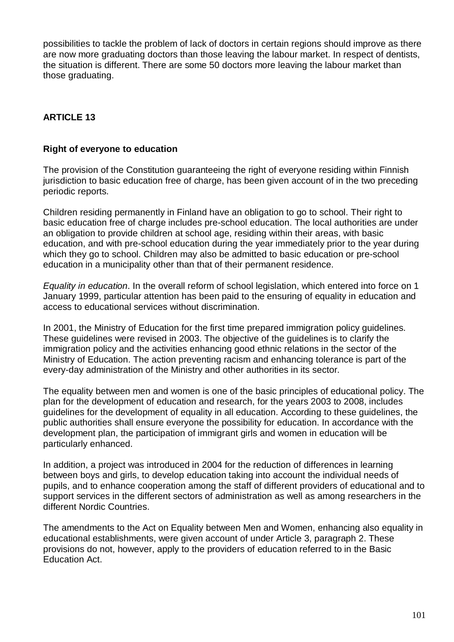possibilities to tackle the problem of lack of doctors in certain regions should improve as there are now more graduating doctors than those leaving the labour market. In respect of dentists, the situation is different. There are some 50 doctors more leaving the labour market than those graduating.

## **ARTICLE 13**

#### **Right of everyone to education**

The provision of the Constitution guaranteeing the right of everyone residing within Finnish jurisdiction to basic education free of charge, has been given account of in the two preceding periodic reports.

Children residing permanently in Finland have an obligation to go to school. Their right to basic education free of charge includes pre-school education. The local authorities are under an obligation to provide children at school age, residing within their areas, with basic education, and with pre-school education during the year immediately prior to the year during which they go to school. Children may also be admitted to basic education or pre-school education in a municipality other than that of their permanent residence.

*Equality in education*. In the overall reform of school legislation, which entered into force on 1 January 1999, particular attention has been paid to the ensuring of equality in education and access to educational services without discrimination.

In 2001, the Ministry of Education for the first time prepared immigration policy guidelines. These guidelines were revised in 2003. The objective of the guidelines is to clarify the immigration policy and the activities enhancing good ethnic relations in the sector of the Ministry of Education. The action preventing racism and enhancing tolerance is part of the every-day administration of the Ministry and other authorities in its sector.

The equality between men and women is one of the basic principles of educational policy. The plan for the development of education and research, for the years 2003 to 2008, includes guidelines for the development of equality in all education. According to these guidelines, the public authorities shall ensure everyone the possibility for education. In accordance with the development plan, the participation of immigrant girls and women in education will be particularly enhanced.

In addition, a project was introduced in 2004 for the reduction of differences in learning between boys and girls, to develop education taking into account the individual needs of pupils, and to enhance cooperation among the staff of different providers of educational and to support services in the different sectors of administration as well as among researchers in the different Nordic Countries.

The amendments to the Act on Equality between Men and Women, enhancing also equality in educational establishments, were given account of under Article 3, paragraph 2. These provisions do not, however, apply to the providers of education referred to in the Basic Education Act.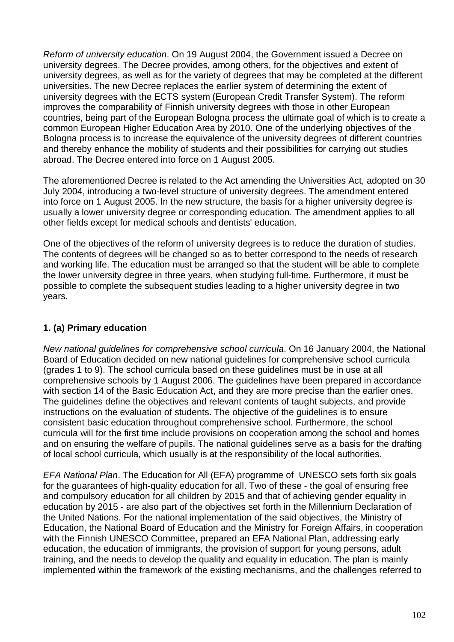*Reform of university education*. On 19 August 2004, the Government issued a Decree on university degrees. The Decree provides, among others, for the objectives and extent of university degrees, as well as for the variety of degrees that may be completed at the different universities. The new Decree replaces the earlier system of determining the extent of university degrees with the ECTS system (European Credit Transfer System). The reform improves the comparability of Finnish university degrees with those in other European countries, being part of the European Bologna process the ultimate goal of which is to create a common European Higher Education Area by 2010. One of the underlying objectives of the Bologna process is to increase the equivalence of the university degrees of different countries and thereby enhance the mobility of students and their possibilities for carrying out studies abroad. The Decree entered into force on 1 August 2005.

The aforementioned Decree is related to the Act amending the Universities Act, adopted on 30 July 2004, introducing a two-level structure of university degrees. The amendment entered into force on 1 August 2005. In the new structure, the basis for a higher university degree is usually a lower university degree or corresponding education. The amendment applies to all other fields except for medical schools and dentists' education.

One of the objectives of the reform of university degrees is to reduce the duration of studies. The contents of degrees will be changed so as to better correspond to the needs of research and working life. The education must be arranged so that the student will be able to complete the lower university degree in three years, when studying full-time. Furthermore, it must be possible to complete the subsequent studies leading to a higher university degree in two years.

# **1. (a) Primary education**

*New national guidelines for comprehensive school curricula*. On 16 January 2004, the National Board of Education decided on new national guidelines for comprehensive school curricula (grades 1 to 9). The school curricula based on these guidelines must be in use at all comprehensive schools by 1 August 2006. The guidelines have been prepared in accordance with section 14 of the Basic Education Act, and they are more precise than the earlier ones. The guidelines define the objectives and relevant contents of taught subjects, and provide instructions on the evaluation of students. The objective of the guidelines is to ensure consistent basic education throughout comprehensive school. Furthermore, the school curricula will for the first time include provisions on cooperation among the school and homes and on ensuring the welfare of pupils. The national guidelines serve as a basis for the drafting of local school curricula, which usually is at the responsibility of the local authorities.

*EFA National Plan*. The Education for All (EFA) programme of UNESCO sets forth six goals for the guarantees of high-quality education for all. Two of these - the goal of ensuring free and compulsory education for all children by 2015 and that of achieving gender equality in education by 2015 - are also part of the objectives set forth in the Millennium Declaration of the United Nations. For the national implementation of the said objectives, the Ministry of Education, the National Board of Education and the Ministry for Foreign Affairs, in cooperation with the Finnish UNESCO Committee, prepared an EFA National Plan, addressing early education, the education of immigrants, the provision of support for young persons, adult training, and the needs to develop the quality and equality in education. The plan is mainly implemented within the framework of the existing mechanisms, and the challenges referred to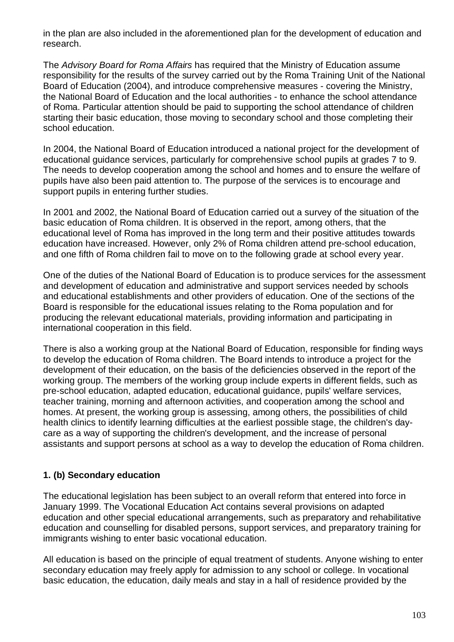in the plan are also included in the aforementioned plan for the development of education and research.

The *Advisory Board for Roma Affairs* has required that the Ministry of Education assume responsibility for the results of the survey carried out by the Roma Training Unit of the National Board of Education (2004), and introduce comprehensive measures - covering the Ministry, the National Board of Education and the local authorities - to enhance the school attendance of Roma. Particular attention should be paid to supporting the school attendance of children starting their basic education, those moving to secondary school and those completing their school education.

In 2004, the National Board of Education introduced a national project for the development of educational guidance services, particularly for comprehensive school pupils at grades 7 to 9. The needs to develop cooperation among the school and homes and to ensure the welfare of pupils have also been paid attention to. The purpose of the services is to encourage and support pupils in entering further studies.

In 2001 and 2002, the National Board of Education carried out a survey of the situation of the basic education of Roma children. It is observed in the report, among others, that the educational level of Roma has improved in the long term and their positive attitudes towards education have increased. However, only 2% of Roma children attend pre-school education, and one fifth of Roma children fail to move on to the following grade at school every year.

One of the duties of the National Board of Education is to produce services for the assessment and development of education and administrative and support services needed by schools and educational establishments and other providers of education. One of the sections of the Board is responsible for the educational issues relating to the Roma population and for producing the relevant educational materials, providing information and participating in international cooperation in this field.

There is also a working group at the National Board of Education, responsible for finding ways to develop the education of Roma children. The Board intends to introduce a project for the development of their education, on the basis of the deficiencies observed in the report of the working group. The members of the working group include experts in different fields, such as pre-school education, adapted education, educational guidance, pupils' welfare services, teacher training, morning and afternoon activities, and cooperation among the school and homes. At present, the working group is assessing, among others, the possibilities of child health clinics to identify learning difficulties at the earliest possible stage, the children's daycare as a way of supporting the children's development, and the increase of personal assistants and support persons at school as a way to develop the education of Roma children.

# **1. (b) Secondary education**

The educational legislation has been subject to an overall reform that entered into force in January 1999. The Vocational Education Act contains several provisions on adapted education and other special educational arrangements, such as preparatory and rehabilitative education and counselling for disabled persons, support services, and preparatory training for immigrants wishing to enter basic vocational education.

All education is based on the principle of equal treatment of students. Anyone wishing to enter secondary education may freely apply for admission to any school or college. In vocational basic education, the education, daily meals and stay in a hall of residence provided by the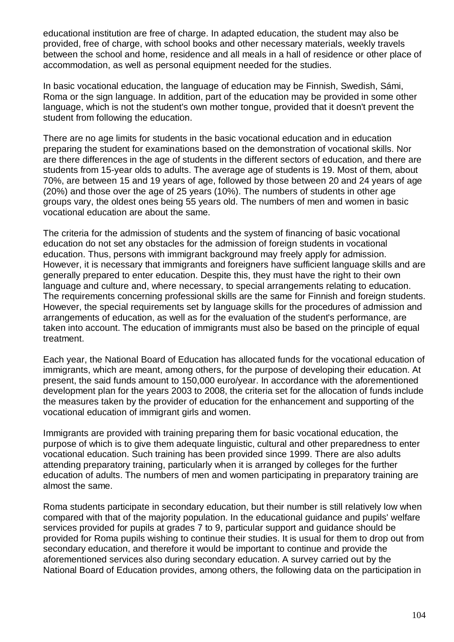educational institution are free of charge. In adapted education, the student may also be provided, free of charge, with school books and other necessary materials, weekly travels between the school and home, residence and all meals in a hall of residence or other place of accommodation, as well as personal equipment needed for the studies.

In basic vocational education, the language of education may be Finnish, Swedish, Sámi, Roma or the sign language. In addition, part of the education may be provided in some other language, which is not the student's own mother tongue, provided that it doesn't prevent the student from following the education.

There are no age limits for students in the basic vocational education and in education preparing the student for examinations based on the demonstration of vocational skills. Nor are there differences in the age of students in the different sectors of education, and there are students from 15-year olds to adults. The average age of students is 19. Most of them, about 70%, are between 15 and 19 years of age, followed by those between 20 and 24 years of age (20%) and those over the age of 25 years (10%). The numbers of students in other age groups vary, the oldest ones being 55 years old. The numbers of men and women in basic vocational education are about the same.

The criteria for the admission of students and the system of financing of basic vocational education do not set any obstacles for the admission of foreign students in vocational education. Thus, persons with immigrant background may freely apply for admission. However, it is necessary that immigrants and foreigners have sufficient language skills and are generally prepared to enter education. Despite this, they must have the right to their own language and culture and, where necessary, to special arrangements relating to education. The requirements concerning professional skills are the same for Finnish and foreign students. However, the special requirements set by language skills for the procedures of admission and arrangements of education, as well as for the evaluation of the student's performance, are taken into account. The education of immigrants must also be based on the principle of equal treatment.

Each year, the National Board of Education has allocated funds for the vocational education of immigrants, which are meant, among others, for the purpose of developing their education. At present, the said funds amount to 150,000 euro/year. In accordance with the aforementioned development plan for the years 2003 to 2008, the criteria set for the allocation of funds include the measures taken by the provider of education for the enhancement and supporting of the vocational education of immigrant girls and women.

Immigrants are provided with training preparing them for basic vocational education, the purpose of which is to give them adequate linguistic, cultural and other preparedness to enter vocational education. Such training has been provided since 1999. There are also adults attending preparatory training, particularly when it is arranged by colleges for the further education of adults. The numbers of men and women participating in preparatory training are almost the same.

Roma students participate in secondary education, but their number is still relatively low when compared with that of the majority population. In the educational guidance and pupils' welfare services provided for pupils at grades 7 to 9, particular support and guidance should be provided for Roma pupils wishing to continue their studies. It is usual for them to drop out from secondary education, and therefore it would be important to continue and provide the aforementioned services also during secondary education. A survey carried out by the National Board of Education provides, among others, the following data on the participation in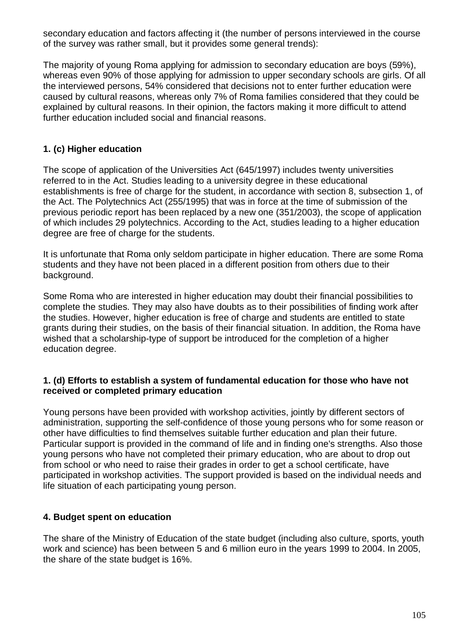secondary education and factors affecting it (the number of persons interviewed in the course of the survey was rather small, but it provides some general trends):

The majority of young Roma applying for admission to secondary education are boys (59%), whereas even 90% of those applying for admission to upper secondary schools are girls. Of all the interviewed persons, 54% considered that decisions not to enter further education were caused by cultural reasons, whereas only 7% of Roma families considered that they could be explained by cultural reasons. In their opinion, the factors making it more difficult to attend further education included social and financial reasons.

## **1. (c) Higher education**

The scope of application of the Universities Act (645/1997) includes twenty universities referred to in the Act. Studies leading to a university degree in these educational establishments is free of charge for the student, in accordance with section 8, subsection 1, of the Act. The Polytechnics Act (255/1995) that was in force at the time of submission of the previous periodic report has been replaced by a new one (351/2003), the scope of application of which includes 29 polytechnics. According to the Act, studies leading to a higher education degree are free of charge for the students.

It is unfortunate that Roma only seldom participate in higher education. There are some Roma students and they have not been placed in a different position from others due to their background.

Some Roma who are interested in higher education may doubt their financial possibilities to complete the studies. They may also have doubts as to their possibilities of finding work after the studies. However, higher education is free of charge and students are entitled to state grants during their studies, on the basis of their financial situation. In addition, the Roma have wished that a scholarship-type of support be introduced for the completion of a higher education degree.

#### **1. (d) Efforts to establish a system of fundamental education for those who have not received or completed primary education**

Young persons have been provided with workshop activities, jointly by different sectors of administration, supporting the self-confidence of those young persons who for some reason or other have difficulties to find themselves suitable further education and plan their future. Particular support is provided in the command of life and in finding one's strengths. Also those young persons who have not completed their primary education, who are about to drop out from school or who need to raise their grades in order to get a school certificate, have participated in workshop activities. The support provided is based on the individual needs and life situation of each participating young person.

### **4. Budget spent on education**

The share of the Ministry of Education of the state budget (including also culture, sports, youth work and science) has been between 5 and 6 million euro in the years 1999 to 2004. In 2005, the share of the state budget is 16%.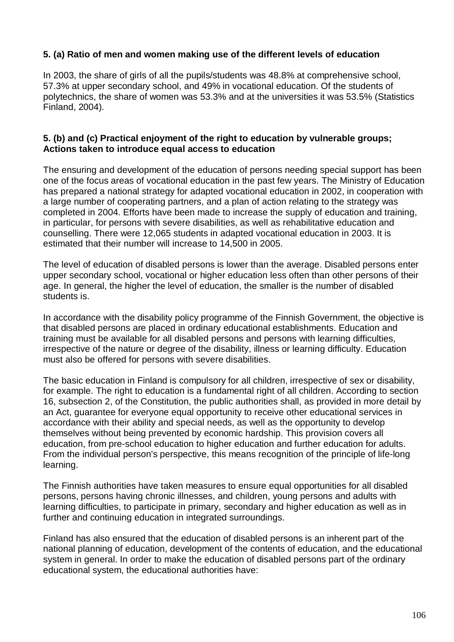#### **5. (a) Ratio of men and women making use of the different levels of education**

In 2003, the share of girls of all the pupils/students was 48.8% at comprehensive school, 57.3% at upper secondary school, and 49% in vocational education. Of the students of polytechnics, the share of women was 53.3% and at the universities it was 53.5% (Statistics Finland, 2004).

#### **5. (b) and (c) Practical enjoyment of the right to education by vulnerable groups; Actions taken to introduce equal access to education**

The ensuring and development of the education of persons needing special support has been one of the focus areas of vocational education in the past few years. The Ministry of Education has prepared a national strategy for adapted vocational education in 2002, in cooperation with a large number of cooperating partners, and a plan of action relating to the strategy was completed in 2004. Efforts have been made to increase the supply of education and training, in particular, for persons with severe disabilities, as well as rehabilitative education and counselling. There were 12,065 students in adapted vocational education in 2003. It is estimated that their number will increase to 14,500 in 2005.

The level of education of disabled persons is lower than the average. Disabled persons enter upper secondary school, vocational or higher education less often than other persons of their age. In general, the higher the level of education, the smaller is the number of disabled students is.

In accordance with the disability policy programme of the Finnish Government, the objective is that disabled persons are placed in ordinary educational establishments. Education and training must be available for all disabled persons and persons with learning difficulties, irrespective of the nature or degree of the disability, illness or learning difficulty. Education must also be offered for persons with severe disabilities.

The basic education in Finland is compulsory for all children, irrespective of sex or disability, for example. The right to education is a fundamental right of all children. According to section 16, subsection 2, of the Constitution, the public authorities shall, as provided in more detail by an Act, guarantee for everyone equal opportunity to receive other educational services in accordance with their ability and special needs, as well as the opportunity to develop themselves without being prevented by economic hardship. This provision covers all education, from pre-school education to higher education and further education for adults. From the individual person's perspective, this means recognition of the principle of life-long learning.

The Finnish authorities have taken measures to ensure equal opportunities for all disabled persons, persons having chronic illnesses, and children, young persons and adults with learning difficulties, to participate in primary, secondary and higher education as well as in further and continuing education in integrated surroundings.

Finland has also ensured that the education of disabled persons is an inherent part of the national planning of education, development of the contents of education, and the educational system in general. In order to make the education of disabled persons part of the ordinary educational system, the educational authorities have: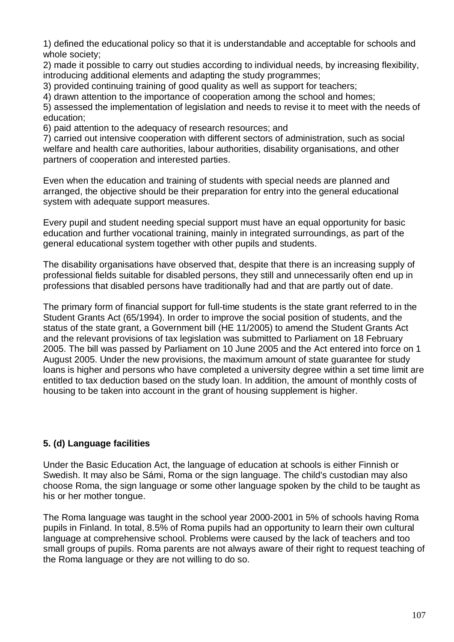1) defined the educational policy so that it is understandable and acceptable for schools and whole society;

2) made it possible to carry out studies according to individual needs, by increasing flexibility, introducing additional elements and adapting the study programmes;

3) provided continuing training of good quality as well as support for teachers;

4) drawn attention to the importance of cooperation among the school and homes;

5) assessed the implementation of legislation and needs to revise it to meet with the needs of education;

6) paid attention to the adequacy of research resources; and

7) carried out intensive cooperation with different sectors of administration, such as social welfare and health care authorities, labour authorities, disability organisations, and other partners of cooperation and interested parties.

Even when the education and training of students with special needs are planned and arranged, the objective should be their preparation for entry into the general educational system with adequate support measures.

Every pupil and student needing special support must have an equal opportunity for basic education and further vocational training, mainly in integrated surroundings, as part of the general educational system together with other pupils and students.

The disability organisations have observed that, despite that there is an increasing supply of professional fields suitable for disabled persons, they still and unnecessarily often end up in professions that disabled persons have traditionally had and that are partly out of date.

The primary form of financial support for full-time students is the state grant referred to in the Student Grants Act (65/1994). In order to improve the social position of students, and the status of the state grant, a Government bill (HE 11/2005) to amend the Student Grants Act and the relevant provisions of tax legislation was submitted to Parliament on 18 February 2005. The bill was passed by Parliament on 10 June 2005 and the Act entered into force on 1 August 2005. Under the new provisions, the maximum amount of state guarantee for study loans is higher and persons who have completed a university degree within a set time limit are entitled to tax deduction based on the study loan. In addition, the amount of monthly costs of housing to be taken into account in the grant of housing supplement is higher.

### **5. (d) Language facilities**

Under the Basic Education Act, the language of education at schools is either Finnish or Swedish. It may also be Sámi, Roma or the sign language. The child's custodian may also choose Roma, the sign language or some other language spoken by the child to be taught as his or her mother tongue.

The Roma language was taught in the school year 2000-2001 in 5% of schools having Roma pupils in Finland. In total, 8.5% of Roma pupils had an opportunity to learn their own cultural language at comprehensive school. Problems were caused by the lack of teachers and too small groups of pupils. Roma parents are not always aware of their right to request teaching of the Roma language or they are not willing to do so.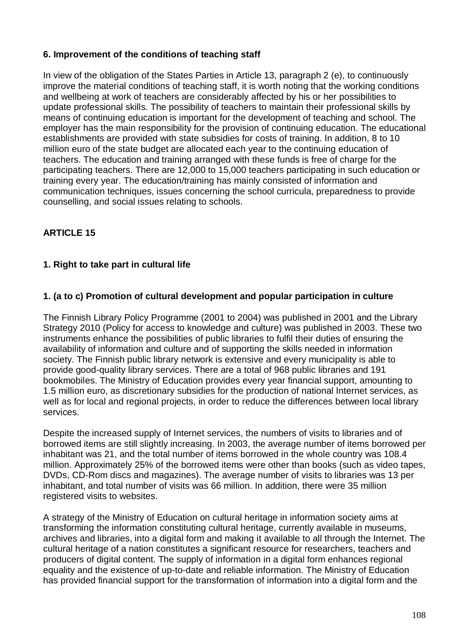#### **6. Improvement of the conditions of teaching staff**

In view of the obligation of the States Parties in Article 13, paragraph 2 (e), to continuously improve the material conditions of teaching staff, it is worth noting that the working conditions and wellbeing at work of teachers are considerably affected by his or her possibilities to update professional skills. The possibility of teachers to maintain their professional skills by means of continuing education is important for the development of teaching and school. The employer has the main responsibility for the provision of continuing education. The educational establishments are provided with state subsidies for costs of training. In addition, 8 to 10 million euro of the state budget are allocated each year to the continuing education of teachers. The education and training arranged with these funds is free of charge for the participating teachers. There are 12,000 to 15,000 teachers participating in such education or training every year. The education/training has mainly consisted of information and communication techniques, issues concerning the school curricula, preparedness to provide counselling, and social issues relating to schools.

# **ARTICLE 15**

### **1. Right to take part in cultural life**

#### **1. (a to c) Promotion of cultural development and popular participation in culture**

The Finnish Library Policy Programme (2001 to 2004) was published in 2001 and the Library Strategy 2010 (Policy for access to knowledge and culture) was published in 2003. These two instruments enhance the possibilities of public libraries to fulfil their duties of ensuring the availability of information and culture and of supporting the skills needed in information society. The Finnish public library network is extensive and every municipality is able to provide good-quality library services. There are a total of 968 public libraries and 191 bookmobiles. The Ministry of Education provides every year financial support, amounting to 1.5 million euro, as discretionary subsidies for the production of national Internet services, as well as for local and regional projects, in order to reduce the differences between local library services.

Despite the increased supply of Internet services, the numbers of visits to libraries and of borrowed items are still slightly increasing. In 2003, the average number of items borrowed per inhabitant was 21, and the total number of items borrowed in the whole country was 108.4 million. Approximately 25% of the borrowed items were other than books (such as video tapes, DVDs, CD-Rom discs and magazines). The average number of visits to libraries was 13 per inhabitant, and total number of visits was 66 million. In addition, there were 35 million registered visits to websites.

A strategy of the Ministry of Education on cultural heritage in information society aims at transforming the information constituting cultural heritage, currently available in museums, archives and libraries, into a digital form and making it available to all through the Internet. The cultural heritage of a nation constitutes a significant resource for researchers, teachers and producers of digital content. The supply of information in a digital form enhances regional equality and the existence of up-to-date and reliable information. The Ministry of Education has provided financial support for the transformation of information into a digital form and the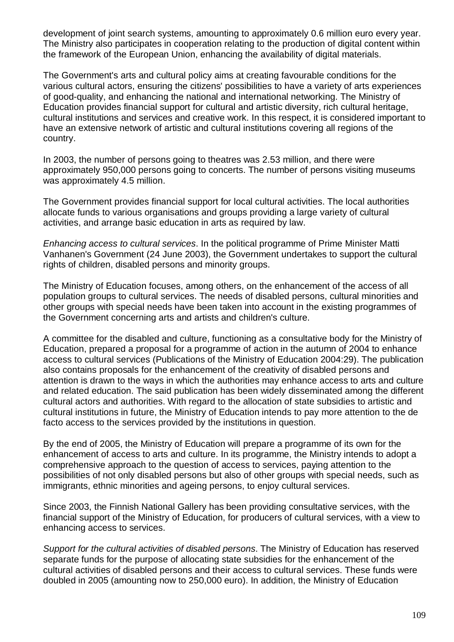development of joint search systems, amounting to approximately 0.6 million euro every year. The Ministry also participates in cooperation relating to the production of digital content within the framework of the European Union, enhancing the availability of digital materials.

The Government's arts and cultural policy aims at creating favourable conditions for the various cultural actors, ensuring the citizens' possibilities to have a variety of arts experiences of good-quality, and enhancing the national and international networking. The Ministry of Education provides financial support for cultural and artistic diversity, rich cultural heritage, cultural institutions and services and creative work. In this respect, it is considered important to have an extensive network of artistic and cultural institutions covering all regions of the country.

In 2003, the number of persons going to theatres was 2.53 million, and there were approximately 950,000 persons going to concerts. The number of persons visiting museums was approximately 4.5 million.

The Government provides financial support for local cultural activities. The local authorities allocate funds to various organisations and groups providing a large variety of cultural activities, and arrange basic education in arts as required by law.

*Enhancing access to cultural services*. In the political programme of Prime Minister Matti Vanhanen's Government (24 June 2003), the Government undertakes to support the cultural rights of children, disabled persons and minority groups.

The Ministry of Education focuses, among others, on the enhancement of the access of all population groups to cultural services. The needs of disabled persons, cultural minorities and other groups with special needs have been taken into account in the existing programmes of the Government concerning arts and artists and children's culture.

A committee for the disabled and culture, functioning as a consultative body for the Ministry of Education, prepared a proposal for a programme of action in the autumn of 2004 to enhance access to cultural services (Publications of the Ministry of Education 2004:29). The publication also contains proposals for the enhancement of the creativity of disabled persons and attention is drawn to the ways in which the authorities may enhance access to arts and culture and related education. The said publication has been widely disseminated among the different cultural actors and authorities. With regard to the allocation of state subsidies to artistic and cultural institutions in future, the Ministry of Education intends to pay more attention to the de facto access to the services provided by the institutions in question.

By the end of 2005, the Ministry of Education will prepare a programme of its own for the enhancement of access to arts and culture. In its programme, the Ministry intends to adopt a comprehensive approach to the question of access to services, paying attention to the possibilities of not only disabled persons but also of other groups with special needs, such as immigrants, ethnic minorities and ageing persons, to enjoy cultural services.

Since 2003, the Finnish National Gallery has been providing consultative services, with the financial support of the Ministry of Education, for producers of cultural services, with a view to enhancing access to services.

*Support for the cultural activities of disabled persons*. The Ministry of Education has reserved separate funds for the purpose of allocating state subsidies for the enhancement of the cultural activities of disabled persons and their access to cultural services. These funds were doubled in 2005 (amounting now to 250,000 euro). In addition, the Ministry of Education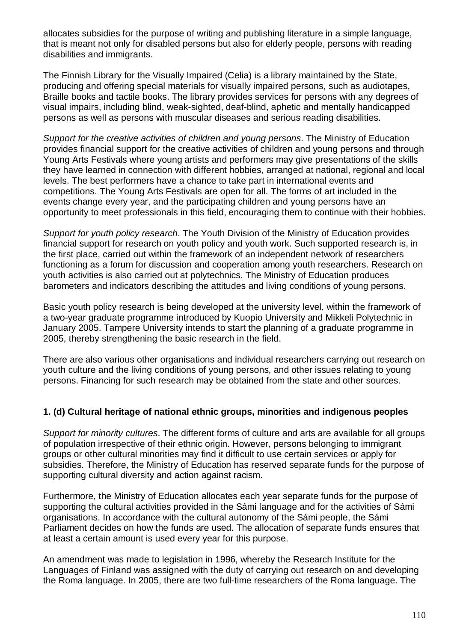allocates subsidies for the purpose of writing and publishing literature in a simple language, that is meant not only for disabled persons but also for elderly people, persons with reading disabilities and immigrants.

The Finnish Library for the Visually Impaired (Celia) is a library maintained by the State, producing and offering special materials for visually impaired persons, such as audiotapes, Braille books and tactile books. The library provides services for persons with any degrees of visual impairs, including blind, weak-sighted, deaf-blind, aphetic and mentally handicapped persons as well as persons with muscular diseases and serious reading disabilities.

*Support for the creative activities of children and young persons*. The Ministry of Education provides financial support for the creative activities of children and young persons and through Young Arts Festivals where young artists and performers may give presentations of the skills they have learned in connection with different hobbies, arranged at national, regional and local levels. The best performers have a chance to take part in international events and competitions. The Young Arts Festivals are open for all. The forms of art included in the events change every year, and the participating children and young persons have an opportunity to meet professionals in this field, encouraging them to continue with their hobbies.

*Support for youth policy research*. The Youth Division of the Ministry of Education provides financial support for research on youth policy and youth work. Such supported research is, in the first place, carried out within the framework of an independent network of researchers functioning as a forum for discussion and cooperation among youth researchers. Research on youth activities is also carried out at polytechnics. The Ministry of Education produces barometers and indicators describing the attitudes and living conditions of young persons.

Basic youth policy research is being developed at the university level, within the framework of a two-year graduate programme introduced by Kuopio University and Mikkeli Polytechnic in January 2005. Tampere University intends to start the planning of a graduate programme in 2005, thereby strengthening the basic research in the field.

There are also various other organisations and individual researchers carrying out research on youth culture and the living conditions of young persons, and other issues relating to young persons. Financing for such research may be obtained from the state and other sources.

# **1. (d) Cultural heritage of national ethnic groups, minorities and indigenous peoples**

*Support for minority cultures*. The different forms of culture and arts are available for all groups of population irrespective of their ethnic origin. However, persons belonging to immigrant groups or other cultural minorities may find it difficult to use certain services or apply for subsidies. Therefore, the Ministry of Education has reserved separate funds for the purpose of supporting cultural diversity and action against racism.

Furthermore, the Ministry of Education allocates each year separate funds for the purpose of supporting the cultural activities provided in the Sámi language and for the activities of Sámi organisations. In accordance with the cultural autonomy of the Sámi people, the Sámi Parliament decides on how the funds are used. The allocation of separate funds ensures that at least a certain amount is used every year for this purpose.

An amendment was made to legislation in 1996, whereby the Research Institute for the Languages of Finland was assigned with the duty of carrying out research on and developing the Roma language. In 2005, there are two full-time researchers of the Roma language. The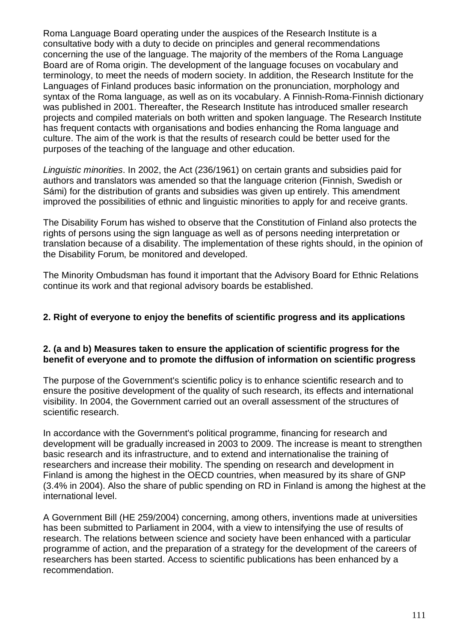Roma Language Board operating under the auspices of the Research Institute is a consultative body with a duty to decide on principles and general recommendations concerning the use of the language. The majority of the members of the Roma Language Board are of Roma origin. The development of the language focuses on vocabulary and terminology, to meet the needs of modern society. In addition, the Research Institute for the Languages of Finland produces basic information on the pronunciation, morphology and syntax of the Roma language, as well as on its vocabulary. A Finnish-Roma-Finnish dictionary was published in 2001. Thereafter, the Research Institute has introduced smaller research projects and compiled materials on both written and spoken language. The Research Institute has frequent contacts with organisations and bodies enhancing the Roma language and culture. The aim of the work is that the results of research could be better used for the purposes of the teaching of the language and other education.

*Linguistic minorities*. In 2002, the Act (236/1961) on certain grants and subsidies paid for authors and translators was amended so that the language criterion (Finnish, Swedish or Sámi) for the distribution of grants and subsidies was given up entirely. This amendment improved the possibilities of ethnic and linguistic minorities to apply for and receive grants.

The Disability Forum has wished to observe that the Constitution of Finland also protects the rights of persons using the sign language as well as of persons needing interpretation or translation because of a disability. The implementation of these rights should, in the opinion of the Disability Forum, be monitored and developed.

The Minority Ombudsman has found it important that the Advisory Board for Ethnic Relations continue its work and that regional advisory boards be established.

## **2. Right of everyone to enjoy the benefits of scientific progress and its applications**

#### **2. (a and b) Measures taken to ensure the application of scientific progress for the benefit of everyone and to promote the diffusion of information on scientific progress**

The purpose of the Government's scientific policy is to enhance scientific research and to ensure the positive development of the quality of such research, its effects and international visibility. In 2004, the Government carried out an overall assessment of the structures of scientific research.

In accordance with the Government's political programme, financing for research and development will be gradually increased in 2003 to 2009. The increase is meant to strengthen basic research and its infrastructure, and to extend and internationalise the training of researchers and increase their mobility. The spending on research and development in Finland is among the highest in the OECD countries, when measured by its share of GNP (3.4% in 2004). Also the share of public spending on RD in Finland is among the highest at the international level.

A Government Bill (HE 259/2004) concerning, among others, inventions made at universities has been submitted to Parliament in 2004, with a view to intensifying the use of results of research. The relations between science and society have been enhanced with a particular programme of action, and the preparation of a strategy for the development of the careers of researchers has been started. Access to scientific publications has been enhanced by a recommendation.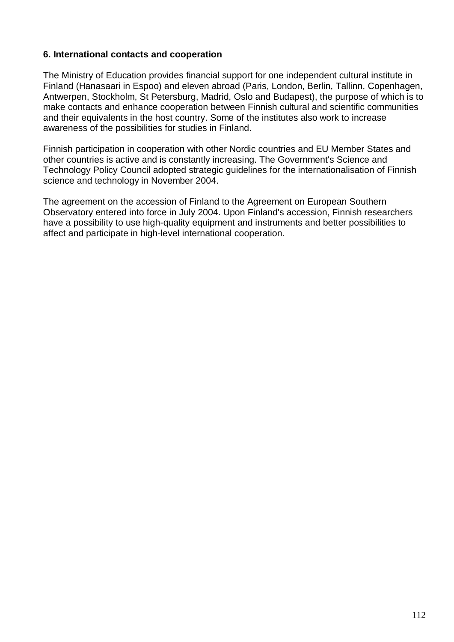## **6. International contacts and cooperation**

The Ministry of Education provides financial support for one independent cultural institute in Finland (Hanasaari in Espoo) and eleven abroad (Paris, London, Berlin, Tallinn, Copenhagen, Antwerpen, Stockholm, St Petersburg, Madrid, Oslo and Budapest), the purpose of which is to make contacts and enhance cooperation between Finnish cultural and scientific communities and their equivalents in the host country. Some of the institutes also work to increase awareness of the possibilities for studies in Finland.

Finnish participation in cooperation with other Nordic countries and EU Member States and other countries is active and is constantly increasing. The Government's Science and Technology Policy Council adopted strategic guidelines for the internationalisation of Finnish science and technology in November 2004.

The agreement on the accession of Finland to the Agreement on European Southern Observatory entered into force in July 2004. Upon Finland's accession, Finnish researchers have a possibility to use high-quality equipment and instruments and better possibilities to affect and participate in high-level international cooperation.